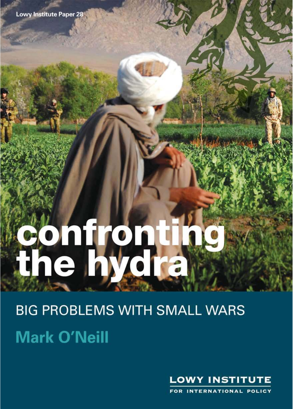# **confrontil**<br>the hydra

**BIG PROBLEMS WITH SMALL WARS Mark O'Neill** 



FOR INTERNATIONAL POLICY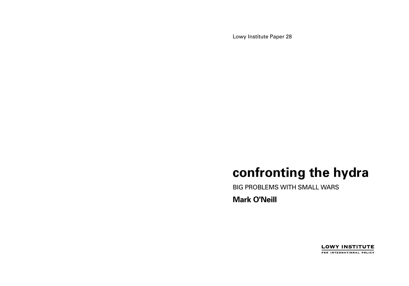Lowy Institute Paper 28

# **confronting the hydra**

BIG PROBLEMS WITH SMALL WARS

**Mark O'Neill**

**LOWY INSTITUTE** FOR INTERNATIONAL POLICY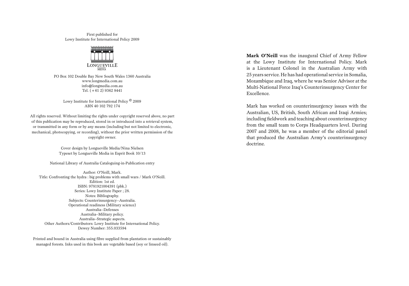First published for Lowy Institute for International Policy 2009



PO Box 102 Double Bay New South Wales 1360 Australia www.longmedia.com.au info@longmedia.com.au Tel. (+61 2) 9362 8441

Lowy Institute for International Policy © 2009 ABN 40 102 792 174

All rights reserved. Without limiting the rights under copyright reserved above, no part of this publication may be reproduced, stored in or introduced into a retrieval system, or transmitted in any form or by any means (including but not limited to electronic, mechanical, photocopying, or recording), without the prior written permission of the copyright owner.

> Cover design by Longueville Media/Nina Nielsen Typeset by Longueville Media in Esprit Book 10/13

National Library of Australia Cataloguing-in-Publication entry

Author: O'Neill, Mark. Title: Confronting the hydra : big problems with small wars / Mark O'Neill. Edition: 1st ed. ISBN: 9781921004391 (pbk.) Series: Lowy Institute Paper ; 28. Notes: Bibliography. Subjects: Counterinsurgency--Australia. Operational readiness (Military science) Australia--Defenses Australia--Military policy. Australia--Strategic aspects. Other Authors/Contributors: Lowy Institute for International Policy. Dewey Number: 355.033594

Printed and bound in Australia using fibre supplied from plantation or sustainably managed forests. Inks used in this book are vegetable based (soy or linseed oil).

**Mark O'Neill** was the inaugural Chief of Army Fellow at the Lowy Institute for International Policy. Mark is a Lieutenant Colonel in the Australian Army with 25 years service. He has had operational service in Somalia, Mozambique and Iraq, where he was Senior Advisor at the Multi-National Force Iraq's Counterinsurgency Center for Excellence.

Mark has worked on counterinsurgency issues with the Australian, US, British, South African and Iraqi Armies; including fieldwork and teaching about counterinsurgency from the small team to Corps Headquarters level. During 2007 and 2008, he was a member of the editorial panel that produced the Australian Army's counterinsurgency doctrine.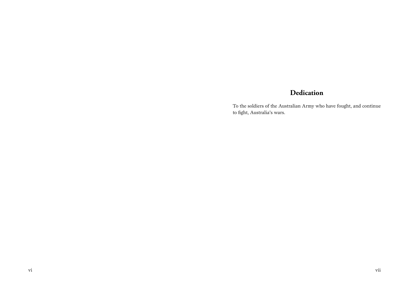## **Dedication**

To the soldiers of the Australian Army who have fought, and continue to fight, Australia's wars.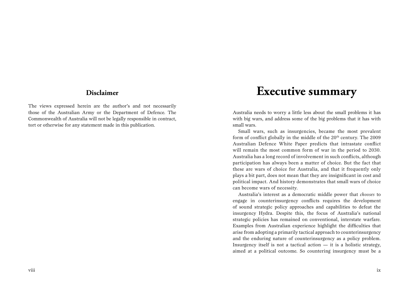## **Disclaimer**

The views expressed herein are the author's and not necessarily those of the Australian Army or the Department of Defence. The Commonwealth of Australia will not be legally responsible in contract, tort or otherwise for any statement made in this publication.

# **Executive summary**

Australia needs to worry a little less about the small problems it has with big wars, and address some of the big problems that it has with small wars.

Small wars, such as insurgencies, became the most prevalent form of conflict globally in the middle of the  $20<sup>th</sup>$  century. The  $2009$ Australian Defence White Paper predicts that intrastate conflict will remain the most common form of war in the period to 2030. Australia has a long record of involvement in such conflicts, although participation has always been a matter of choice. But the fact that these are wars of choice for Australia, and that it frequently only plays a bit part, does not mean that they are insignificant in cost and political impact. And history demonstrates that small wars of choice can become wars of necessity.

Australia's interest as a democratic middle power that *chooses* to engage in counterinsurgency conflicts requires the development of sound strategic policy approaches and capabilities to defeat the insurgency Hydra. Despite this, the focus of Australia's national strategic policies has remained on conventional, interstate warfare. Examples from Australian experience highlight the difficulties that arise from adopting a primarily tactical approach to counterinsurgency and the enduring nature of counterinsurgency as a policy problem. Insurgency itself is not a tactical action  $-$  it is a holistic strategy, aimed at a political outcome. So countering insurgency must be a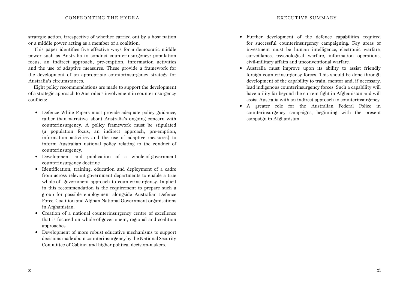strategic action, irrespective of whether carried out by a host nation or a middle power acting as a member of a coalition.

This paper identifies five effective ways for a democratic middle power such as Australia to conduct counterinsurgency: population focus, an indirect approach, pre-emption, information activities and the use of adaptive measures. These provide a framework for the development of an appropriate counterinsurgency strategy for Australia's circumstances.

Eight policy recommendations are made to support the development of a strategic approach to Australia's involvement in counterinsurgency conflicts:

- Defence White Papers must provide adequate policy guidance, rather than narrative, about Australia's ongoing concern with counterinsurgency. A policy framework must be stipulated (a population focus, an indirect approach, pre-emption, information activities and the use of adaptive measures) to inform Australian national policy relating to the conduct of counterinsurgency.
- Development and publication of a whole-of-government counterinsurgency doctrine.
- Identification, training, education and deployment of a cadre from across relevant government departments to enable a true whole-of- government approach to counterinsurgency. Implicit in this recommendation is the requirement to prepare such a group for possible employment alongside Australian Defence Force, Coalition and Afghan National Government organisations in Afghanistan.
- Creation of a national counterinsurgency centre of excellence that is focused on whole-of-government, regional and coalition approaches.
- Development of more robust educative mechanisms to support decisions made about counterinsurgency by the National Security Committee of Cabinet and higher political decision-makers.
- Further development of the defence capabilities required for successful counterinsurgency campaigning. Key areas of investment must be human intelligence, electronic warfare, surveillance, psychological warfare, information operations, civil-military affairs and unconventional warfare.
- Australia must improve upon its ability to assist friendly foreign counterinsurgency forces. This should be done through development of the capability to train, mentor and, if necessary, lead indigenous counterinsurgency forces. Such a capability will have utility far beyond the current fight in Afghanistan and will assist Australia with an indirect approach to counterinsurgency.
- A greater role for the Australian Federal Police in counterinsurgency campaigns, beginning with the present campaign in Afghanistan.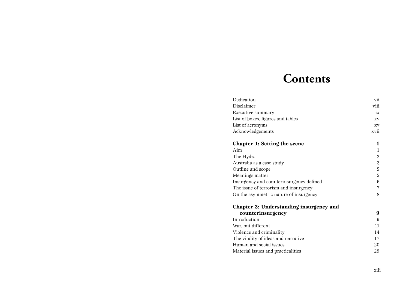# **Contents**

| Dedication                               | vii                     |
|------------------------------------------|-------------------------|
| Disclaimer                               | viii                    |
| Executive summary                        | ix                      |
| List of boxes, figures and tables        | XV                      |
| List of acronyms                         | XV                      |
| Acknowledgements                         | xvii                    |
| <b>Chapter 1: Setting the scene</b>      | 1                       |
| Aim                                      | $\mathbf{1}$            |
| The Hydra                                | $\overline{\mathbf{c}}$ |
| Australia as a case study                | $\overline{\mathbf{c}}$ |
| Outline and scope                        | 5                       |
| Meanings matter                          | 5                       |
| Insurgency and counterinsurgency defined | $\,6$                   |
| The issue of terrorism and insurgency    | $\overline{7}$          |
| On the asymmetric nature of insurgency   | 8                       |
| Chapter 2: Understanding insurgency and  |                         |
| counterinsurgency                        | $\boldsymbol{9}$        |
| Introduction                             | 9                       |
| War, but different                       | 11                      |
| Violence and criminality                 | 14                      |
| The vitality of ideas and narrative      | 17                      |
| Human and social issues                  | 20                      |
| Material issues and practicalities       | 29                      |
|                                          |                         |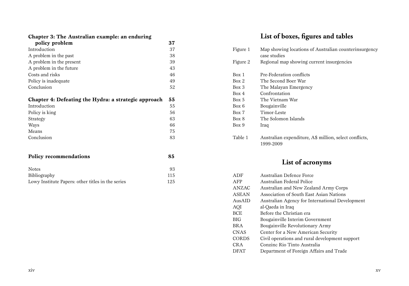#### **Chapter 3: The Australian example: an enduring**

| policy problem           | 37 |
|--------------------------|----|
| Introduction             | 37 |
| A problem in the past    | 38 |
| A problem in the present | 39 |
| A problem in the future  | 43 |
| Costs and risks          | 46 |
| Policy is inadequate     | 49 |
| Conclusion               | 52 |

#### **Chapter 4: Defeating the Hydra: a strategic approach 55**

| Introduction   | 55 |
|----------------|----|
| Policy is king | 56 |
| Strategy       | 63 |
| Ways           | 66 |
| Means          | 75 |
| Conclusion     | 83 |

#### Policy recommendations 85

| <b>Notes</b>                                      | 93  |
|---------------------------------------------------|-----|
| <b>Bibliography</b>                               | 115 |
| Lowy Institute Papers: other titles in the series | 125 |

## **List of boxes, figures and tables**

| Figure 1 | Map showing locations of Australian counteringurgency<br>case studies |
|----------|-----------------------------------------------------------------------|
| Figure 2 | Regional map showing current insurgencies                             |
| Box 1    | Pre-Federation conflicts                                              |
| Box 2    | The Second Boer War                                                   |
| Box 3    | The Malayan Emergency                                                 |
| Box 4    | Confrontation                                                         |
| Box 5    | The Vietnam War                                                       |
| Box 6    | Bougainville                                                          |
| Box 7    | Timor-Leste                                                           |
| Box 8    | The Solomon Islands                                                   |
| Box 9    | Iraq                                                                  |
|          |                                                                       |
| Table 1  | Australian expenditure, A\$ million, select conflicts,                |
|          | 1999-2009                                                             |

## **List of acronyms**

| ADF           | Australian Defence Force                        |
|---------------|-------------------------------------------------|
| AFP           | Australian Federal Police                       |
| ANZAC         | Australian and New Zealand Army Corps           |
| <b>ASEAN</b>  | Association of South East Asian Nations         |
| $A$ us $A$ ID | Australian Agency for International Development |
| AQI           | al-Oaeda in Iraq                                |
| <b>BCE</b>    | Before the Christian era                        |
| BIG           | Bougainville Interim Government                 |
| <b>BRA</b>    | Bougainville Revolutionary Army                 |
| <b>CNAS</b>   | Center for a New American Security              |
| <b>CORDS</b>  | Civil operations and rural development support  |
| CR A          | Conzinc Rio Tinto Australia                     |
| <b>DFAT</b>   | Department of Foreign Affairs and Trade         |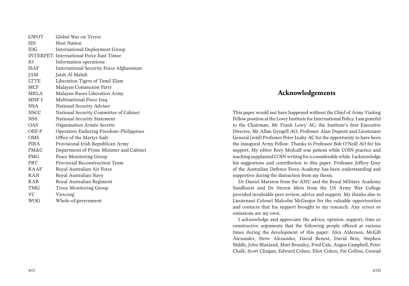| <b>GWOT</b> | Global War on Terror                           |
|-------------|------------------------------------------------|
| <b>HN</b>   | <b>Host Nation</b>                             |
| <b>IDG</b>  | <b>International Deployment Group</b>          |
|             | <b>INTERFET</b> International Force East Timor |
| IO          | Information operations                         |
| <b>ISAF</b> | International Security Force Afghanistan       |
| JAM         | Jaish Al Mahdi                                 |
| <b>LTTE</b> | Liberation Tigers of Tamil Elam                |
| <b>MCP</b>  | Malayan Communist Party                        |
| MRLA        | Malayan Races Liberation Army                  |
| MNF-I       | Multinational Force Iraq                       |
| <b>NSA</b>  | National Security Adviser                      |
| <b>NSCC</b> | National Security Committee of Cabinet         |
| <b>NSS</b>  | National Security Statement                    |
| <b>OAS</b>  | Organisation Armée Secrète                     |
| OEF-P       | Operation Enduring Freedom-Philippines         |
| <b>OMS</b>  | Office of the Martyr Sadr                      |
| PIR A       | Provisional Irish Republican Army              |
| PM&C        | Department of Prime Minister and Cabinet       |
| <b>PMG</b>  | Peace Monitoring Group                         |
| PRT         | Provincial Reconstruction Team                 |
| <b>RAAF</b> | Royal Australian Air Force                     |
| RAN         | Royal Australian Navy                          |
| RAR         | Royal Australian Regiment                      |
| <b>TMG</b>  | Truce Monitoring Group                         |
| <b>VC</b>   | Vietcong                                       |

#### WOG Whole-of-government

## **Acknowledgements**

This paper would not have happened without the Chief of Army Visiting Fellow position at the Lowy Institute for International Policy. I am grateful to the Chairman, Mr Frank Lowy AC; the Institute's first Executive Director, Mr Allan Gyngell AO; Professor Alan Dupont and Lieutenant General (retd) Professor Peter Leahy AC for the opportunity to have been the inaugural Army Fellow. Thanks to Professor Bob O'Neill AO for his support. My editor Rory Medcalf was patient while COIN practice and teaching supplanted COIN writing for a considerable while. I acknowledge his suggestions and contribution to this paper. Professor Jeffery Grey of the Australian Defence Force Academy has been understanding and supportive during the distraction from my thesis.

Dr Daniel Marston from the ANU and the Royal Military Academy Sandhurst and Dr Steven Metz from the US Army War College provided invaluable peer review, advice and support. My thanks also to Lieutenant Colonel Malcolm McGregor for the valuable opportunities and contacts that his support brought to my research. Any errors or omissions are my own.

I acknowledge and appreciate the advice, opinion, support, time or constructive arguments that the following people offered at various times during the development of this paper: Alex Alderson, McGill Alexander, Steve Alexander, David Benest, David Betz, Stephen Biddle, John Blaxland, Matt Brumley, Fred Cale, Angus Campbell, Peter Chalk, Scott Clingan, Edward Cohen, Eliot Cohen, Pat Collins, Conrad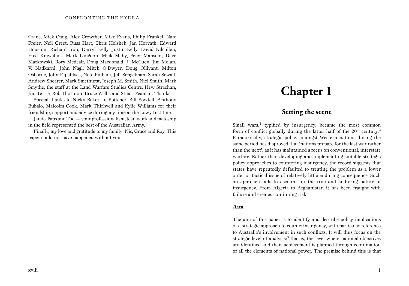Crane, Mick Craig, Alex Crowther, Mike Evans, Philip Frankel, Nate Freier, Neil Greet, Russ Hart, Chris Holshek, Jan Horvath, Edward Houston, Richard Iron, Darryl Kelly, Justin Kelly, David Kilcullen, Fred Krawchuk, Mark Langdon, Mick Mahy, Peter Mansoor, Dave Markowski, Rory Medcalf, Doug Macdonald, JJ McCuen, Jim Molan, V. Nadkarni, John Nagl, Mitch O'Dwyer, Doug Ollivant, Milton Osborne, John Papalitsas, Nate Pulliam, Jeff Sengelman, Sarah Sewall, Andrew Shearer, Mark Smethurst, Joseph M. Smith, Niel Smith, Mark Smythe, the staff at the Land Warfare Studies Centre, Hew Strachan, Jim Terrie, Rob Thornton, Bruce Willis and Stuart Yeaman. Thanks.

Special thanks to Nicky Baker, Jo Bottcher, Bill Bowtell, Anthony Bubalo, Malcolm Cook, Mark Thirlwell and Kylie Williams for their friendship, support and advice during my time at the Lowy Institute.

Jamie, Paps and Tod — your professionalism, teamwork and mateship in the field represented the best of the Australian Army.

Finally, my love and gratitude to my family: Nic, Grace and Roy. This paper could not have happened without you.

# **Chapter 1**

## **Setting the scene**

Small wars,<sup>1</sup> typified by insurgency, became the most common form of conflict globally during the latter half of the  $20<sup>th</sup>$  century.<sup>2</sup> Paradoxically, strategic policy amongst Western nations during the same period has disproved that 'nations prepare for the last war rather than the next', as it has maintained a focus on conventional, interstate warfare. Rather than developing and implementing suitable strategic policy approaches to countering insurgency, the record suggests that states have repeatedly defaulted to treating the problem as a lower order or tactical issue of relatively little enduring consequence. Such an approach fails to account for the true and enduring nature of insurgency. From Algeria to Afghanistan it has been fraught with failure and creates continuing risk.

#### **Aim**

The aim of this paper is to identify and describe policy implications of a strategic approach to counterinsurgency, with particular reference to Australia's involvement in such conflicts. It will thus focus on the strategic level of analysis:<sup>3</sup> that is, the level where national objectives are identified and their achievement is planned through coordination of all the elements of national power. The premise behind this is that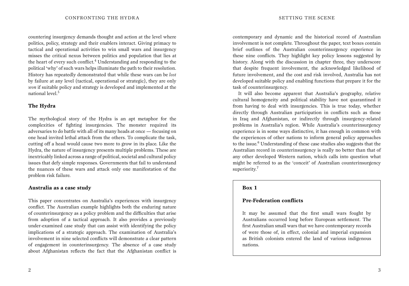countering insurgency demands thought and action at the level where politics, policy, strategy and their enablers interact. Giving primacy to tactical and operational activities to win small wars and insurgency misses the critical nexus between politics and population that lies at the heart of every such conflict.<sup>4</sup> Understanding and responding to the political 'why' of such wars helps illuminate the path to their resolution. History has repeatedly demonstrated that while these wars can be *lost*  by failure at any level (tactical, operational or strategic), they are only *won* if suitable policy and strategy is developed and implemented at the national level.5

#### **The Hydra**

The mythological story of the Hydra is an apt metaphor for the complexities of fighting insurgencies. The monster required its adversaries to do battle with all of its many heads at once — focusing on one head invited lethal attack from the others. To complicate the task, cutting off a head would cause two more to grow in its place. Like the Hydra, the nature of insurgency presents multiple problems. These are inextricably linked across a range of political, societal and cultural policy issues that defy simple responses. Governments that fail to understand the nuances of these wars and attack only one manifestation of the problem risk failure.

#### **Australia as a case study**

This paper concentrates on Australia's experiences with insurgency conflict. The Australian example highlights both the enduring nature of counterinsurgency as a policy problem and the difficulties that arise from adoption of a tactical approach. It also provides a previously under-examined case study that can assist with identifying the policy implications of a strategic approach. The examination of Australia's involvement in nine selected conflicts will demonstrate a clear pattern of engagement in counterinsurgency. The absence of a case study about Afghanistan reflects the fact that the Afghanistan conflict is contemporary and dynamic and the historical record of Australian involvement is not complete. Throughout the paper, text boxes contain brief outlines of the Australian counterinsurgency experience in these nine conflicts. They highlight key policy lessons suggested by history. Along with the discussion in chapter three, they underscore that despite frequent involvement, the acknowledged likelihood of future involvement, and the cost and risk involved, Australia has not developed suitable policy and enabling functions that prepare it for the task of counterinsurgency.

It will also become apparent that Australia's geography, relative cultural homogeneity and political stability have not quarantined it from having to deal with insurgencies. This is true today, whether directly through Australian participation in conflicts such as those in Iraq and Afghanistan, or indirectly through insurgency-related problems in Australia's region. While Australia's counterinsurgency experience is in some ways distinctive, it has enough in common with the experiences of other nations to inform general policy approaches to the issue. $6$  Understanding of these case studies also suggests that the Australian record in counterinsurgency is really no better than that of any other developed Western nation, which calls into question what might be referred to as the 'conceit' of Australian counterinsurgency superiority.<sup>7</sup>

#### **Box 1**

#### **Pre-Federation conflicts**

It may be assumed that the first small wars fought by Australians occurred long before European settlement. The first Australian small wars that we have contemporary records of were those of, in effect, colonial and imperial expansion as British colonists entered the land of various indigenous nations.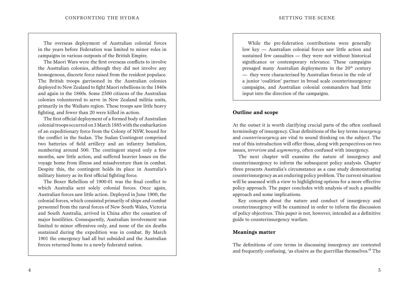The overseas deployment of Australian colonial forces in the years before Federation was limited to minor roles in campaigns in various outposts of the British Empire.

The Maori Wars were the first overseas conflicts to involve the Australian colonies, although they did not involve any homogenous, discrete force raised from the resident populace. The British troops garrisoned in the Australian colonies deployed to New Zealand to fight Maori rebellions in the 1840s and again in the 1860s. Some 2500 citizens of the Australian colonies volunteered to serve in New Zealand militia units, primarily in the Waikato region. These troops saw little heavy fighting, and fewer than 20 were killed in action.

The first official deployment of a formed body of Australian colonial troops occurred on 3 March 1885 with the embarkation of an expeditionary force from the Colony of NSW, bound for the conflict in the Sudan. The Sudan Contingent comprised two batteries of field artillery and an infantry battalion, numbering around 500. The contingent stayed only a few months, saw little action, and suffered heavier losses on the voyage home from illness and misadventure than in combat. Despite this, the contingent holds its place in Australia's military history as its first official fighting force.

The Boxer Rebellion of 1900-01 was the final conflict to which Australia sent solely colonial forces. Once again, Australian forces saw little action. Deployed in June 1900, the colonial forces, which consisted primarily of ships and combat personnel from the naval forces of New South Wales, Victoria and South Australia, arrived in China after the cessation of major hostilities. Consequently, Australian involvement was limited to minor offensives only, and none of the six deaths sustained during the expedition was in combat. By March 1901 the emergency had all but subsided and the Australian forces returned home to a newly federated nation.

While the pre-federation contributions were generally low key — Australian colonial forces saw little action and sustained few casualties — they were not without historical significance or contemporary relevance. These campaigns presaged many Australian deployments in the  $20<sup>th</sup>$  century — they were characterised by Australian forces in the role of a junior 'coalition' partner in broad scale counterinsurgency campaigns, and Australian colonial commanders had little input into the direction of the campaigns.

#### **Outline and scope**

At the outset it is worth clarifying crucial parts of the often confused terminology of insurgency. Clear definitions of the key terms *insurgency*  and *counterinsurgency* are vital to sound thinking on the subject. The rest of this introduction will offer those, along with perspectives on two issues, *terrorism* and *asymmetry*, often confused with insurgency.

The next chapter will examine the nature of insurgency and counterinsurgency to inform the subsequent policy analysis. Chapter three presents Australia's circumstance as a case study demonstrating counterinsurgency as an enduring policy problem. The current situation will be assessed with a view to highlighting options for a more effective policy approach. The paper concludes with analysis of such a possible approach and some implications.

Key concepts about the nature and conduct of insurgency and counterinsurgency will be examined in order to inform the discussion of policy objectives. This paper is not, however, intended as a definitive guide to counterinsurgency warfare.

#### **Meanings matter**

The definitions of core terms in discussing insurgency are contested and frequently confusing, 'as elusive as the guerrillas themselves.'8 The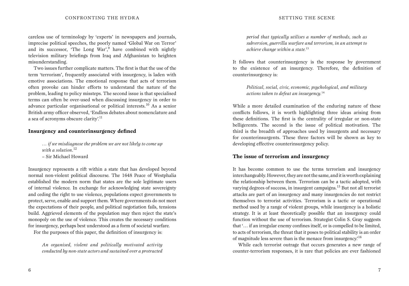careless use of terminology by 'experts' in newspapers and journals, imprecise political speeches, the poorly named 'Global War on Terror' and its successor, 'The Long War', have combined with nightly television military briefings from Iraq and Afghanistan to heighten misunderstanding.

Two issues further complicate matters. The first is that the use of the term 'terrorism', frequently associated with insurgency, is laden with emotive associations. The emotional response that acts of terrorism often provoke can hinder efforts to understand the nature of the problem, leading to policy missteps. The second issue is that specialised terms can often be over-used when discussing insurgency in order to advance particular organisational or political interests.10 As a senior British army officer observed, 'Endless debates about nomenclature and a sea of acronyms obscure clarity.<sup>11</sup>

#### **Insurgency and counterinsurgency defined**

*… if we misdiagnose the problem we are not likely to come up with a solution*. 12 – Sir Michael Howard

Insurgency represents a rift within a state that has developed beyond normal non-violent political discourse. The 1648 Peace of Westphalia established the modern norm that states are the sole legitimate users of internal violence. In exchange for acknowledging state sovereignty and ceding the right to use violence, populations expect governments to protect, serve, enable and support them. Where governments do not meet the expectations of their people, and political negotiation fails, tensions build. Aggrieved elements of the population may then reject the state's monopoly on the use of violence. This creates the necessary conditions for insurgency, perhaps best understood as a form of societal warfare.

For the purposes of this paper, the definition of insurgency is:

*An organised, violent and politically motivated activity conducted by non-state actors and sustained over a protracted*  *period that typically utilises a number of methods, such as subversion, guerrilla warfare and terrorism, in an attempt to achieve change within a state.*<sup>13</sup>

It follows that counterinsurgency is the response by government to the existence of an insurgency. Therefore, the definition of counterinsurgency is:

*Political, social, civic, economic, psychological, and military actions taken to defeat an insurgency.*<sup>14</sup>

While a more detailed examination of the enduring nature of these conflicts follows, it is worth highlighting three ideas arising from these definitions. The first is the centrality of irregular or non-state belligerents. The second is the issue of political motivation. The third is the breadth of approaches used by insurgents and necessary for counterinsurgents. These three factors will be shown as key to developing effective counterinsurgency policy.

#### **The issue of terrorism and insurgency**

It has become common to use the terms terrorism and insurgency interchangeably. However, they are not the same, and it is worth explaining the relationship between them. Terrorism can be a tactic adopted, with varying degrees of success, in insurgent campaigns.15 But not all terrorist attacks are part of an insurgency and many insurgencies do not restrict themselves to terrorist activities. Terrorism is a tactic or operational method used by a range of violent groups, while insurgency is a holistic strategy. It is at least theoretically possible that an insurgency could function without the use of terrorism. Strategist Colin S. Gray suggests that '… if an irregular enemy confines itself, or is compelled to be limited, to acts of terrorism, the threat that it poses to political stability is an order of magnitude less severe than is the menace from insurgency.'16

While each terrorist outrage that occurs generates a new range of counter-terrorism responses, it is rare that policies are ever fashioned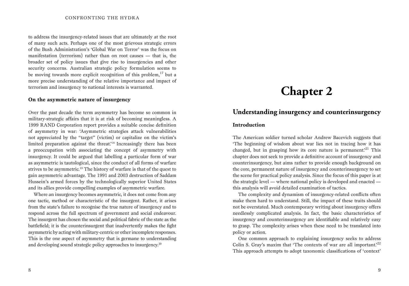to address the insurgency-related issues that are ultimately at the root of many such acts. Perhaps one of the most grievous strategic errors of the Bush Administration's 'Global War on Terror' was the focus on manifestation (terrorism) rather than on root causes — that is, the broader set of policy issues that give rise to insurgencies and other security concerns. Australian strategic policy formulation seems to be moving towards more explicit recognition of this problem,  $17$  but a more precise understanding of the relative importance and impact of terrorism and insurgency to national interests is warranted.

#### **On the asymmetric nature of insurgency**

Over the past decade the term asymmetry has become so common in military-strategic affairs that it is at risk of becoming meaningless. A 1999 RAND Corporation report provides a suitable concise definition of asymmetry in war: 'Asymmetric strategies attack vulnerabilities not appreciated by the "target" (victim) or capitalize on the victim's limited preparation against the threat.'18 Increasingly there has been a preoccupation with associating the concept of asymmetry with insurgency. It could be argued that labelling a particular form of war as asymmetric is tautological, since the conduct of all forms of warfare strives to be asymmetric.19 The history of warfare is that of the quest to gain asymmetric advantage. The 1991 and 2003 destruction of Saddam Hussein's armed forces by the technologically superior United States and its allies provide compelling examples of asymmetric warfare.

Where an insurgency becomes asymmetric, it does not come from any one tactic, method or characteristic of the insurgent. Rather, it arises from the state's failure to recognise the true nature of insurgency and to respond across the full spectrum of government and social endeavour. The insurgent has chosen the social and political fabric of the state as the battlefield; it is the counterinsurgent that inadvertently makes the fight asymmetric by acting with military-centric or other incomplete responses. This is the one aspect of asymmetry that is germane to understanding and developing sound strategic policy approaches to insurgency.20

# **Chapter 2**

## **Understanding insurgency and counterinsurgency**

#### **Introduction**

The American soldier turned scholar Andrew Bacevich suggests that 'The beginning of wisdom about war lies not in tracing how it has changed, but in grasping how its core nature is permanent.<sup>21</sup> This chapter does not seek to provide a definitive account of insurgency and counterinsurgency, but aims rather to provide enough background on the core, permanent nature of insurgency and counterinsurgency to set the scene for practical policy analysis. Since the focus of this paper is at the strategic level — where national policy is developed and enacted this analysis will avoid detailed examination of tactics.

The complexity and dynamism of insurgency-related conflicts often make them hard to understand. Still, the impact of these traits should not be overstated. Much contemporary writing about insurgency offers needlessly complicated analysis. In fact, the basic characteristics of insurgency and counterinsurgency are identifiable and relatively easy to grasp. The complexity arises when these need to be translated into policy or action.

One common approach to explaining insurgency seeks to address Colin S. Gray's maxim that 'The contexts of war are all important. $22$ This approach attempts to adopt taxonomic classifications of 'context'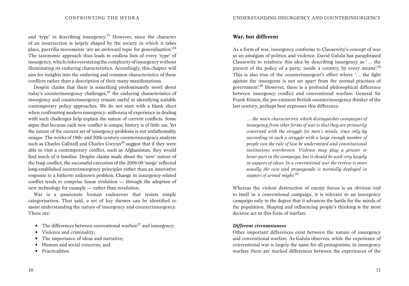and 'type' in describing insurgency.23 However, since the character of an insurrection is largely shaped by the society in which it takes place, guerrilla movements 'are an awkward topic for generalisation.'24 The taxonomic approach thus leads to endless lists of every 'type' of insurgency, which risks overstating the complexity of insurgency without illuminating its enduring characteristics. Accordingly, this chapter will aim for insights into the enduring and common characteristics of these conflicts rather than a description of their many manifestations.

Despite claims that there is something predominantly novel about today's counterinsurgency challenges, $2<sup>5</sup>$  the enduring characteristics of insurgency and counterinsurgency remain useful in identifying suitable contemporary policy approaches. We do not start with a blank sheet when confronting modern insurgency: millennia of experience in dealing with such challenges help explain the nature of current conflicts. Some argue that because each new conflict is unique, history is of little use. Yet the nature of the current set of insurgency problems is not unfathomably unique. The works of 19th- and 20th-century counterinsurgency analysts such as Charles Callwell and Charles Gwynn<sup>26</sup> suggest that if they were able to visit a contemporary conflict, such as Afghanistan, they would find much of it familiar. Despite claims made about the 'new' nature of the Iraqi conflict, the successful execution of the 2006-08 'surge' reflected long-established counterinsurgency principles rather than an innovative response to a hitherto unknown problem. Change in insurgency-related conflict tends to comprise linear evolution — through the adoption of new technology for example — rather than revolution.

War is a passionate human endeavour that resists simple categorisation. That said, a set of key themes can be identified to assist understanding the nature of insurgency and counterinsurgency. These are:

- The differences between conventional warfare<sup>27</sup> and insurgency;
- Violence and criminality;
- The importance of ideas and narrative;
- Human and social concerns; and
- Practicalities.

#### **War, but different**

As a form of war, insurgency conforms to Clausewitz's concept of war as an amalgam of politics and violence. David Galula has paraphrased Clausewitz to reinforce this idea by describing insurgency as '… the pursuit of the policy of a party, inside a country, by every means'.<sup>28</sup> This is also true of the counterinsurgent's effort where '… the fight against the insurgents is not set apart from the normal practises of government'.<sup>29</sup> However, there is a profound philosophical difference between insurgency conflict and conventional warfare. General Sir Frank Kitson, the pre-eminent British counterinsurgency thinker of the last century, perhaps best expresses this difference:

*… the main characteristic which distinguishes campaigns of insurgency from other forms of war is that they are primarily concerned with the struggle for men's minds, since only by succeeding in such a struggle with a large enough number of people can the rule of law be undermined and constitutional institutions overthrown. Violence may play a greater or lesser part in the campaign, but it should be used very largely in support of ideas. In a conventional war the reverse is more usually the case and propaganda is normally deployed in support of armed might.*<sup>30</sup>

Whereas the violent destruction of enemy forces is an obvious end to itself in a conventional campaign, it is relevant to an insurgency campaign only to the degree that it advances the battle for the minds of the population. Shaping and influencing people's thinking is the most decisive act in this form of warfare.

#### *Different circumstances*

Other important differences exist between the nature of insurgency and conventional warfare. As Galula observes, while the experience of conventional war is largely the same for all protagonists, in insurgency warfare there are marked differences between the experiences of the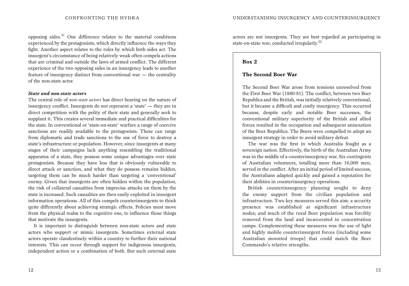opposing sides. $31$  One difference relates to the material conditions experienced by the protagonists, which directly influence the ways they fight. Another aspect relates to the rules by which both sides act. The insurgent's circumstance of being relatively weak often compels actions that are criminal and outside the laws of armed conflict. The different experience of the two opposing sides in an insurgency leads to another feature of insurgency distinct from conventional war — the centrality of the non-state actor.

#### *State and non-state actors*

The central role of *non-state actors* has direct bearing on the nature of insurgency conflict. Insurgents do not represent a 'state' — they are in direct competition with the polity of their state and generally seek to supplant it. This creates several immediate and practical difficulties for the state. In conventional or 'state-on-state' warfare a range of coercive sanctions are readily available to the protagonists. These can range from diplomatic and trade sanctions to the use of force to destroy a state's infrastructure or population. However, since insurgents at many stages of their campaigns lack anything resembling the traditional apparatus of a state, they possess some unique advantages over state protagonists. Because they have less that is obviously vulnerable to direct attack or sanction, and what they do possess remains hidden, targeting them can be much harder than targeting a 'conventional' enemy. Given that insurgents are often hidden within the population, the risk of collateral casualties from imprecise attacks on them by the state is increased. Such casualties are then easily exploited in insurgent information operations. All of this compels counterinsurgents to think quite differently about achieving strategic effects. Policies must move from the physical realm to the cognitive one, to influence those things that motivate the insurgents.

It is important to distinguish between non-state actors and state actors who support or mimic insurgents. Sometimes external state actors operate clandestinely within a country to further their national interests. This can occur through support for indigenous insurgents, independent action or a combination of both. But such external state

actors are not insurgents. They are best regarded as participating in state-on-state war, conducted irregularly.<sup>32</sup>

#### **Box 2**

#### **The Second Boer War**

The Second Boer War arose from tensions unresolved from the First Boer War (1880-81). The conflict, between two Boer Republics and the British, was initially relatively conventional, but it became a difficult and costly insurgency. This occurred because, despite early and notable Boer successes, the conventional military superiority of the British and allied forces resulted in the occupation and subsequent annexation of the Boer Republics. The Boers were compelled to adopt an insurgent strategy in order to avoid military defeat.

The war was the first in which Australia fought as a sovereign nation. Effectively, the birth of the Australian Army was in the middle of a counterinsurgency war. Six contingents of Australian volunteers, totalling more than 16,000 men, served in the conflict. After an initial period of limited success, the Australians adapted quickly and gained a reputation for their abilities in counterinsurgency operations.

British counterinsurgency planning sought to deny the enemy support from the civilian population and infrastructure. Two key measures served this aim: a security presence was established at significant infrastructure nodes; and much of the rural Boer population was forcibly removed from the land and incarcerated in concentration camps. Complementing these measures was the use of light and highly mobile counterinsurgent forces (including some Australian mounted troops) that could match the Boer Commando's relative strengths.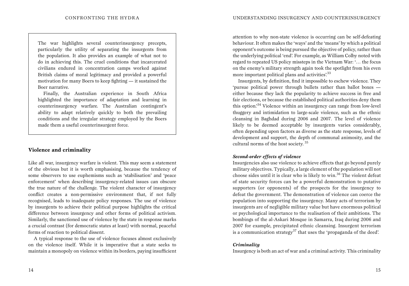The war highlights several counterinsurgency precepts, particularly the utility of separating the insurgents from the population. It also provides an example of what not to do in achieving this. The cruel conditions that incarcerated civilians endured in concentration camps worked against British claims of moral legitimacy and provided a powerful motivation for many Boers to keep fighting — it sustained the Boer narrative.

Finally, the Australian experience in South Africa highlighted the importance of adaptation and learning in counterinsurgency warfare. The Australian contingent's ability to adapt relatively quickly to both the prevailing conditions and the irregular strategy employed by the Boers made them a useful counterinsurgent force.

#### **Violence and criminality**

Like all war, insurgency warfare is violent. This may seem a statement of the obvious but it is worth emphasising, because the tendency of some observers to use euphemisms such as 'stabilisation' and 'peace enforcement' when describing insurgency-related issues can obscure the true nature of the challenge. The violent character of insurgency conflict creates a non-permissive environment that, if not fully recognised, leads to inadequate policy responses. The use of violence by insurgents to achieve their political purpose highlights the critical difference between insurgency and other forms of political activism. Similarly, the sanctioned use of violence by the state in response marks a crucial contrast (for democratic states at least) with normal, peaceful forms of reaction to political dissent.

A typical response to the use of violence focuses almost exclusively on the violence itself. While it is imperative that a state seeks to maintain a monopoly on violence within its borders, paying insufficient attention to why non-state violence is occurring can be self-defeating behaviour. It often makes the 'ways' and the 'means' by which a political opponent's outcome is being pursued the objective of policy, rather than the underlying political 'end'. For example, as William Colby noted with regard to repeated US policy missteps in the Vietnam War: '… the focus on the enemy's military strength again took the spotlight from his even more important political plans and activities'.<sup>33</sup>

Insurgents, by definition, find it impossible to eschew violence. They 'pursue political power through bullets rather than ballot boxes either because they lack the popularity to achieve success in free and fair elections, or because the established political authorities deny them this option.'34 Violence within an insurgency can range from low-level thuggery and intimidation to large-scale violence, such as the ethnic cleansing in Baghdad during 2006 and 2007. The level of violence likely to be deemed acceptable by insurgents varies considerably, often depending upon factors as diverse as the state response, levels of development and support, the depth of communal animosity, and the cultural norms of the host society.<sup>35</sup>

#### *Second-order effects of violence*

Insurgencies also use violence to achieve effects that go beyond purely military objectives. Typically, a large element of the population will not choose sides until it is clear who is likely to win.36 The violent defeat of state security forces can be a powerful demonstration to putative supporters (or opponents) of the prospects for the insurgency to defeat the government. The demonstration of violence can coerce the population into supporting the insurgency. Many acts of terrorism by insurgents are of negligible military value but have enormous political or psychological importance to the realisation of their ambitions. The bombings of the al-Askari Mosque in Samarra, Iraq during 2006 and 2007 for example, precipitated ethnic cleansing. Insurgent terrorism is a communication strategy<sup>37</sup> that uses the 'propaganda of the deed'.

#### *Criminality*

Insurgency is both an act of war and a criminal activity. This criminality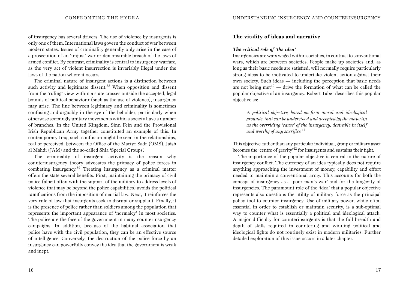of insurgency has several drivers. The use of violence by insurgents is only one of them. International laws govern the conduct of war between modern states. Issues of criminality generally only arise in the case of a prosecution of an 'unjust' war or demonstrable breach of the laws of armed conflict. By contrast, criminality is central to insurgency warfare, as the very act of violent insurrection is invariably illegal under the laws of the nation where it occurs.

The criminal nature of insurgent actions is a distinction between such activity and legitimate dissent.<sup>38</sup> When opposition and dissent from the 'ruling' view within a state crosses outside the accepted, legal bounds of political behaviour (such as the use of violence), insurgency may arise. The line between legitimacy and criminality is sometimes confusing and arguably in the eye of the beholder, particularly when otherwise seemingly unitary movements within a society have a number of branches. In the United Kingdom, Sinn Fein and the Provisional Irish Republican Army together constituted an example of this. In contemporary Iraq, such confusion might be seen in the relationships, real or perceived, between the Office of the Martyr Sadr (OMS), Jaish al Mahdi (JAM) and the so-called Shia 'Special Groups'.

The criminality of insurgent activity is the reason why counterinsurgency theory advocates the primacy of police forces in combating insurgency.39 Treating insurgency as a criminal matter offers the state several benefits. First, maintaining the primacy of civil police (albeit often with the support of the military to address levels of violence that may be beyond the police capabilities) avoids the political ramifications from the imposition of martial law. Next, it reinforces the very rule of law that insurgents seek to disrupt or supplant. Finally, it is the presence of police rather than soldiers among the population that represents the important appearance of 'normalcy' in most societies. The police are the face of the government in many counterinsurgency campaigns. In addition, because of the habitual association that police have with the civil population, they can be an effective source of intelligence. Conversely, the destruction of the police force by an insurgency can powerfully convey the idea that the government is weak and inept.

#### **The vitality of ideas and narrative**

#### *The critical role of 'the idea'*

Insurgencies are wars waged within societies, in contrast to conventional wars, which are between societies. People make up societies and, as long as their basic needs are satisfied, will normally require particularly strong ideas to be motivated to undertake violent action against their own society. Such ideas — including the perception that basic needs are not being met<sup> $40$ </sup> — drive the formation of what can be called the popular objective of an insurgency. Robert Taber describes this popular objective as:

*A political objective, based on firm moral and ideological grounds, that can be understood and accepted by the majority as the overriding 'cause' of the insurgency, desirable in itself and worthy of any sacrifice.*<sup>41</sup>

This objective, rather than any particular individual, group or military asset becomes the 'centre of gravity'42 for insurgents and sustains their fight.

The importance of the popular objective is central to the nature of insurgency conflict. The currency of an idea typically does not require anything approaching the investment of money, capability and effort needed to maintain a conventional army. This accounts for both the concept of insurgency as a 'poor man's war' and for the longevity of insurgencies. The paramount role of the 'idea' that a popular objective represents also questions the utility of military force as the principal policy tool to counter insurgency. Use of military power, while often essential in order to establish or maintain security, is a sub-optimal way to counter what is essentially a political and ideological attack. A major difficulty for counterinsurgents is that the full breadth and depth of skills required in countering and winning political and ideological fights do not routinely exist in modern militaries. Further detailed exploration of this issue occurs in a later chapter.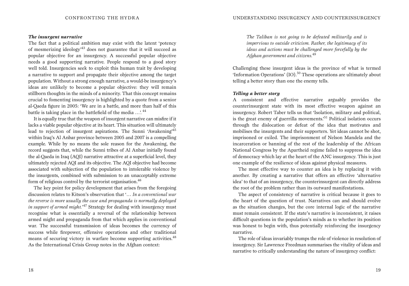#### *The insurgent narrative*

The fact that a political ambition may exist with the latent 'potency of mesmerizing ideology'43 does not guarantee that it will succeed as popular objective for an insurgency. A successful popular objective needs a good supporting narrative. People respond to a good story well told. Insurgencies seek to exploit this human trait by developing a narrative to support and propagate their objective among the target population. Without a strong enough narrative, a would-be insurgency's ideas are unlikely to become a popular objective: they will remain stillborn thoughts in the minds of a minority. That this concept remains crucial to fomenting insurgency is highlighted by a quote from a senior al-Qaeda figure in 2005: 'We are in a battle, and more than half of this battle is taking place in the battlefield of the media  $\ldots$ <sup>44</sup>

It is equally true that the weapon of insurgent narrative can misfire if it lacks a viable popular objective at its heart. This situation will ultimately lead to rejection of insurgent aspirations. The Sunni 'Awakening'45 within Iraq's Al Anbar province between 2005 and 2007 is a compelling example. While by no means the sole reason for the Awakening, the record suggests that, while the Sunni tribes of Al Anbar initially found the al-Qaeda in Iraq (AQI) narrative attractive at a superficial level, they ultimately rejected AQI and its objective. The AQI objective had become associated with subjection of the population to intolerable violence by the insurgents, combined with submission to an unacceptably extreme form of religious control by the terrorist organisation.<sup>46</sup>

The key point for policy development that arises from the foregoing discussion relates to Kitson's observation that '… *In a conventional war the reverse is more usually the case and propaganda is normally deployed in support of armed might.*' 47 Strategy for dealing with insurgency must recognise what is essentially a reversal of the relationship between armed might and propaganda from that which applies in conventional war. The successful transmission of ideas becomes the currency of success while firepower, offensive operations and other traditional means of securing victory in warfare become supporting activities.<sup>48</sup> As the International Crisis Group notes in the Afghan context:

*The Taliban is not going to be defeated militarily and is impervious to outside criticism. Rather, the legitimacy of its ideas and actions must be challenged more forcefully by the Afghan government and citizens.*<sup>49</sup>

Challenging these insurgent ideas is the province of what is termed 'Information Operations' (IO).50 These operations are ultimately about telling a better story than one the enemy tells.

#### *Telling a better story*

A consistent and effective narrative arguably provides the counterinsurgent state with its most effective weapon against an insurgency. Robert Taber tells us that 'Isolation, military and political, is the great enemy of guerrilla movements.'51 Political isolation occurs through the dislocation or defeat of the idea that motivates and mobilises the insurgents and their supporters. Yet ideas cannot be shot, imprisoned or exiled. The imprisonment of Nelson Mandela and the incarceration or banning of the rest of the leadership of the African National Congress by the Apartheid regime failed to suppress the idea of democracy which lay at the heart of the ANC insurgency. This is just one example of the resilience of ideas against physical measures.

The most effective way to counter an idea is by replacing it with another. By creating a narrative that offers an effective 'alternative idea' to that of an insurgency, the counterinsurgent can directly address the root of the problem rather than its outward manifestations.

The aspect of consistency of narrative is critical because it goes to the heart of the question of trust. Narratives can and should evolve as the situation changes, but the core internal logic of the narrative must remain consistent. If the state's narrative is inconsistent, it raises difficult questions in the population's minds as to whether its position was honest to begin with, thus potentially reinforcing the insurgency narrative.

The role of ideas invariably trumps the role of violence in resolution of insurgency. Sir Lawrence Freedman summarises the vitality of ideas and narrative to critically understanding the nature of insurgency conflict: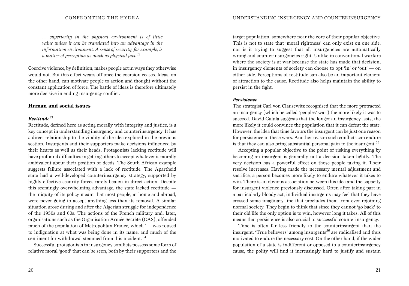*… superiority in the physical environment is of little value unless it can be translated into an advantage in the information environment. A sense of security, for example, is a matter of perception as much as physical fact.*<sup>52</sup>

Coercive violence, by definition, makes people act in ways they otherwise would not. But this effect wears off once the coercion ceases. Ideas, on the other hand, can motivate people to action and thought without the constant application of force. The battle of ideas is therefore ultimately more decisive in ending insurgency conflict.

#### **Human and social issues**

#### *Rectitude*<sup>53</sup>

Rectitude, defined here as acting morally with integrity and justice, is a key concept in understanding insurgency and counterinsurgency. It has a direct relationship to the vitality of the idea explored in the previous section. Insurgents and their supporters make decisions influenced by their hearts as well as their heads. Protagonists lacking rectitude will have profound difficulties in getting others to accept whatever is morally ambivalent about their position or deeds. The South African example suggests failure associated with a lack of rectitude. The Apartheid state had a well-developed counterinsurgency strategy, supported by highly effective security forces rarely beaten in direct action. Despite this seemingly overwhelming advantage, the state lacked rectitude the iniquity of its policy meant that most people, at home and abroad, were never going to accept anything less than its removal. A similar situation arose during and after the Algerian struggle for independence of the 1950s and 60s. The actions of the French military and, later, organisations such as the Organisation Armée Secrète (OAS), offended much of the population of Metropolitan France, which '… was roused to indignation at what was being done in its name, and much of the sentiment for withdrawal stemmed from this incident.<sup>54</sup>

Successful protagonists in insurgency conflicts possess some form of relative moral 'good' that can be seen, both by their supporters and the

target population, somewhere near the core of their popular objective. This is not to state that 'moral rightness' can only exist on one side, nor is it trying to suggest that all insurgencies are automatically wrong and counterinsurgencies right. Unlike in conventional warfare where the society is at war because the state has made that decision, in insurgency elements of society can choose to opt 'in' or 'out' — on either side. Perceptions of rectitude can also be an important element of attraction to the cause. Rectitude also helps maintain the ability to persist in the fight.

#### *Persistence*

The strategist Carl von Clausewitz recognised that the more protracted an insurgency (which he called 'peoples' war') the more likely it was to succeed. David Galula suggests that the longer an insurgency lasts, the more likely it could convince the population that it can defeat the state. However, the idea that time favours the insurgent can be just one reason for persistence in these wars. Another reason such conflicts can endure is that they can also bring substantial personal gain to the insurgent.<sup>55</sup>

Accepting a popular objective to the point of risking everything by becoming an insurgent is generally not a decision taken lightly. The very decision has a powerful effect on those people taking it. Their resolve increases. Having made the necessary mental adjustment and sacrifice, a person becomes more likely to endure whatever it takes to win. There is an obvious association between this idea and the capacity for insurgent violence previously discussed. Often after taking part in a particularly bloody act, individual insurgents may feel that they have crossed some imaginary line that precludes them from ever rejoining normal society. They begin to think that since they cannot 'go back' to their old life the only option is to win, however long it takes. All of this means that persistence is also crucial to successful counterinsurgency.

Time is often far less friendly to the counterinsurgent than the insurgent. 'True believers' among insurgents<sup>56</sup> are radicalised and thus motivated to endure the necessary cost. On the other hand, if the wider population of a state is indifferent or opposed to a counterinsurgency cause, the polity will find it increasingly hard to justify and sustain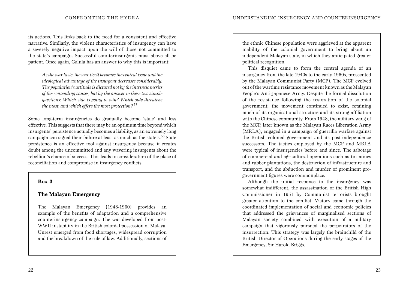its actions. This links back to the need for a consistent and effective narrative. Similarly, the violent characteristics of insurgency can have a severely negative impact upon the will of those not committed to the state's campaign. Successful counterinsurgents must above all be patient. Once again, Galula has an answer to why this is important:

*As the war lasts, the war itself becomes the central issue and the ideological advantage of the insurgent decreases considerably. The population's attitude is dictated not by the intrinsic merits of the contending causes, but by the answer to these two simple questions: Which side is going to win? Which side threatens the most, and which offers the most protection?* <sup>57</sup>

Some long-term insurgencies do gradually become 'stale' and less effective. This suggests that there may be an optimum time beyond which insurgents' persistence actually becomes a liability, as an extremely long campaign can signal their failure at least as much as the state's.58 State persistence is an effective tool against insurgency because it creates doubt among the uncommitted and any wavering insurgents about the rebellion's chance of success. This leads to consideration of the place of reconciliation and compromise in insurgency conflicts.

#### **Box 3**

#### **The Malayan Emergency**

The Malayan Emergency (1948-1960) provides an example of the benefits of adaptation and a comprehensive counterinsurgency campaign. The war developed from post-WWII instability in the British colonial possession of Malaya. Unrest emerged from food shortages, widespread corruption and the breakdown of the rule of law. Additionally, sections of the ethnic Chinese population were aggrieved at the apparent inability of the colonial government to bring about an independent Malayan state, in which they anticipated greater political recognition.

This disquiet came to form the central agenda of an insurgency from the late 1940s to the early 1960s, prosecuted by the Malayan Communist Party (MCP). The MCP evolved out of the wartime resistance movement known as the Malayan People's Anti-Japanese Army. Despite the formal dissolution of the resistance following the restoration of the colonial government, the movement continued to exist, retaining much of its organisational structure and its strong affiliation with the Chinese community. From 1948, the military wing of the MCP, later known as the Malayan Races Liberation Army (MRLA), engaged in a campaign of guerrilla warfare against the British colonial government and its post-independence successors. The tactics employed by the MCP and MRLA were typical of insurgencies before and since. The sabotage of commercial and agricultural operations such as tin mines and rubber plantations, the destruction of infrastructure and transport, and the abduction and murder of prominent progovernment figures were commonplace.

Although the initial response to the insurgency was somewhat indifferent, the assassination of the British High Commissioner in 1951 by Communist terrorists brought greater attention to the conflict. Victory came through the coordinated implementation of social and economic policies that addressed the grievances of marginalised sections of Malayan society combined with execution of a military campaign that vigorously pursued the perpetrators of the insurrection. This strategy was largely the brainchild of the British Director of Operations during the early stages of the Emergency, Sir Harold Briggs.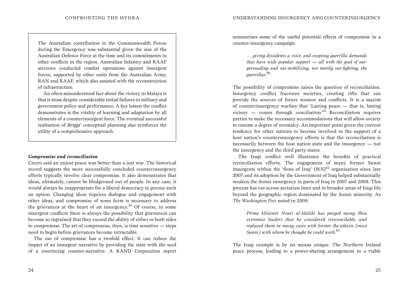The Australian contribution to the Commonwealth Forces during the Emergency was substantial given the size of the Australian Defence Force at the time and its commitments to other conflicts in the region. Australian Infantry and RAAF aircrews conducted combat operations against insurgent forces, supported by other units from the Australian Army, RAN and RAAF, which also assisted with the reconstruction of infrastructure.

An often-misunderstood fact about the victory in Malaya is that it arose despite considerable initial failures in military and government policy and performance. A key lesson the conflict demonstrates is the vitality of learning and adaptation by all elements of a counterinsurgent force. The eventual successful realisation of Briggs' conceptual planning also reinforces the utility of a comprehensive approach.

#### *Compromise and reconciliation*

Cicero said an unjust peace was better than a just war. The historical record suggests the more successfully concluded counterinsurgency efforts typically involve clear compromise. It also demonstrates that ideas, ultimately, cannot be bludgeoned out of people. In any case, it would always be inappropriate for a liberal democracy to pursue such an option. Changing ideas requires dialogue and engagement with other ideas, and compromise of some form is necessary to address the grievances at the heart of an insurgency.59 Of course, in some insurgent conflicts there is always the possibility that grievances can become so ingrained that they exceed the ability of either or both sides to compromise. The art of compromise, then, is time sensitive — steps need to begin before grievances become intractable.

The use of compromise has a twofold effect. It can reduce the impact of an insurgent narrative by providing the state with the seed of a convincing counter-narrative. A RAND Corporation report summarises some of the useful potential effects of compromise in a counter-insurgency campaign:

*… giving dissidents a voice, and coopting guerrilla demands that have wide popular support* — *all with the goal of outpersuading and out-mobilizing, not merely out-fighting, the guerrillas.*<sup>60</sup>

The possibility of compromise raises the question of reconciliation. Insurgency conflict fractures societies, creating rifts that can provide the sources of future tension and conflicts. It is a maxim of counterinsurgency warfare that 'Lasting peace — that is, lasting victory — comes through conciliation.'<sup>61</sup> Reconciliation requires parties to make the necessary accommodations that will allow society to resume a degree of normalcy. An important point given the current tendency for other nations to become involved in the support of a host nation's counterinsurgency efforts is that the reconciliation is necessarily between the host nation state and the insurgency — not the insurgency and the third party states.

The Iraqi conflict well illustrates the benefits of practical reconciliation efforts. The engagement of many former Sunni insurgents within the 'Sons of Iraq'  $(SOI)^{62}$  organisation since late 2007 and its adoption by the Government of Iraq helped substantially weaken the Sunni insurgency in parts of Iraq in 2007 and 2008. This process has cut across sectarian lines and in broader areas of Iraqi life beyond the geographic region dominated by the Sunni minority. As *The Washington Post* noted in 2008:

*Prime Minister Nouri al-Maliki has purged many Shia extremist leaders that he considered irreconcilable, and replaced them in many cases with former Ba'athists (most Sunni) with whom he thought he could work*. 63

The Iraqi example is by no means unique. The Northern Ireland peace process, leading to a power-sharing arrangement in a viable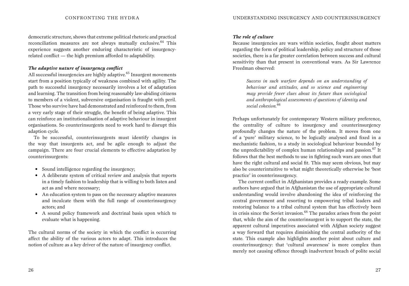democratic structure, shows that extreme political rhetoric and practical reconciliation measures are not always mutually exclusive.<sup>64</sup> This experience suggests another enduring characteristic of insurgencyrelated conflict — the high premium afforded to adaptability.

#### *The adaptive nature of insurgency conflict*

All successful insurgencies are highly adaptive.<sup>65</sup> Insurgent movements start from a position typically of weakness combined with agility. The path to successful insurgency necessarily involves a lot of adaptation and learning. The transition from being reasonably law-abiding citizens to members of a violent, subversive organisation is fraught with peril. Those who survive have had demonstrated and reinforced to them, from a very early stage of their struggle, the benefit of being adaptive. This can reinforce an institutionalisation of adaptive behaviour in insurgent organisations. So counterinsurgents need to work hard to disrupt this adaption cycle.

To be successful, counterinsurgents must identify changes in the way that insurgents act, and be agile enough to adjust the campaign. There are four crucial elements to effective adaptation by counterinsurgents:

- Sound intelligence regarding the insurgency;
- A deliberate system of critical review and analysis that reports in a timely fashion to leadership that is willing to both listen and act as and where necessary;
- An education system to pass on the necessary adaptive measures and inculcate them with the full range of counterinsurgency actors; and
- A sound policy framework and doctrinal basis upon which to evaluate what is happening.

The cultural norms of the society in which the conflict is occurring affect the ability of the various actors to adapt. This introduces the notion of culture as a key driver of the nature of insurgency conflict.

#### *The role of culture*

Because insurgencies are wars within societies, fought about matters regarding the form of political leadership, policy and structure of those societies, there is a far greater correlation between success and cultural sensitivity than that present in conventional wars. As Sir Lawrence Freedman observed:

*Success in such warfare depends on an understanding of behaviour and attitudes, and so science and engineering may provide fewer clues about its future than sociological and anthropological assessments of questions of identity and social cohesion.*<sup>66</sup>

Perhaps unfortunately for contemporary Western military preference, the centrality of culture to insurgency and counterinsurgency profoundly changes the nature of the problem. It moves from one of a 'pure' military science, to be logically analysed and fixed in a mechanistic fashion, to a study in sociological behaviour bounded by the unpredictability of complex human relationships and passion.<sup>67</sup> It follows that the best methods to use in fighting such wars are ones that have the right cultural and social fit. This may seem obvious, but may also be counterintuitive to what might theoretically otherwise be 'best practice' in counterinsurgency.

The current conflict in Afghanistan provides a ready example. Some authors have argued that in Afghanistan the use of appropriate cultural understanding would involve abandoning the idea of reinforcing the central government and resorting to empowering tribal leaders and restoring balance to a tribal cultural system that has effectively been in crisis since the Soviet invasion.68 The paradox arises from the point that, while the aim of the counterinsurgent is to support the state, the apparent cultural imperatives associated with Afghan society suggest a way forward that requires diminishing the central authority of the state. This example also highlights another point about culture and counterinsurgency: that 'cultural awareness' is more complex than merely not causing offence through inadvertent breach of polite social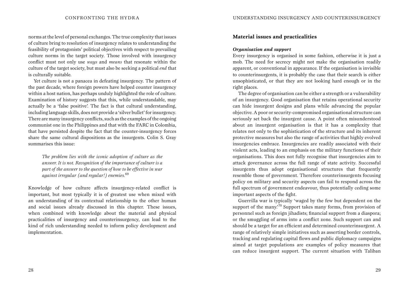norms at the level of personal exchanges. The true complexity that issues of culture bring to resolution of insurgency relates to understanding the feasibility of protagonists' political objectives with respect to prevailing culture norms in the target society. Those involved with insurgency conflict must not only use *ways* and *means* that resonate within the culture of the target society, but must also be seeking a political *end* that is culturally suitable.

Yet culture is not a panacea in defeating insurgency. The pattern of the past decade, where foreign powers have helped counter insurgency within a host nation, has perhaps unduly highlighted the role of culture. Examination of history suggests that this, while understandable, may actually be a 'false positive'. The fact is that cultural understanding, including language skills, does not provide a 'silver bullet' for insurgency. There are many insurgency conflicts, such as the examples of the ongoing communist one in the Philippines and that with the FARC in Colombia, that have persisted despite the fact that the counter-insurgency forces share the same cultural dispositions as the insurgents. Colin S. Gray summarises this issue:

*The problem lies with the iconic adoption of culture as the answer. It is not. Recognition of the importance of culture is a part of the answer to the question of how to be effective in war against irregular (and regular!) enemies.*<sup>69</sup>

Knowledge of how culture affects insurgency-related conflict is important, but most typically it is of greatest use when mixed with an understanding of its contextual relationship to the other human and social issues already discussed in this chapter. These issues, when combined with knowledge about the material and physical practicalities of insurgency and counterinsurgency, can lead to the kind of rich understanding needed to inform policy development and implementation.

#### **Material issues and practicalities**

#### *Organisation and support*

Every insurgency is organised in some fashion, otherwise it is just a mob. The need for secrecy might not make the organisation readily apparent, or conventional in appearance. If the organisation is invisible to counterinsurgents, it is probably the case that their search is either unsophisticated, or that they are not looking hard enough or in the right places.

The degree of organisation can be either a strength or a vulnerability of an insurgency. Good organisation that retains operational security can hide insurgent designs and plans while advancing the popular objective. A poor or security-compromised organisational structure can seriously set back the insurgent cause. A point often misunderstood about an insurgent organisation is that it has a complexity that relates not only to the sophistication of the structure and its inherent protective measures but also the range of activities that highly evolved insurgencies embrace. Insurgencies are readily associated with their violent acts, leading to an emphasis on the military functions of their organisations. This does not fully recognise that insurgencies aim to attack governance across the full range of state activity. Successful insurgents thus adopt organisational structures that frequently resemble those of government. Therefore counterinsurgents focusing policy on military and security aspects can fail to respond across the full spectrum of government endeavour, thus potentially ceding some important aspects of the fight.

Guerrilla war is typically 'waged by the few but dependent on the support of the many.<sup>70</sup> Support takes many forms, from provision of personnel such as foreign jihadists; financial support from a diaspora; or the smuggling of arms into a conflict zone. Such support can and should be a target for an efficient and determined counterinsurgent. A range of relatively simple initiatives such as asserting border controls, tracking and regulating capital flows and public diplomacy campaigns aimed at target populations are examples of policy measures that can reduce insurgent support. The current situation with Taliban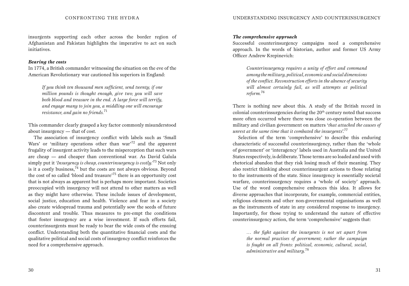insurgents supporting each other across the border region of Afghanistan and Pakistan highlights the imperative to act on such initiatives.

#### *Bearing the costs*

In 1774, a British commander witnessing the situation on the eve of the American Revolutionary war cautioned his superiors in England:

*If you think ten thousand men sufficient, send twenty; if one million pounds is thought enough, give two; you will save both blood and treasure in the end. A large force will terrify, and engage many to join you, a middling one will encourage resistance, and gain no friends.*<sup>71</sup>

This commander clearly grasped a key factor commonly misunderstood about insurgency — that of cost.

The association of insurgency conflict with labels such as 'Small Wars' or 'military operations other than war<sup>72</sup> and the apparent frugality of insurgent activity leads to the misperception that such wars are cheap — and cheaper than conventional war. As David Galula simply put it *'Insurgency is cheap, counterinsurgency is costly.'*73 Not only is it a costly business,  $74$  but the costs are not always obvious. Beyond the cost of so called 'blood and treasure'75 there is an opportunity cost that is not always as apparent but is perhaps more important. Societies preoccupied with insurgency will not attend to other matters as well as they might have otherwise. These include issues of development, social justice, education and health. Violence and fear in a society also create widespread trauma and potentially sow the seeds of future discontent and trouble. Thus measures to pre-empt the conditions that foster insurgency are a wise investment. If such efforts fail, counterinsurgents must be ready to bear the wide costs of the ensuing conflict. Understanding both the quantitative financial costs and the qualitative political and social costs of insurgency conflict reinforces the need for a comprehensive approach.

#### *The comprehensive approach*

Successful counterinsurgency campaigns need a comprehensive approach. In the words of historian, author and former US Army Officer Andrew Krepinevich:

*Counterinsurgency requires a unity of effort and command among the military, political, economic and social dimensions of the conflict. Reconstruction efforts in the absence of security will almost certainly fail, as will attempts at political reform.*<sup>76</sup>

There is nothing new about this. A study of the British record in colonial counterinsurgencies during the  $20<sup>th</sup>$  century noted that success more often occurred where there was close co-operation between the military and civilian government on matters '*that attacked the causes of unrest at the same time that it combated the insurgents*'.<sup>77</sup>

Selection of the term 'comprehensive' to describe this enduring characteristic of successful counterinsurgency, rather than the 'whole of government' or 'interagency' labels used in Australia and the United States respectively, is deliberate. Those terms are so loaded and used with rhetorical abandon that they risk losing much of their meaning. They also restrict thinking about counterinsurgent actions to those relating to the instruments of the state. Since insurgency is essentially societal warfare, counterinsurgency requires a 'whole of society' approach. Use of the word comprehensive embraces this idea. It allows for diverse approaches that incorporate, for example, commercial entities, religious elements and other non-governmental organisations as well as the instruments of state in any considered response to insurgency. Importantly, for those trying to understand the nature of effective counterinsurgency action, the term 'comprehensive' suggests that:

*… the fight against the insurgents is not set apart from the normal practises of government; rather the campaign is fought on all fronts: political, economic, cultural, social, administrative and military.*<sup>78</sup>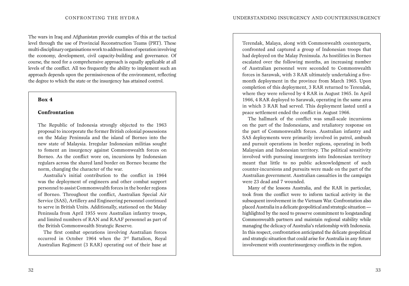The wars in Iraq and Afghanistan provide examples of this at the tactical level through the use of Provincial Reconstruction Teams (PRT). These multi-disciplinary organisations work to address lines of operation involving the economy, development, civil capacity-building and governance. Of course, the need for a comprehensive approach is equally applicable at all levels of the conflict. All too frequently the ability to implement such an approach depends upon the permissiveness of the environment, reflecting the degree to which the state or the insurgency has attained control.

#### **Box 4**

#### **Confrontation**

The Republic of Indonesia strongly objected to the 1963 proposal to incorporate the former British colonial possessions on the Malay Peninsula and the island of Borneo into the new state of Malaysia. Irregular Indonesian militias sought to foment an insurgency against Commonwealth forces on Borneo. As the conflict wore on, incursions by Indonesian regulars across the shared land border on Borneo became the norm, changing the character of the war.

Australia's initial contribution to the conflict in 1964 was the deployment of engineers and other combat support personnel to assist Commonwealth forces in the border regions of Borneo. Throughout the conflict, Australian Special Air Service (SAS), Artillery and Engineering personnel continued to serve in British Units. Additionally, stationed on the Malay Peninsula from April 1955 were Australian infantry troops, and limited numbers of RAN and RAAF personnel as part of the British Commonwealth Strategic Reserve.

The first combat operations involving Australian forces occurred in October 1964 when the 3rd Battalion, Royal Australian Regiment (3 RAR) operating out of their base at

Terendak, Malaya, along with Commonwealth counterparts, confronted and captured a group of Indonesian troops that had deployed on the Malay Peninsula. As hostilities in Borneo escalated over the following months, an increasing number of Australian personnel were seconded to Commonwealth forces in Sarawak, with 3 RAR ultimately undertaking a fivemonth deployment in the province from March 1965. Upon completion of this deployment, 3 RAR returned to Terendak, where they were relieved by 4 RAR in August 1965. In April 1966, 4 RAR deployed to Sarawak, operating in the same area in which 3 RAR had served. This deployment lasted until a peace settlement ended the conflict in August 1966.

The hallmark of the conflict was small-scale incursions on the part of the Indonesians, and retaliatory response on the part of Commonwealth forces. Australian infantry and SAS deployments were primarily involved in patrol, ambush and pursuit operations in border regions, operating in both Malaysian and Indonesian territory. The political sensitivity involved with pursuing insurgents into Indonesian territory meant that little to no public acknowledgment of such counter-incursions and pursuits were made on the part of the Australian government. Australian casualties in the campaign were 23 dead and 7 wounded.

Many of the lessons Australia, and the RAR in particular, took from the conflict were to inform tactical activity in the subsequent involvement in the Vietnam War. Confrontation also placed Australia in a delicate geopolitical and strategic situation highlighted by the need to preserve commitment to longstanding Commonwealth partners and maintain regional stability while managing the delicacy of Australia's relationship with Indonesia. In this respect, confrontation anticipated the delicate geopolitical and strategic situation that could arise for Australia in any future involvement with counterinsurgency conflicts in the region.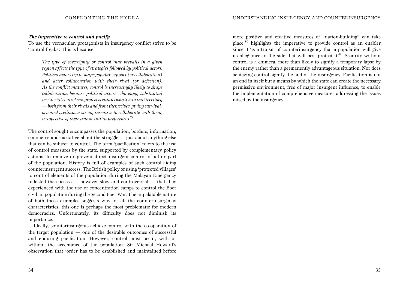#### *The imperative to control and pacify*

To use the vernacular, protagonists in insurgency conflict strive to be 'control freaks'. This is because:

*The type of sovereignty or control that prevails in a given region affects the type of strategies followed by political actors. Political actors try to shape popular support (or collaboration) and deter collaboration with their rival (or defection). As the conflict matures, control is increasingly likely to shape collaboration because political actors who enjoy substantial territorial control can protect civilians who live in that territory — both from their rivals and from themselves, giving survivaloriented civilians a strong incentive to collaborate with them, irrespective of their true or initial preferences.*<sup>79</sup>

The control sought encompasses the population, borders, information, commerce and narrative about the struggle — just about anything else that can be subject to control. The term 'pacification' refers to the use of control measures by the state, supported by complementary policy actions, to remove or prevent direct insurgent control of all or part of the population. History is full of examples of such control aiding counterinsurgent success. The British policy of using 'protected villages' to control elements of the population during the Malayan Emergency reflected the success — however slow and controversial — that they experienced with the use of concentration camps to control the Boer civilian population during the Second Boer War. The unpalatable nature of both these examples suggests why, of all the counterinsurgency characteristics, this one is perhaps the most problematic for modern democracies. Unfortunately, its difficulty does not diminish its importance.

Ideally, counterinsurgents achieve control with the co-operation of the target population — one of the desirable outcomes of successful and enduring pacification. However, control must occur, with or without the acceptance of the population. Sir Michael Howard's observation that 'order has to be established and maintained before more positive and creative measures of "nation-building" can take place'80 highlights the imperative to provide control as an enabler since it 'is a truism of counterinsurgency that a population will give its allegiance to the side that will best protect it.<sup>81</sup> Security without control is a chimera, more than likely to signify a temporary lapse by the enemy rather than a permanently advantageous situation. Nor does achieving control signify the end of the insurgency. Pacification is not an end in itself but a means by which the state can create the necessary permissive environment, free of major insurgent influence, to enable the implementation of comprehensive measures addressing the issues raised by the insurgency.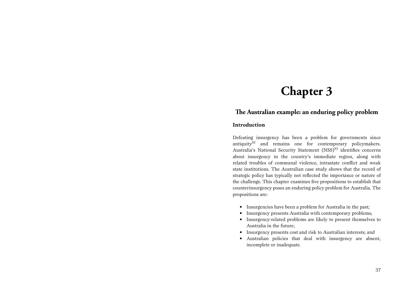# **Chapter 3**

#### **The Australian example: an enduring policy problem**

#### **Introduction**

Defeating insurgency has been a problem for governments since antiquity<sup>82</sup> and remains one for contemporary policymakers. Australia's National Security Statement (NSS)<sup>83</sup> identifies concerns about insurgency in the country's immediate region, along with related troubles of communal violence, intrastate conflict and weak state institutions. The Australian case study shows that the record of strategic policy has typically not reflected the importance or nature of the challenge. This chapter examines five propositions to establish that counterinsurgency poses an enduring policy problem for Australia. The propositions are:

- Insurgencies have been a problem for Australia in the past;
- Insurgency presents Australia with contemporary problems;
- Insurgency-related problems are likely to present themselves to Australia in the future;
- Insurgency presents cost and risk to Australian interests; and
- Australian policies that deal with insurgency are absent, incomplete or inadequate.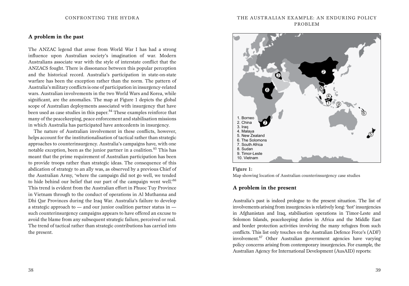#### THE AUSTRALIAN EXAMPLE: AN ENDURING POLICY PROBLEM

#### **A problem in the past**

The ANZAC legend that arose from World War I has had a strong influence upon Australian society's imagination of war. Modern Australians associate war with the style of interstate conflict that the ANZACS fought. There is dissonance between this popular perception and the historical record. Australia's participation in state-on-state warfare has been the exception rather than the norm. The pattern of Australia's military conflicts is one of participation in insurgency-related wars. Australian involvements in the two World Wars and Korea, while significant, are the anomalies. The map at Figure 1 depicts the global scope of Australian deployments associated with insurgency that have been used as case studies in this paper.<sup>84</sup> These examples reinforce that many of the peacekeeping, peace enforcement and stabilisation missions in which Australia has participated have antecedents in insurgency.

The nature of Australian involvement in these conflicts, however, helps account for the institutionalisation of tactical rather than strategic approaches to counterinsurgency. Australia's campaigns have, with one notable exception, been as the junior partner in a coalition.<sup>85</sup> This has meant that the prime requirement of Australian participation has been to provide troops rather than strategic ideas. The consequence of this abdication of strategy to an ally was, as observed by a previous Chief of the Australian Army, 'where the campaign did not go well, we tended to hide behind our belief that our part of the campaign went well.<sup>86</sup> This trend is evident from the Australian effort in Phuoc Tuy Province in Vietnam through to the conduct of operations in Al Muthanna and Dhi Qar Provinces during the Iraq War. Australia's failure to develop a strategic approach to — and our junior coalition partner status in such counterinsurgency campaigns appears to have offered an excuse to avoid the blame from any subsequent strategic failure, perceived or real. The trend of tactical rather than strategic contributions has carried into the present.





Map showing location of Australian counterinsurgency case studies

#### **A problem in the present**

Australia's past is indeed prologue to the present situation. The list of involvements arising from insurgencies is relatively long: 'hot' insurgencies in Afghanistan and Iraq, stabilisation operations in Timor-Leste and Solomon Islands, peacekeeping duties in Africa and the Middle East and border protection activities involving the many refugees from such conflicts. This list only touches on the Australian Defence Force's (ADF) involvement.87 Other Australian government agencies have varying policy concerns arising from contemporary insurgencies. For example, the Australian Agency for International Development (AusAID) reports: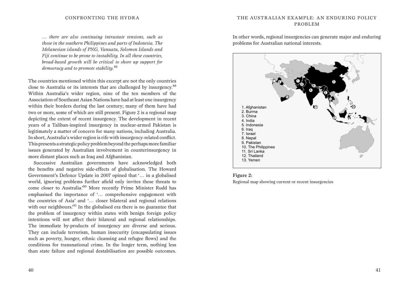#### CONFRONTING THE HYDRA

*… there are also continuing intrastate tensions, such as those in the southern Philippines and parts of Indonesia. The Melanesian islands of PNG, Vanuatu, Solomon Islands and Fiji continue to be prone to instability. In all these countries, broad-based growth will be critical to shore up support for democracy and to promote stability.*<sup>88</sup>

The countries mentioned within this excerpt are not the only countries close to Australia or its interests that are challenged by insurgency.89 Within Australia's wider region, nine of the ten members of the Association of Southeast Asian Nations have had at least one insurgency within their borders during the last century; many of them have had two or more, some of which are still present. Figure 2 is a regional map depicting the extent of recent insurgency. The development in recent years of a Taliban-inspired insurgency in nuclear-armed Pakistan is legitimately a matter of concern for many nations, including Australia. In short, Australia's wider region is rife with insurgency-related conflict. This presents a strategic policy problem beyond the perhaps more familiar issues generated by Australian involvement in counterinsurgency in more distant places such as Iraq and Afghanistan.

Successive Australian governments have acknowledged both the benefits and negative side-effects of globalisation. The Howard Government's Defence Update in 2007 opined that '… in a globalised world, ignoring problems further afield only invites these threats to come closer to Australia.'90 More recently Prime Minister Rudd has emphasised the importance of '… comprehensive engagement with the countries of Asia' and '… closer bilateral and regional relations with our neighbours.<sup>91</sup> In the globalised era there is no guarantee that the problem of insurgency within states with benign foreign policy intentions will not affect their bilateral and regional relationships. The immediate by-products of insurgency are diverse and serious. They can include terrorism, human insecurity (encapsulating issues such as poverty, hunger, ethnic cleansing and refugee flows) and the conditions for transnational crime. In the longer term, nothing less than state failure and regional destabilisation are possible outcomes.

#### THE AUSTRALIAN EXAMPLE: AN ENDURING POLICY PROBLEM

In other words, regional insurgencies can generate major and enduring problems for Australian national interests.



#### Figure 2:

Regional map showing current or recent insurgencies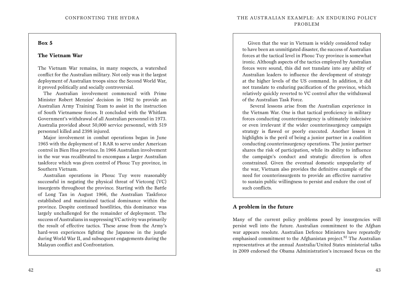#### **Box 5**

#### **The Vietnam War**

The Vietnam War remains, in many respects, a watershed conflict for the Australian military. Not only was it the largest deployment of Australian troops since the Second World War, it proved politically and socially controversial.

The Australian involvement commenced with Prime Minister Robert Menzies' decision in 1962 to provide an Australian Army Training Team to assist in the instruction of South Vietnamese forces. It concluded with the Whitlam Government's withdrawal of all Australian personnel in 1973. Australia provided about 50,000 service personnel, with 519 personnel killed and 2398 injured.

Major involvement in combat operations began in June 1965 with the deployment of 1 RAR to serve under American control in Bien Hoa province. In 1966 Australian involvement in the war was recalibrated to encompass a larger Australian taskforce which was given control of Phouc Tuy province, in Southern Vietnam.

Australian operations in Phouc Tuy were reasonably successful in negating the physical threat of Vietcong (VC) insurgents throughout the province. Starting with the Battle of Long Tan in August 1966, the Australian Taskforce established and maintained tactical dominance within the province. Despite continued hostilities, this dominance was largely unchallenged for the remainder of deployment. The success of Australians in suppressing VC activity was primarily the result of effective tactics. These arose from the Army's hard-won experiences fighting the Japanese in the jungle during World War II, and subsequent engagements during the Malayan conflict and Confrontation.

Given that the war in Vietnam is widely considered today to have been an unmitigated disaster, the success of Australian forces at the tactical level in Phouc Tuy province is somewhat ironic. Although aspects of the tactics employed by Australian forces were sound, this did not translate into any ability of Australian leaders to influence the development of strategy at the higher levels of the US command. In addition, it did not translate to enduring pacification of the province, which relatively quickly reverted to VC control after the withdrawal of the Australian Task Force.

 Several lessons arise from the Australian experience in the Vietnam War. One is that tactical proficiency in military forces conducting counterinsurgency is ultimately indecisive or even irrelevant if the wider counterinsurgency campaign strategy is flawed or poorly executed. Another lesson it highlights is the peril of being a junior partner in a coalition conducting counterinsurgency operations. The junior partner shares the risk of participation, while its ability to influence the campaign's conduct and strategic direction is often constrained. Given the eventual domestic unpopularity of the war, Vietnam also provides the definitive example of the need for counterinsurgents to provide an effective narrative to sustain public willingness to persist and endure the cost of such conflicts.

#### **A problem in the future**

Many of the current policy problems posed by insurgencies will persist well into the future. Australian commitment to the Afghan war appears resolute. Australian Defence Ministers have repeatedly emphasised commitment to the Afghanistan project. $92$  The Australian representatives at the annual Australia/United States ministerial talks in 2009 endorsed the Obama Administration's increased focus on the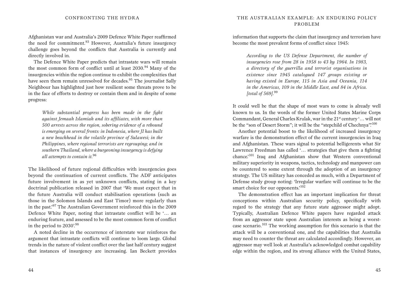#### Afghanistan war and Australia's 2009 Defence White Paper reaffirmed the need for commitment. $93$  However, Australia's future insurgency challenge goes beyond the conflicts that Australia is currently and directly involved in.

The Defence White Paper predicts that intrastate wars will remain the most common form of conflict until at least  $2030$ .<sup>94</sup> Many of the insurgencies within the region continue to exhibit the complexities that have seen them remain unresolved for decades.<sup>95</sup> The journalist Sally Neighbour has highlighted just how resilient some threats prove to be in the face of efforts to destroy or contain them and in despite of some progress:

*While substantial progress has been made in the fight against Jemaah Islamiah and its affiliates, with more than 500 arrests across the region, sobering evidence of a rebound is emerging on several fronts: in Indonesia, where JI has built a new beachhead in the volatile province of Sulawesi; in the Philippines, where regional terrorists are regrouping; and in southern Thailand, where a burgeoning insurgency is defying all attempts to contain it.*<sup>96</sup>

The likelihood of future regional difficulties with insurgencies goes beyond the continuation of current conflicts. The ADF anticipates future involvement in as yet unknown conflicts, stating in a key doctrinal publication released in 2007 that 'We must expect that in the future Australia will conduct stabilisation operations (such as those in the Solomon Islands and East Timor) more regularly than in the past.'97 The Australian Government reinforced this in the 2009 Defence White Paper, noting that intrastate conflict will be '… an enduring feature, and assessed to be the most common form of conflict in the period to 2030'.<sup>98</sup>

A noted decline in the occurrence of interstate war reinforces the argument that intrastate conflicts will continue to loom large. Global trends in the nature of violent conflict over the last half century suggest that instances of insurgency are increasing. Ian Beckett provides

#### THE AUSTRALIAN EXAMPLE: AN ENDURING POLICY PROBLEM

information that supports the claim that insurgency and terrorism have become the most prevalent forms of conflict since 1945:

*According to the US Defense Department, the number of insurgencies rose from 28 in 1958 to 43 by 1964. In 1983, a directory of the guerrilla and terrorist organisations in existence since 1945 catalogued 147 groups existing or having existed in Europe, 115 in Asia and Oceania, 114 in the Americas, 109 in the Middle East, and 84 in Africa. [total of 569].*<sup>99</sup>

It could well be that the shape of most wars to come is already well known to us. In the words of the former United States Marine Corps Commandant, General Charles Krulak, war in the 21<sup>st</sup> century '... will not be the "son of Desert Storm"; it will be the "stepchild of Chechnya".'100

Another potential boost to the likelihood of increased insurgency warfare is the demonstration effect of the current insurgencies in Iraq and Afghanistan. These wars signal to potential belligerents what Sir Lawrence Freedman has called '… strategies that give them a fighting chance.'101 Iraq and Afghanistan show that Western conventional military superiority in weapons, tactics, technology and manpower can be countered to some extent through the adoption of an insurgency strategy. The US military has conceded as much, with a Department of Defense study group noting: 'Irregular warfare will continue to be the smart choice for our opponents.<sup>102</sup>

The demonstration effect has an important implication for threat conceptions within Australian security policy, specifically with regard to the strategy that any future state aggressor might adopt. Typically, Australian Defence White papers have regarded attack from an aggressor state upon Australian interests as being a worstcase scenario.103 The working assumption for this scenario is that the attack will be a conventional one, and the capabilities that Australia may need to counter the threat are calculated accordingly. However, an aggressor may well look at Australia's acknowledged combat capability edge within the region, and its strong alliance with the United States,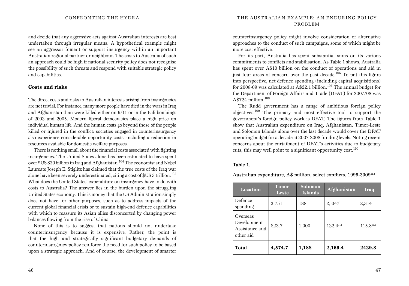and decide that any aggressive acts against Australian interests are best undertaken through irregular means. A hypothetical example might see an aggressor foment or support insurgency within an important Australian regional partner or neighbour. The costs to Australia of such an approach could be high if national security policy does not recognise the possibility of such threats and respond with suitable strategic policy and capabilities.

#### **Costs and risks**

The direct costs and risks to Australian interests arising from insurgencies are not trivial. For instance, many more people have died in the wars in Iraq and Afghanistan than were killed either on 9/11 or in the Bali bombings of 2002 and 2005. Modern liberal democracies place a high price on individual human life. And the human costs go beyond those of the people killed or injured in the conflict: societies engaged in counterinsurgency also experience considerable opportunity costs, including a reduction in resources available for domestic welfare purposes.

There is nothing small about the financial costs associated with fighting insurgencies. The United States alone has been estimated to have spent over \$US 830 billion in Iraq and Afghanistan.104 The economist and Nobel Laureate Joseph E. Stiglitz has claimed that the true costs of the Iraq war alone have been severely underestimated, citing a cost of \$US 3 trillion.<sup>105</sup> What does the United States' expenditure on insurgency have to do with costs to Australia? The answer lies in the burden upon the struggling United States economy. This is money that the US Administration simply does not have for other purposes, such as to address impacts of the current global financial crisis or to sustain high-end defence capabilities with which to reassure its Asian allies disconcerted by changing power balances flowing from the rise of China.

None of this is to suggest that nations should not undertake counterinsurgency because it is expensive. Rather, the point is that the high and strategically significant budgetary demands of counterinsurgency policy reinforce the need for such policy to be based upon a strategic approach. And of course, the development of smarter

#### THE AUSTRALIAN EXAMPLE: AN ENDURING POLICY PROBLEM

counterinsurgency policy might involve consideration of alternative approaches to the conduct of such campaigns, some of which might be more cost effective.

For its part, Australia has spent substantial sums on its various commitments to conflicts and stabilisation. As Table 1 shows, Australia has spent over A\$10 billion on the conduct of operations and aid in just four areas of concern over the past decade.<sup>106</sup> To put this figure into perspective, net defence spending (including capital acquisitions) for 2008-09 was calculated at A\$22.1 billion.<sup>107</sup> The annual budget for the Department of Foreign Affairs and Trade (DFAT) for 2007/08 was A\$724 million. $108$ 

The Rudd government has a range of ambitious foreign policy objectives.109 The primary and most effective tool to support the government's foreign policy work is DFAT. The figures from Table 1 show that Australian expenditure on Iraq, Afghanistan, Timor-Leste and Solomon Islands alone over the last decade would cover the DFAT operating budget for a decade at 2007-2008 funding levels. Noting recent concerns about the curtailment of DFAT's activities due to budgetary cuts, this may well point to a significant opportunity cost.<sup>110</sup>

#### Table 1.

Australian expenditure, A\$ million, select conflicts, 1999-2009113

| Location                                               | Timor-<br>Leste | Solomon<br><b>Islands</b> | Afghanistan   | Iraq          |
|--------------------------------------------------------|-----------------|---------------------------|---------------|---------------|
| Defence<br>spending                                    | 3,751           | 188                       | 2,047         | 2,314         |
| Overseas<br>Development<br>Assistance and<br>other aid | 823.7           | 1,000                     | $122.4^{111}$ | $115.8^{112}$ |
| Total                                                  | 4,574.7         | 1,188                     | 2,169.4       | 2429.8        |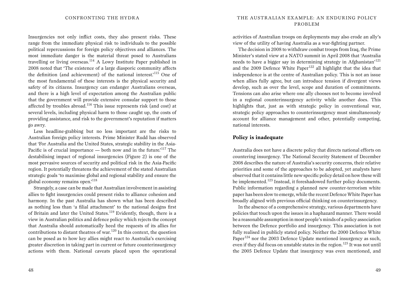THE AUSTRALIAN EXAMPLE: AN ENDURING POLICY PROBLEM

Insurgencies not only inflict costs, they also present risks. These range from the immediate physical risk to individuals to the possible political repercussions for foreign policy objectives and alliances. The most immediate danger is the material threat posed to Australians travelling or living overseas.<sup>114</sup> A Lowy Institute Paper published in 2008 noted that 'The existence of a large diasporic community affects the definition (and achievement) of the national interest.'115 One of the most fundamental of these interests is the physical security and safety of its citizens. Insurgency can endanger Australians overseas, and there is a high level of expectation among the Australian public that the government will provide extensive consular support to those affected by troubles abroad.116 This issue represents risk (and cost) at several levels, including physical harm to those caught up, the costs of providing assistance, and risk to the government's reputation if matters go awry.

Less headline-grabbing but no less important are the risks to Australian foreign policy interests. Prime Minister Rudd has observed that 'For Australia and the United States, strategic stability in the Asia-Pacific is of crucial importance — both now and in the future.'<sup>117</sup> The destabilising impact of regional insurgencies (Figure 2) is one of the most pervasive sources of security and political risk in the Asia-Pacific region. It potentially threatens the achievement of the stated Australian strategic goals 'to maximise global and regional stability and ensure the global economy remains open.'118

Strangely, a case can be made that Australian involvement in assisting allies to fight insurgencies could present risks to alliance cohesion and harmony. In the past Australia has shown what has been described as nothing less than 'a filial attachment' to the national designs first of Britain and later the United States.<sup>119</sup> Evidently, though, there is a view in Australian politics and defence policy which rejects the concept that Australia should automatically heed the requests of its allies for contributions to distant theatres of war.120 In this context, the question can be posed as to how key allies might react to Australia's exercising greater discretion in taking part in current or future counterinsurgency actions with them. National caveats placed upon the operational

activities of Australian troops on deployments may also erode an ally's view of the utility of having Australia as a war-fighting partner.

The decision in 2008 to withdraw combat troops from Iraq, the Prime Minister's stated view at a NATO summit in April 2008 that 'Australia needs to have a bigger say in determining strategy in Afghanistan'<sup>121</sup> and the 2009 Defence White Paper<sup>122</sup> all highlight that the idea that independence is at the centre of Australian policy. This is not an issue when allies fully agree, but can introduce tension if divergent views develop, such as over the level, scope and duration of commitments. Tensions can also arise where one ally chooses not to become involved in a regional counterinsurgency activity while another does. This highlights that, just as with strategic policy in conventional war, strategic policy approaches to counterinsurgency must simultaneously account for alliance management and other, potentially competing, national interests.

#### **Policy is inadequate**

Australia does not have a discrete policy that directs national efforts on countering insurgency. The National Security Statement of December 2008 describes the nature of Australia's security concerns, their relative priorities and some of the approaches to be adopted, yet analysts have observed that it contains little new specific policy detail on how these will be implemented.123 Instead, it foreshadowed further policy documents. Public information regarding a planned new counter-terrorism white paper has been slow to emerge, while the recent Defence White Paper has broadly aligned with previous official thinking on counterinsurgency.

In the absence of a comprehensive strategy, various departments have policies that touch upon the issues in a haphazard manner. There would be a reasonable assumption in most people's minds of a policy association between the Defence portfolio and insurgency. This association is not fully realised in publicly stated policy. Neither the 2000 Defence White Paper<sup>124</sup> nor the 2003 Defence Update mentioned insurgency as such, even if they did focus on unstable states in the region.<sup>125</sup> It was not until the 2005 Defence Update that insurgency was even mentioned, and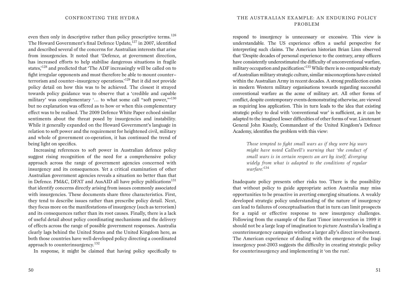even then only in descriptive rather than policy prescriptive terms.<sup>126</sup> The Howard Government's final Defence Update,<sup>127</sup> in 2007, identified and described several of the concerns for Australian interests that arise from insurgencies. It noted that 'Defence, at government direction, has increased efforts to help stabilise dangerous situations in fragile states,'128 and predicted that 'The ADF increasingly will be called on to fight irregular opponents and must therefore be able to mount counter– terrorism and counter–insurgency operations.'129 But it did not provide policy detail on how this was to be achieved. The closest it strayed towards policy guidance was to observe that a 'credible and capable military' was complementary '... to what some call "soft power,"<sup>130</sup> but no explanation was offered as to how or when this complementary effect was to be realised. The 2009 Defence White Paper echoed similar sentiments about the threat posed by insurgencies and instability. While it generally expanded on the Howard Government's language in relation to soft power and the requirement for heightened civil, military and whole of government co-operation, it has continued the trend of being light on specifics.

Increasing references to soft power in Australian defence policy suggest rising recognition of the need for a comprehensive policy approach across the range of government agencies concerned with insurgency and its consequences. Yet a critical examination of other Australian government agencies reveals a situation no better than that in Defence. PM&C, DFAT and AusAID all have policy publications<sup>131</sup> that identify concerns directly arising from issues commonly associated with insurgencies. These documents share three characteristics. First, they tend to describe issues rather than prescribe policy detail. Next, they focus more on the manifestations of insurgency (such as terrorism) and its consequences rather than its root causes. Finally, there is a lack of useful detail about policy coordinating mechanisms and the delivery of effects across the range of possible government responses. Australia clearly lags behind the United States and the United Kingdom here, as both those countries have well-developed policy directing a coordinated approach to counterinsurgency.132

In response, it might be claimed that having policy specifically to

#### THE AUSTRALIAN EXAMPLE: AN ENDURING POLICY PROBLEM

respond to insurgency is unnecessary or excessive. This view is understandable. The US experience offers a useful perspective for interpreting such claims. The American historian Brian Linn observed that 'Despite decades of personal experience to the contrary, army officers have consistently underestimated the difficulty of unconventional warfare, military occupation and pacification.<sup>133</sup> While there is no comparable study of Australian military strategic culture, similar misconceptions have existed within the Australian Army in recent decades. A strong predilection exists in modern Western military organisations towards regarding successful conventional warfare as the acme of military art. All other forms of conflict, despite contemporary events demonstrating otherwise, are viewed as requiring less application. This in turn leads to the idea that existing strategic policy to deal with 'conventional war' is sufficient, as it can be adapted to the imagined lesser difficulties of other forms of war. Lieutenant General John Kiszely, Commandant of the United Kingdom's Defence Academy, identifies the problem with this view:

*Those tempted to fight small wars as if they were big wars might have noted Callwell's warning that 'the conduct of small wars is in certain respects an art by itself, diverging widely from what is adapted to the conditions of regular warfare.'*<sup>134</sup>

Inadequate policy presents other risks too. There is the possibility that without policy to guide appropriate action Australia may miss opportunities to be proactive in averting emerging situations. A weakly developed strategic policy understanding of the nature of insurgency can lead to failures of conceptualisation that in turn can limit prospects for a rapid or effective response to new insurgency challenges. Following from the example of the East Timor intervention in 1999 it should not be a large leap of imagination to picture Australia's leading a counterinsurgency campaign without a larger ally's direct involvement. The American experience of dealing with the emergence of the Iraqi insurgency post-2003 suggests the difficulty in creating strategic policy for counterinsurgency and implementing it 'on the run'.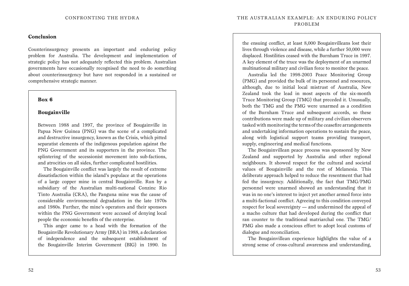#### **Conclusion**

Counterinsurgency presents an important and enduring policy problem for Australia. The development and implementation of strategic policy has not adequately reflected this problem. Australian governments have occasionally recognised the need to do something about counterinsurgency but have not responded in a sustained or comprehensive strategic manner.

#### **Box 6**

#### **Bougainville**

Between 1988 and 1997, the province of Bougainville in Papua New Guinea (PNG) was the scene of a complicated and destructive insurgency, known as the Crisis, which pitted separatist elements of the indigenous population against the PNG Government and its supporters in the province. The splintering of the secessionist movement into sub-factions, and atrocities on all sides, further complicated hostilities.

The Bougainville conflict was largely the result of extreme dissatisfaction within the island's populace at the operations of a large copper mine in central Bougainville. Run by a subsidiary of the Australian multi-national Conzinc Rio Tinto Australia (CRA), the Panguna mine was the cause of considerable environmental degradation in the late 1970s and 1980s. Further, the mine's operators and their sponsors within the PNG Government were accused of denying local people the economic benefits of the enterprise.

This anger came to a head with the formation of the Bougainville Revolutionary Army (BRA) in 1988, a declaration of independence and the subsequent establishment of the Bougainville Interim Government (BIG) in 1990. In

the ensuing conflict, at least 8,000 Bougainvilleans lost their lives through violence and disease, while a further 50,000 were displaced. Hostilities ceased with the Burnham Truce in 1997. A key element of the truce was the deployment of an unarmed multinational military and civilian force to monitor the peace.

Australia led the 1998-2003 Peace Monitoring Group (PMG) and provided the bulk of its personnel and resources, although, due to initial local mistrust of Australia, New Zealand took the lead in most aspects of the six-month Truce Monitoring Group (TMG) that preceded it. Unusually, both the TMG and the PMG were unarmed as a condition of the Burnham Truce and subsequent accords, so these contributions were made up of military and civilian observers tasked with monitoring the terms of the ceasefire arrangements and undertaking information operations to sustain the peace, along with logistical support teams providing transport, supply, engineering and medical functions.

The Bougainvillean peace process was sponsored by New Zealand and supported by Australia and other regional neighbours. It showed respect for the cultural and societal values of Bougainville and the rest of Melanesia. This deliberate approach helped to reduce the resentment that had fed the insurgency. Additionally, the fact that TMG/PMG personnel were unarmed showed an understanding that it was in no one's interest to inject yet another armed force into a multi-factional conflict. Agreeing to this condition conveyed respect for local sovereignty — and undermined the appeal of a macho culture that had developed during the conflict that ran counter to the traditional matriarchal one. The TMG/ PMG also made a conscious effort to adopt local customs of dialogue and reconciliation.

The Bougainvillean experience highlights the value of a strong sense of cross-cultural awareness and understanding,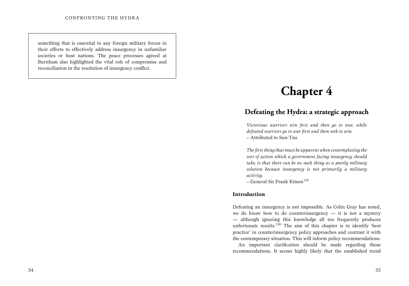something that is essential to any foreign military forces in their efforts to effectively address insurgency in unfamiliar societies or host nations. The peace processes agreed at Burnham also highlighted the vital role of compromise and reconciliation in the resolution of insurgency conflict.

# **Chapter 4**

### **Defeating the Hydra: a strategic approach**

*Victorious warriors win first and then go to war, while defeated warriors go to war first and then seek to win.*  – Attributed to Sun-Tzu

*The first thing that must be apparent when contemplating the sort of action which a government facing insurgency should take, is that there can be no such thing as a purely military solution because insurgency is not primarily a military activity.* 

– General Sir Frank Kitson<sup>135</sup>

#### **Introduction**

Defeating an insurgency is not impossible. As Colin Gray has noted, we do know how to do counterinsurgency  $-$  it is not a mystery — although ignoring this knowledge all too frequently produces unfortunate results.136 The aim of this chapter is to identify 'best practice' in counterinsurgency policy approaches and contrast it with the contemporary situation. This will inform policy recommendations.

An important clarification should be made regarding those recommendations. It seems highly likely that the established trend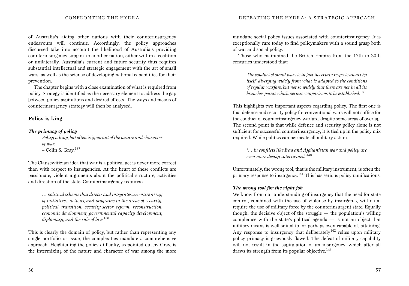of Australia's aiding other nations with their counterinsurgency endeavours will continue. Accordingly, the policy approaches discussed take into account the likelihood of Australia's providing counterinsurgency support to another nation, either within a coalition or unilaterally. Australia's current and future security thus requires substantial intellectual and strategic engagement with the art of small wars, as well as the science of developing national capabilities for their prevention.

The chapter begins with a close examination of what is required from policy. Strategy is identified as the necessary element to address the gap between policy aspirations and desired effects. The ways and means of counterinsurgency strategy will then be analysed.

#### **Policy is king**

#### *The primacy of policy*

*Policy is king, but often is ignorant of the nature and character of war.* – Colin S. Gray.137

The Clausewitizian idea that war is a political act is never more correct than with respect to insurgencies. At the heart of these conflicts are passionate, violent arguments about the political structure, activities and direction of the state. Counterinsurgency requires a

*… political scheme that directs and integrates an entire array of initiatives, actions, and programs in the areas of security, political transition, security-sector reform, reconstruction, economic development, governmental capacity development, diplomacy, and the rule of law.*<sup>138</sup>

This is clearly the domain of policy, but rather than representing any single portfolio or issue, the complexities mandate a comprehensive approach. Heightening the policy difficulty, as pointed out by Gray, is the intermixing of the nature and character of war among the more mundane social policy issues associated with counterinsurgency. It is exceptionally rare today to find policymakers with a sound grasp both of war and social policy.

Those who maintained the British Empire from the 17th to 20th centuries understood that:

*The conduct of small wars is in fact in certain respects an art by itself, diverging widely from what is adapted to the conditions of regular warfare, but not so widely that there are not in all its branches points which permit comparisons to be established.*<sup>139</sup>

This highlights two important aspects regarding policy. The first one is that defence and security policy for conventional wars will not suffice for the conduct of counterinsurgency warfare, despite some areas of overlap. The second point is that while defence and security policy alone is not sufficient for successful counterinsurgency, it is tied up in the policy mix required. While politics can permeate all military action*,* 

*'… in conflicts like Iraq and Afghanistan war and policy are even more deeply intertwined.'*<sup>140</sup>

Unfortunately, the wrong tool, that is the military instrument, is often the primary response to insurgency.141 This has serious policy ramifications.

#### *The wrong tool for the right job*

We know from our understanding of insurgency that the need for state control, combined with the use of violence by insurgents, will often require the use of military force by the counterinsurgent state. Equally though, the decisive object of the struggle — the population's willing compliance with the state's political agenda — is not an object that military means is well suited to, or perhaps even capable of, attaining. Any response to insurgency that deliberately<sup>142</sup> relies upon military policy primacy is grievously flawed. The defeat of military capability will not result in the capitulation of an insurgency, which after all draws its strength from its popular objective. $143$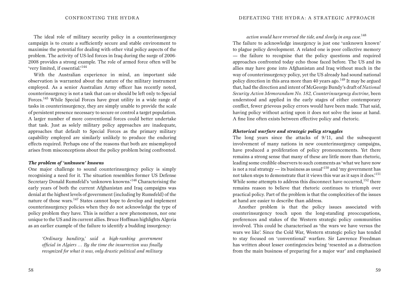The ideal role of military security policy in a counterinsurgency campaign is to create a sufficiently secure and stable environment to maximise the potential for dealing with other vital policy aspects of the problem. The activity of US-led forces in Iraq during the surge of 2006- 2008 provides a strong example. The role of armed force often will be 'very limited, if essential.'<sup>144</sup>

With the Australian experience in mind, an important side observation is warranted about the nature of the military instrument employed. As a senior Australian Army officer has recently noted, counterinsurgency is not a task that can or should be left only to Special Forces.145 While Special Forces have great utility in a wide range of tasks in counterinsurgency, they are simply unable to provide the scale of persistent presence necessary to secure or control a target population. A larger number of more conventional forces could better undertake that task. Just as solely military policy approaches are inadequate, approaches that default to Special Forces as the primary military capability employed are similarly unlikely to produce the enduring effects required. Perhaps one of the reasons that both are misemployed arises from misconceptions about the policy problem being confronted.

#### *The problem of 'unknown' knowns*

One major challenge to sound counterinsurgency policy is simply recognising a need for it. The situation resembles former US Defense Secretary Donald Rumsfeld's 'unknown knowns.'146 Characterising the early years of both the current Afghanistan and Iraq campaigns was denial at the highest levels of government (including by Rumsfeld) of the nature of those wars. $147$  States cannot hope to develop and implement counterinsurgency policies when they do not acknowledge the type of policy problem they have. This is neither a new phenomenon, nor one unique to the US and its current allies. Bruce Hoffman highlights Algeria as an earlier example of the failure to identify a budding insurgency:

*'Ordinary banditry,' said a high-ranking government official in Algiers … By the time the insurrection was finally recognized for what it was, only drastic political and military* 

*action would have reversed the tide, and slowly in any case.*<sup>148</sup> The failure to acknowledge insurgency is just one 'unknown known' to plague policy development. A related one is poor collective memory — the failure to recognise that the policy questions and required approaches confronted today echo those faced before. The US and its allies may have gone into Afghanistan and Iraq without much in the way of counterinsurgency policy, yet the US already had sound national policy direction in this area more than 40 years ago.<sup>149</sup> It may be argued that, had the direction and intent of McGeorge Bundy's draft of *National Security Action Memorandum No. 182, Counterinsurgency doctrine*, been understood and applied in the early stages of either contemporary conflict, fewer grievous policy errors would have been made. That said, having policy without acting upon it does not solve the issue at hand. A fine line often exists between effective policy and rhetoric.

#### *Rhetorical warfare and strategic policy struggles*

The long years since the attacks of 9/11, and the subsequent involvement of many nations in new counterinsurgency campaigns, have produced a proliferation of policy pronouncements. Yet there remains a strong sense that many of these are little more than rhetoric, leading some credible observers to such comments as 'what we have now is not a real strategy — its business as usual<sup> $150$ </sup> and 'my government has not taken steps to demonstrate that it views this war as it says it does.'151 While some attempts to address this disconnect have occurred.<sup>152</sup> there remains reason to believe that rhetoric continues to triumph over practical policy. Part of the problem is that the complexities of the issues at hand are easier to describe than address.

Another problem is that the policy issues associated with counterinsurgency touch upon the long-standing preoccupations, preferences and stakes of the Western strategic policy communities involved. This could be characterised as 'the wars we have versus the wars we like'. Since the Cold War, Western strategic policy has tended to stay focused on 'conventional' warfare. Sir Lawrence Freedman has written about lesser contingencies being 'resented as a distraction from the main business of preparing for a major war' and emphasised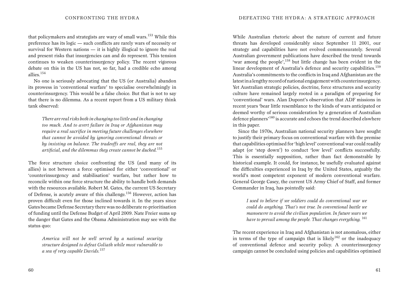that policymakers and strategists are wary of small wars.153 While this preference has its logic — such conflicts are rarely wars of necessity or survival for Western nations — it is highly illogical to ignore the real and present risks that insurgencies can and do represent. This tension continues to weaken counterinsurgency policy. The recent vigorous debate on this in the US has not, so far, had a credible echo among allies.154

No one is seriously advocating that the US (or Australia) abandon its prowess in 'conventional warfare' to specialise overwhelmingly in counterinsurgency. This would be a false choice. But that is not to say that there is no dilemma. As a recent report from a US military think tank observed:

*There are real risks both in changing too little and in changing too much. And to avert failure in Iraq or Afghanistan may require a real sacrifice in meeting future challenges elsewhere that cannot be avoided by ignoring conventional threats or by insisting on balance. The tradeoffs are real, they are not artificial, and the dilemmas they create cannot be ducked.*<sup>155</sup>

The force structure choice confronting the US (and many of its allies) is not between a force optimised for either 'conventional' or 'counterinsurgency and stabilisation' warfare, but rather how to reconcile within one force structure the ability to handle both demands with the resources available. Robert M. Gates, the current US Secretary of Defense, is acutely aware of this challenge.156 However, action has proven difficult even for those inclined towards it. In the years since Gates became Defense Secretary there was no deliberate re-prioritisation of funding until the Defense Budget of April 2009. Nate Freier sums up the danger that Gates and the Obama Administration may see with the status quo:

*America will not be well served by a national security structure designed to defeat Goliath while most vulnerable to a sea of very capable Davids.*<sup>157</sup>

While Australian rhetoric about the nature of current and future threats has developed considerably since September 11 2001, our strategy and capabilities have not evolved commensurately. Several Australian government publications have described the trend towards 'war among the people',<sup>158</sup> but little change has been evident in the linear development of Australia's defence and security capabilities.<sup>159</sup> Australia's commitments to the conflicts in Iraq and Afghanistan are the latest in a lengthy record of national engagement with counterinsurgency. Yet Australian strategic policies, doctrine, force structures and security culture have remained largely rooted in a paradigm of preparing for 'conventional' wars. Alan Dupont's observation that ADF missions in recent years 'bear little resemblance to the kinds of wars anticipated or deemed worthy of serious consideration by a generation of Australian defence planners'160 is accurate and echoes the trend described elswhere in this paper.

Since the 1970s, Australian national security planners have sought to justify their primary focus on conventional warfare with the premise that capabilities optimised for 'high level' conventional war could readily adapt (or 'step down') to conduct 'low level' conflicts successfully. This is essentially supposition, rather than fact demonstrable by historical example. It could, for instance, be usefully evaluated against the difficulties experienced in Iraq by the United States, arguably the world's most competent exponent of modern conventional warfare. General George Casey, the current US Army Chief of Staff, and former Commander in Iraq, has pointedly said:

*I used to believe if we soldiers could do conventional war we could do anything. That's not true. In conventional battle we manoeuvre to avoid the civilian population. In future wars we have to prevail among the people. That changes everything.* <sup>161</sup>

The recent experience in Iraq and Afghanistan is not anomalous, either in terms of the type of campaign that is likely<sup>162</sup> or the inadequacy of conventional defence and security policy. A counterinsurgency campaign cannot be concluded using policies and capabilities optimised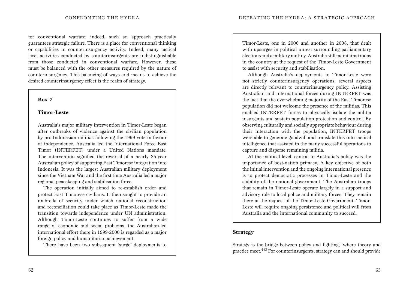for conventional warfare; indeed, such an approach practically guarantees strategic failure. There is a place for conventional thinking or capabilities in counterinsurgency activity. Indeed, many tactical level activities conducted by counterinsurgents are indistinguishable from those conducted in conventional warfare. However, these must be balanced with the other measures required by the nature of counterinsurgency. This balancing of ways and means to achieve the desired counterinsurgency effect is the realm of strategy.

#### **Box 7**

#### **Timor-Leste**

Australia's major military intervention in Timor-Leste began after outbreaks of violence against the civilian population by pro-Indonesian militias following the 1999 vote in favour of independence. Australia led the International Force East Timor (INTERFET) under a United Nations mandate. The intervention signified the reversal of a nearly 25-year Australian policy of supporting East Timorese integration into Indonesia. It was the largest Australian military deployment since the Vietnam War and the first time Australia led a major regional peacekeeping and stabilisation force.

The operation initially aimed to re-establish order and protect East Timorese civilians. It then sought to provide an umbrella of security under which national reconstruction and reconciliation could take place as Timor-Leste made the transition towards independence under UN administration. Although Timor-Leste continues to suffer from a wide range of economic and social problems, the Australian-led international effort there in 1999-2000 is regarded as a major foreign policy and humanitarian achievement.

There have been two subsequent 'surge' deployments to

Timor-Leste, one in 2006 and another in 2008, that dealt with upsurges in political unrest surrounding parliamentary elections and a military mutiny. Australia still maintains troops in the country at the request of the Timor-Leste Government to assist with security and stabilisation.

Although Australia's deployments to Timor-Leste were not strictly counterinsurgency operations, several aspects are directly relevant to counterinsurgency policy. Assisting Australian and international forces during INTERFET was the fact that the overwhelming majority of the East Timorese population did not welcome the presence of the militias. This enabled INTERFET forces to physically isolate the militia insurgents and sustain population protection and control. By observing culturally and socially appropriate behaviour during their interaction with the population, INTERFET troops were able to generate goodwill and translate this into tactical intelligence that assisted in the many successful operations to capture and disperse remaining militia.

At the political level, central to Australia's policy was the importance of host-nation primacy. A key objective of both the initial intervention and the ongoing international presence is to protect democratic processes in Timor-Leste and the stability of the national government. The Australian troops that remain in Timor-Leste operate largely in a support and advisory role to local police and military forces. They remain there at the request of the Timor-Leste Government. Timor-Leste will require ongoing persistence and political will from Australia and the international community to succeed.

#### **Strategy**

Strategy is the bridge between policy and fighting, 'where theory and practice meet.'163 For counterinsurgents, strategy can and should provide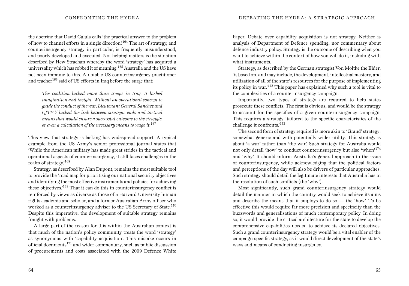the doctrine that David Galula calls 'the practical answer to the problem of how to channel efforts in a single direction.'164 The art of strategy, and counterinsurgency strategy in particular, is frequently misunderstood, and poorly developed and executed. Not helping matters is the situation described by Hew Strachan whereby the word 'strategy' has acquired a universality which has robbed it of meaning.165 Australia and the US have not been immune to this. A notable US counterinsurgency practitioner and teacher<sup>166</sup> said of US efforts in Iraq before the surge that:

*The coalition lacked more than troops in Iraq. It lacked imagination and insight. Without an operational concept to guide the conduct of the war, Lieutenant General Sanchez and CJTF-7 lacked the link between strategic ends and tactical means that would ensure a successful outcome to the struggle, or even a calculation of the necessary means to wage it.*<sup>167</sup>

This view that strategy is lacking has widespread support. A typical example from the US Army's senior professional journal states that 'While the American military has made great strides in the tactical and operational aspects of counterinsurgency, it still faces challenges in the realm of strategy.<sup>168</sup>

Strategy, as described by Alan Dupont, remains the most suitable tool to provide the 'road map for prioritising our national security objectives and identifying the most effective instruments and policies for achieving these objectives.'169 That it can do this in counterinsurgency conflict is reinforced by views as diverse as those of a Harvard University human rights academic and scholar, and a former Australian Army officer who worked as a counterinsurgency adviser to the US Secretary of State.<sup>170</sup> Despite this imperative, the development of suitable strategy remains fraught with problems.

A large part of the reason for this within the Australian context is that much of the nation's policy community treats the word 'strategy' as synonymous with 'capability acquisition'. This mistake occurs in official documents<sup>171</sup> and wider commentary, such as public discussion of procurements and costs associated with the 2009 Defence White Paper. Debate over capability acquisition is not strategy. Neither is analysis of Department of Defence spending, nor commentary about defence industry policy. Strategy is the outcome of describing what you want to achieve within the context of how you will do it, including with what instruments.

Strategy, as described by the German strategist Von Moltke the Elder, 'is based on, and may include, the development, intellectual mastery, and utilization of all of the state's resources for the purpose of implementing its policy in war.'172 This paper has explained why such a tool is vital to the complexities of a counterinsurgency campaign.

Importantly, two types of strategy are required to help states prosecute these conflicts. The first is obvious, and would be the strategy to account for the specifics of a given counterinsurgency campaign. This requires a strategy 'tailored to the specific characteristics of the challenge it confronts.'<sup>173</sup>

The second form of strategy required is more akin to 'Grand' strategy: somewhat generic and with potentially wider utility. This strategy is about 'a war' rather than 'the war'. Such strategy for Australia would not only detail 'how' to conduct counterinsurgency but also 'when'<sup>174</sup> and 'why'. It should inform Australia's general approach to the issue of counterinsurgency, while acknowledging that the political factors and perceptions of the day will also be drivers of particular approaches. Such strategy should detail the legitimate interests that Australia has in the resolution of such conflicts (the 'why').

Most significantly, such grand counterinsurgency strategy would detail the manner in which the country would seek to achieve its aims and describe the means that it employs to do so — the 'how'. To be effective this would require far more precision and specificity than the buzzwords and generalisations of much contemporary policy. In doing so, it would provide the critical architecture for the state to develop the comprehensive capabilities needed to achieve its declared objectives. Such a grand counterinsurgency strategy would be a vital enabler of the campaign-specific strategy, as it would direct development of the state's ways and means of conducting insurgency.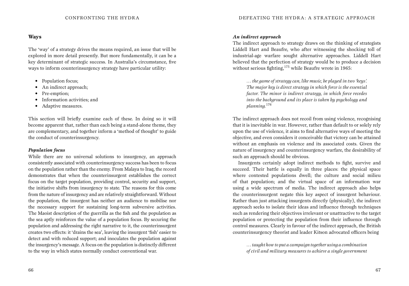#### **Ways**

The 'way' of a strategy drives the means required, an issue that will be explored in more detail presently. But more fundamentally, it can be a key determinant of strategic success. In Australia's circumstance, five ways to inform counterinsurgency strategy have particular utility:

- Population focus;
- An indirect approach;
- Pre-emption;
- Information activities; and
- Adaptive measures.

This section will briefly examine each of these. In doing so it will become apparent that, rather than each being a stand-alone theme, they are complementary, and together inform a 'method of thought' to guide the conduct of counterinsurgency.

#### *Population focus*

While there are no universal solutions to insurgency, an approach consistently associated with counterinsurgency success has been to focus on the population rather than the enemy. From Malaya to Iraq, the record demonstrates that when the counterinsurgent establishes the correct focus on the target population, providing control, security and support, the initiative shifts from insurgency to state. The reasons for this come from the nature of insurgency and are relatively straightforward. Without the population, the insurgent has neither an audience to mobilise nor the necessary support for sustaining long-term subversive activities. The Maoist description of the guerrilla as the fish and the population as the sea aptly reinforces the value of a population focus. By securing the population and addressing the right narrative to it, the counterinsurgent creates two effects: it 'drains the sea', leaving the insurgent 'fish' easier to detect and with reduced support; and inoculates the population against the insurgency's message. A focus on the population is distinctly different to the way in which states normally conduct conventional war.

#### *An indirect approach*

The indirect approach to strategy draws on the thinking of strategists Liddell Hart and Beaufre, who after witnessing the shocking toll of industrial-age warfare sought alternative approaches. Liddell Hart believed that the perfection of strategy would be to produce a decision without serious fighting.<sup>175</sup> while Beaufre wrote in 1965:

*… the game of strategy can, like music, be played in two 'keys'. The major key is direct strategy in which force is the essential factor. The minor is indirect strategy, in which force recedes into the background and its place is taken by psychology and planning.*<sup>176</sup>

The indirect approach does not recoil from using violence, recognising that it is inevitable in war. However, rather than default to or solely rely upon the use of violence, it aims to find alternative ways of meeting the objective, and even considers it conceivable that victory can be attained without an emphasis on violence and its associated costs. Given the nature of insurgency and counterinsurgency warfare, the desirability of such an approach should be obvious.

Insurgents certainly adopt indirect methods to fight, survive and succeed. Their battle is equally in three places: the physical space where contested populations dwell; the culture and social milieu of that population; and the virtual space of an information war using a wide spectrum of media. The indirect approach also helps the counterinsurgent negate this key aspect of insurgent behaviour. Rather than just attacking insurgents directly (physically), the indirect approach seeks to isolate their ideas and influence through techniques such as rendering their objectives irrelevant or unattractive to the target population or protecting the population from their influence through control measures. Clearly in favour of the indirect approach, the British counterinsurgency theorist and leader Kitson advocated officers being

*… taught how to put a campaign together using a combination of civil and military measures to achieve a single government*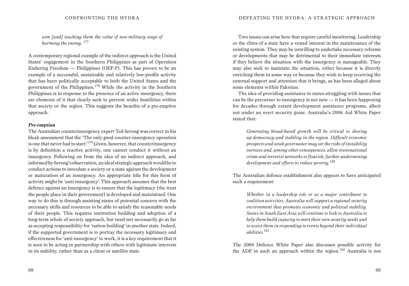*aim [and] teaching them the value of non-military ways of harming the enemy.* <sup>177</sup>

A contemporary regional example of the indirect approach is the United States' engagement in the Southern Philippines as part of Operation Enduring Freedom — Philippines (OEF-P). This has proven to be an example of a successful, sustainable and relatively low-profile activity that has been politically acceptable to both the United States and the government of the Philippines.<sup>178</sup> While the activity in the Southern Philippines is in response to the presence of an active insurgency, there are elements of it that clearly seek to prevent wider hostilities within that society or the region. This suggests the benefits of a pre-emptive approach.

#### *Pre-emption*

The Australian counterinsurgency expert Ted Serong was correct in his bleak assessment that the 'The only good counter-insurgency operation is one that never had to start.<sup>179</sup> Given, however, that counterinsurgency is by definition a reactive activity, one cannot conduct it without an insurgency. Following on from the idea of an indirect approach, and informed by Serong's observation, an ideal strategic approach would be to conduct actions to inoculate a society or a state against the development or maturation of an insurgency. An appropriate title for this form of activity might be 'anti-insurgency'. This approach assumes that the best defence against an insurgency is to ensure that the legitimacy (the trust the people place in their government) is developed and maintained. One way to do this is through assisting states of potential concern with the necessary skills and resources to be able to satisfy the reasonable needs of their people. This requires institution building and adoption of a long-term whole of society approach, but need not necessarily go as far as accepting responsibility for 'nation building' in another state. Indeed, if the supported government is to portray the necessary legitimacy and effectiveness for 'anti-insurgency' to work, it is a key requirement that it is seen to be acting in partnership with others with legitimate interests in its stability, rather than as a client or satellite state.

Two issues can arise here that require careful monitoring. Leadership or the élites of a state have a vested interest in the maintenance of the existing system. They may be unwilling to undertake necessary reforms or developments that may be detrimental to their immediate interests if they believe the situation with the insurgency is manageable. They may also seek to maintain the situation, either because it is directly enriching them in some way or because they wish to keep receiving the external support and attention that it brings, as has been alleged about some elements within Pakistan.

The idea of providing assistance to states struggling with issues that can be the precursor to insurgency is not new — it has been happening for decades through extant development assistance programs, albeit not under an overt security guise. Australia's 2006 Aid White Paper stated that:

*Generating broad-based growth will be critical to shoring up democracy and stability in the region. Difficult economic prospects and weak governance may see the risks of instability increase and, among other consequences, allow transnational crime and terrorist networks to flourish, further undermining development and efforts to reduce poverty.*<sup>180</sup>

The Australian defence establishment also appears to have anticipated such a requirement:

*Whether in a leadership role or as a major contributor to coalition activities, Australia will support a regional security environment that promotes economic and political stability. States in South East Asia will continue to look to Australia to help them build capacity to meet their own security needs and to assist them in responding to events beyond their individual abilities.*<sup>181</sup>

The 2009 Defence White Paper also discusses possible activity for the ADF in such an approach within the region.182 Australia is not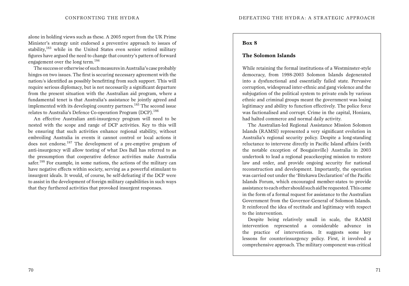alone in holding views such as these. A 2005 report from the UK Prime Minister's strategy unit endorsed a preventive approach to issues of stability,<sup>183</sup> while in the United States even senior retired military figures have argued the need to change that country's pattern of forward engagement over the long term.184

The success or otherwise of such measures in Australia's case probably hinges on two issues. The first is securing necessary agreement with the nation/s identified as possibly benefitting from such support. This will require serious diplomacy, but is not necessarily a significant departure from the present situation with the Australian aid program, where a fundamental tenet is that Australia's assistance be jointly agreed and implemented with its developing country partners.185 The second issue relates to Australia's Defence Co-operation Program (DCP).<sup>186</sup>

An effective Australian anti-insurgency program will need to be nested with the scope and range of DCP activities. Key to this will be ensuring that such activities enhance regional stability, without embroiling Australia in events it cannot control or local actions it does not endorse.187 The development of a pre-emptive program of anti-insurgency will allow testing of what Des Ball has referred to as the presumption that cooperative defence activities make Australia safer.<sup>188</sup> For example, in some nations, the actions of the military can have negative effects within society, serving as a powerful stimulant to insurgent ideals. It would, of course, be self-defeating if the DCP were to assist in the development of foreign military capabilities in such ways that they furthered activities that provoked insurgent responses.

#### **Box 8**

#### **The Solomon Islands**

While retaining the formal institutions of a Westminster-style democracy, from 1998-2003 Solomon Islands degenerated into a dysfunctional and essentially failed state. Pervasive corruption, widespread inter-ethnic and gang violence and the subjugation of the political system to private ends by various ethnic and criminal groups meant the government was losing legitimacy and ability to function effectively. The police force was factionalised and corrupt. Crime in the capital, Honiara, had halted commerce and normal daily activity.

The Australian-led Regional Assistance Mission Solomon Islands (RAMSI) represented a very significant evolution in Australia's regional security policy. Despite a long-standing reluctance to intervene directly in Pacific Island affairs (with the notable exception of Bougainville) Australia in 2003 undertook to lead a regional peacekeeping mission to restore law and order, and provide ongoing security for national reconstruction and development. Importantly, the operation was carried out under the 'Bitekawa Declaration' of the Pacific Islands Forum, which encouraged member-states to provide assistance to each other should such aid be requested. This came in the form of a formal request for assistance to the Australian Government from the Governor-General of Solomon Islands. It reinforced the idea of rectitude and legitimacy with respect to the intervention.

Despite being relatively small in scale, the RAMSI intervention represented a considerable advance in the practice of interventions. It suggests some key lessons for counterinsurgency policy. First, it involved a comprehensive approach. The military component was critical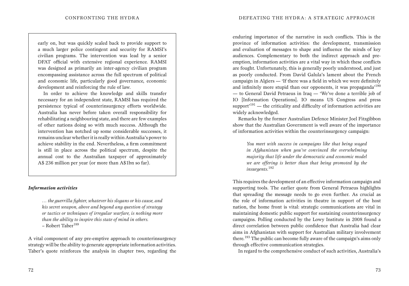early on, but was quickly scaled back to provide support to a much larger police contingent and security for RAMSI's civilian programs. The intervention was lead by a senior DFAT official with extensive regional experience. RAMSI was designed as primarily an inter-agency civilian program encompassing assistance across the full spectrum of political and economic life, particularly good governance, economic development and reinforcing the rule of law.

In order to achieve the knowledge and skills transfer necessary for an independent state, RAMSI has required the persistence typical of counterinsurgency efforts worldwide. Australia has never before taken overall responsibility for rehabilitating a neighbouring state, and there are few examples of other nations doing so with much success. Although the intervention has notched up some considerable successes, it remains unclear whether it is really within Australia's power to achieve stability in the end. Nevertheless, a firm commitment is still in place across the political spectrum, despite the annual cost to the Australian taxpayer of approximately A\$ 236 million per year (or more than A\$1bn so far).

#### *Information activities*

*… the guerrilla fighter, whatever his slogans or his cause, and his secret weapon, above and beyond any question of strategy or tactics or techniques of irregular warfare, is nothing more than the ability to inspire this state of mind in others.* – Robert Taber<sup>189</sup>

A vital component of any pre-emptive approach to counterinsurgency strategy will be the ability to generate appropriate information activities. Taber's quote reinforces the analysis in chapter two, regarding the enduring importance of the narrative in such conflicts. This is the province of information activities: the development, transmission and evaluation of messages to shape and influence the minds of key audiences. Complementary to both the indirect approach and preemption, information activities are a vital way in which these conflicts are fought. Unfortunately, this is generally poorly understood, and just as poorly conducted. From David Galula's lament about the French campaign in Algiers — 'If there was a field in which we were definitely and infinitely more stupid than our opponents, it was propaganda'<sup>190</sup> — to General David Petraeus in Iraq — 'We've done a terrible job of IO [Information Operations]. IO means US Congress and press  $support<sup>191</sup>$  — the criticality and difficulty of information activities are widely acknowledged.

Remarks by the former Australian Defence Minister Joel Fitzgibbon show that the Australian Government is well aware of the importance of information activities within the counterinsurgency campaign:

*You meet with success in campaigns like that being waged in Afghanistan when you've convinced the overwhelming majority that life under the democratic and economic model we are offering is better than that being promoted by the insurgents.*<sup>192</sup>

This requires the development of an effective information campaign and supporting tools. The earlier quote from General Petraeus highlights that spreading the message needs to go even further. As crucial as the role of information activities in theatre in support of the host nation, the home front is vital: strategic communications are vital in maintaining domestic public support for sustaining counterinsurgency campaigns. Polling conducted by the Lowy Institute in 2008 found a direct correlation between public confidence that Australia had clear aims in Afghanistan with support for Australian military involvement there.193 The public can become fully aware of the campaign's aims only through effective communication strategies.

In regard to the comprehensive conduct of such activities, Australia's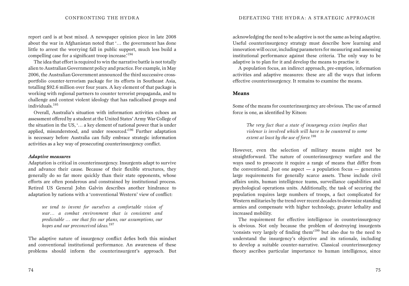report card is at best mixed. A newspaper opinion piece in late 2008 about the war in Afghanistan noted that '… the government has done little to arrest the worrying fall in public support, much less build a compelling case for a significant troop increase.'194

The idea that effort is required to win the narrative battle is not totally alien to Australian Government policy and practice. For example, in May 2006, the Australian Government announced the third successive crossportfolio counter-terrorism package for its efforts in Southeast Asia, totalling \$92.6 million over four years. A key element of that package is working with regional partners to counter terrorist propaganda, and to challenge and contest violent ideology that has radicalised groups and individuals.195

Overall, Australia's situation with information activities echoes an assessment offered by a student at the United States' Army War College of the situation in the US, '… a key element of national power that is under applied, misunderstood, and under resourced.'196 Further adaptation is necessary before Australia can fully embrace strategic information activities as a key way of prosecuting counterinsurgency conflict.

#### *Adaptive measures*

Adaptation is critical in counterinsurgency. Insurgents adapt to survive and advance their cause. Because of their flexible structures, they generally do so far more quickly than their state opponents, whose efforts are often ponderous and constrained by institutional process. Retired US General John Galvin describes another hindrance to adaptation by nations with a 'conventional Western' view of conflict:

*we tend to invent for ourselves a comfortable vision of war… a combat environment that is consistent and predictable … one that fits our plans, our assumptions, our hopes and our preconceived ideas.*<sup>197</sup>

The adaptive nature of insurgency conflict defies both this mindset and conventional institutional performance. An awareness of these problems should inform the counterinsurgent's approach. But acknowledging the need to be adaptive is not the same as being adaptive. Useful counterinsurgency strategy must describe how learning and innovation will occur, including parameters for measuring and assessing institutional performance against these criteria. The only way to be adaptive is to plan for it and develop the means to practise it.

A population focus, an indirect approach, pre-emption, information activities and adaptive measures: these are all the ways that inform effective counterinsurgency. It remains to examine the means.

#### **Means**

Some of the means for counterinsurgency are obvious. The use of armed force is one, as identified by Kitson:

*The very fact that a state of insurgency exists implies that violence is involved which will have to be countered to some extent at least by the use of force.*<sup>198</sup>

However, even the selection of military means might not be straightforward. The nature of counterinsurgency warfare and the ways used to prosecute it require a range of means that differ from the conventional. Just one aspect  $-$  a population focus  $-$  generates large requirements for generally scarce assets. These include civil affairs units, human intelligence teams, surveillance capabilities and psychological operations units. Additionally, the task of securing the population requires large numbers of troops, a fact complicated for Western militaries by the trend over recent decades to downsize standing armies and compensate with higher technology, greater lethality and increased mobility.

The requirement for effective intelligence in counterinsurgency is obvious. Not only because the problem of destroying insurgents 'consists very largely of finding them'199 but also due to the need to understand the insurgency's objective and its rationale, including to develop a suitable counter-narrative. Classical counterinsurgency theory ascribes particular importance to human intelligence, since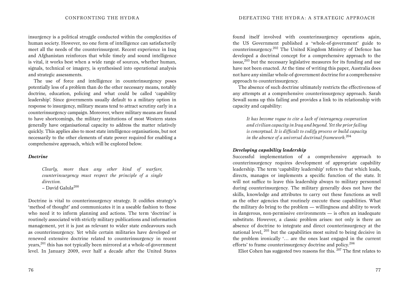insurgency is a political struggle conducted within the complexities of human society. However, no one form of intelligence can satisfactorily meet all the needs of the counterinsurgent. Recent experience in Iraq and Afghanistan reinforces that while timely and sound intelligence is vital, it works best when a wide range of sources, whether human, signals, technical or imagery, is synthesised into operational analysis and strategic assessments.

The use of force and intelligence in counterinsurgency poses potentially less of a problem than do the other necessary means, notably doctrine, education, policing and what could be called 'capability leadership'. Since governments usually default to a military option in response to insurgency, military means tend to attract scrutiny early in a counterinsurgency campaign. Moreover, where military means are found to have shortcomings, the military institutions of most Western states generally have organisational capacity to address the matter relatively quickly. This applies also to most state intelligence organisations, but not necessarily to the other elements of state power required for enabling a comprehensive approach, which will be explored below.

#### *Doctrine*

*Clearly, more than any other kind of warfare, counterinsurgency must respect the principle of a single direction.*

– David Galula200

Doctrine is vital to counterinsurgency strategy. It codifies strategy's 'method of thought' and communicates it in a useable fashion to those who need it to inform planning and actions. The term 'doctrine' is routinely associated with strictly military publications and information management, yet it is just as relevant to wider state endeavours such as counterinsurgency. Yet while certain militaries have developed or renewed extensive doctrine related to counterinsurgency in recent years,201 this has not typically been mirrored at a whole-of-government level. In January 2009, over half a decade after the United States

found itself involved with counterinsurgency operations again, the US Government published a 'whole-of-government' guide to counterinsurgency.202 The United Kingdom Ministry of Defence has developed a doctrinal concept for a comprehensive approach to the issue, $2^{03}$  but the necessary legislative measures for its funding and use have not been enacted. At the time of writing this paper, Australia does not have any similar whole-of-government doctrine for a comprehensive approach to counterinsurgency.

The absence of such doctrine ultimately restricts the effectiveness of any attempts at a comprehensive counterinsurgency approach. Sarah Sewall sums up this failing and provides a link to its relationship with capacity and capability:

*It has become vogue to cite a lack of interagency cooperation and civilian capacity in Iraq and beyond. Yet the prior failing is conceptual. It is difficult to codify process or build capacity in the absence of a universal doctrinal framework.*<sup>204</sup>

#### *Developing capability leadership*

Successful implementation of a comprehensive approach to counterinsurgency requires development of appropriate capability leadership. The term 'capability leadership' refers to that which leads, directs, manages or implements a specific function of the state. It will not suffice to leave this leadership always to military personnel during counterinsurgency. The military generally does not have the skills, knowledge and attributes to carry out these functions as well as the other agencies that routinely execute these capabilities. What the military do bring to the problem — willingness and ability to work in dangerous, non-permissive environments — is often an inadequate substitute. However, a classic problem arises: not only is there an absence of doctrine to integrate and direct counterinsurgency at the national level, 205 but the capabilities most suited to being decisive in the problem ironically '… are the ones least engaged in the current efforts' to frame counterinsurgency doctrine and policy.206

Eliot Cohen has suggested two reasons for this.  $207$  The first relates to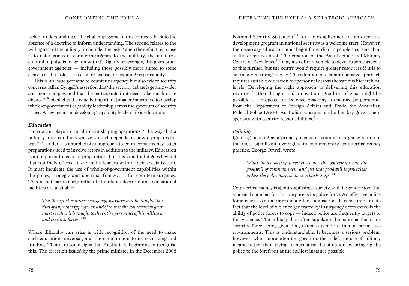lack of understanding of the challenge. Some of this connects back to the absence of a doctrine to inform understanding. The second relates to the willingness of the military to shoulder the task. When the default response is to defer issues of counterinsurgency to the military, the military's cultural impulse is to 'get on with it'. Rightly or wrongly, this gives other government agencies — including those possibly more suited to some aspects of the task — a reason or excuse for avoiding responsibility.

This is an issue germane to counterinsurgency but also wider security concerns. Allan Gyngell's assertion that 'the security debate is getting wider and more complex and that the participants in it need to be much more diverse'<sup>208</sup> highlights the equally important broader imperative to develop whole-of-government capability leadership across the spectrum of security issues. A key means in developing capability leadership is education.

#### *Education*

Preparation plays a crucial role in shaping operations: 'The way that a military force conducts war very much depends on how it prepares for war.<sup>209</sup> Under a comprehensive approach to counterinsurgency, such preparations need to involve actors in addition to the military. Education is an important means of preparation, but it is vital that it goes beyond that routinely offered to capability leaders within their specialisation. It must inculcate the use of whole-of-government capabilities within the policy, strategic and doctrinal framework for counterinsurgency. This is not particularly difficult if suitable doctrine and educational facilities are available:

*The theory of counterinsurgency warfare can be taught like that of any other type of war, and of course, the counterinsurgent must see that it is taught to the entire personnel of his military and civilian forces.* <sup>210</sup>

Where difficulty can arise is with recognition of the need to make such education universal, and the commitment to its resourcing and funding. There are some signs that Australia is beginning to recognise this. The direction issued by the prime minister in the December 2008

National Security Statement<sup>211</sup> for the establishment of an executive development program in national security is a welcome start. However, the necessary education must begin far earlier in people's careers than at the executive level. The creation of the Asia Pacific Civil-Military Centre of Excellence<sup>212</sup> may also offer a vehicle to develop some aspects of this further, but the centre would require greater resources if it is to act in any meaningful way. The adoption of a comprehensive approach requires suitable education for personnel across the various hierarchical levels. Developing the right approach to delivering this education requires further thought and innovation. One hint of what might be possible is a proposal for Defence Academy attendance by personnel from the Department of Foreign Affairs and Trade, the Australian Federal Police (AFP), Australian Customs and other key government agencies with security responsibilities. $213$ 

#### *Policing*

Ignoring policing as a primary means of counterinsurgency is one of the most significant oversights in contemporary counterinsurgency practice. George Orwell wrote:

*What holds society together is not the policeman but the goodwill of common men, and yet that goodwill is powerless unless the policeman is there to back it up.*<sup>214</sup>

Counterinsurgency is about stabilising a society, and the generic tool that a normal state has for this purpose is its police force. An effective police force is an essential prerequisite for stabilisation. It is an unfortunate fact that the level of violence generated by insurgency often exceeds the ability of police forces to cope — indeed police are frequently targets of this violence. The military thus often supplants the police as the prime security force actor, given its greater capabilities in non-permissive environments. This is understandable. It becomes a serious problem, however, when more attention goes into the indefinite use of military means rather than trying to normalise the situation by bringing the police to the forefront at the earliest instance possible.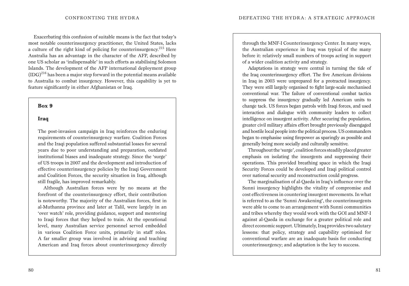Exacerbating this confusion of suitable means is the fact that today's most notable counterinsurgency practitioner, the United States, lacks a culture of the right kind of policing for counterinsurgency.<sup>215</sup> Here Australia has an advantage in the character of the AFP, described by one US scholar as 'indispensable' in such efforts as stabilising Solomon Islands. The development of the AFP international deployment group  $(IDG)^{216}$  has been a major step forward in the potential means available to Australia to combat insurgency. However, this capability is yet to feature significantly in either Afghanistan or Iraq.

#### **Box 9**

#### **Iraq**

The post-invasion campaign in Iraq reinforces the enduring requirements of counterinsurgency warfare. Coalition Forces and the Iraqi population suffered substantial losses for several years due to poor understanding and preparation, outdated institutional biases and inadequate strategy. Since the 'surge' of US troops in 2007 and the development and introduction of effective counterinsurgency policies by the Iraqi Government and Coalition Forces, the security situation in Iraq, although still fragile, has improved remarkably.

Although Australian forces were by no means at the forefront of the counterinsurgency effort, their contribution is noteworthy. The majority of the Australian forces, first in al-Muthanna province and later at Talil, were largely in an 'over watch' role, providing guidance, support and mentoring to Iraqi forces that they helped to train. At the operational level, many Australian service personnel served embedded in various Coalition Force units, primarily in staff roles. A far smaller group was involved in advising and teaching American and Iraq forces about counterinsurgency directly

through the MNF-I Counterinsurgency Center. In many ways, the Australian experience in Iraq was typical of the many before it: relatively small numbers of troops acting in support of a wider coalition activity and strategy.

Adaptations in strategy were central in turning the tide of the Iraq counterinsurgency effort. The five American divisions in Iraq in 2003 were unprepared for a protracted insurgency. They were still largely organised to fight large-scale mechanised conventional war. The failure of conventional combat tactics to suppress the insurgency gradually led American units to change tack. US forces began patrols with Iraqi forces, and used interaction and dialogue with community leaders to collect intelligence on insurgent activity. After securing the population, greater civil military affairs effort brought previously disengaged and hostile local people into the political process. US commanders began to emphasise using firepower as sparingly as possible and generally being more socially and culturally sensitive.

Throughout the 'surge', coalition forces steadily placed greater emphasis on isolating the insurgents and suppressing their operations. This provided breathing space in which the Iraqi Security Forces could be developed and Iraqi political control over national security and reconstruction could progress.

The marginalisation of al-Qaeda in Iraq's influence over the Sunni insurgency highlights the vitality of compromise and cost effectiveness in countering insurgent movements. In what is referred to as the 'Sunni Awakening', the counterinsurgents were able to come to an arrangement with Sunni communities and tribes whereby they would work with the GOI and MNF-I against al-Qaeda in exchange for a greater political role and direct economic support. Ultimately, Iraq provides two salutary lessons: that policy, strategy and capability optimised for conventional warfare are an inadequate basis for conducting counterinsurgency; and adaptation is the key to success.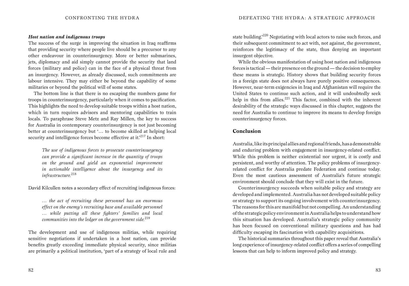#### *Host nation and indigenous troops*

The success of the surge in improving the situation in Iraq reaffirms that providing security where people live should be a precursor to any other endeavour in counterinsurgency. More or better submarines, jets, diplomacy and aid simply cannot provide the security that land forces (military and police) can in the face of a physical threat from an insurgency. However, as already discussed, such commitments are labour intensive. They may either be beyond the capability of some militaries or beyond the political will of some states.

The bottom line is that there is no escaping the numbers game for troops in counterinsurgency, particularly when it comes to pacification. This highlights the need to develop suitable troops within a host nation, which in turn requires advisors and mentoring capabilities to train locals. To paraphrase Steve Metz and Ray Millen, the key to success for Australia in contemporary counterinsurgency is not just becoming better at counterinsurgency but '… to become skilled at helping local security and intelligence forces become effective at it.<sup>217</sup> In short:

*The use of indigenous forces to prosecute counterinsurgency can provide a significant increase in the quantity of troops on the ground and yield an exponential improvement in actionable intelligence about the insurgency and its infrastructure.*<sup>218</sup>

David Kilcullen notes a secondary effect of recruiting indigenous forces:

*… the act of recruiting these personnel has an enormous effect on the enemy's recruiting base and available personnel … while putting all these fighters' families and local communities into the ledger on the government side.*<sup>219</sup>

The development and use of indigenous militias, while requiring sensitive negotiations if undertaken in a host nation, can provide benefits greatly exceeding immediate physical security, since militias are primarily a political institution, 'part of a strategy of local rule and

state building.<sup>220</sup> Negotiating with local actors to raise such forces, and their subsequent commitment to act with, not against, the government, reinforces the legitimacy of the state, thus denying an important insurgent objective.

While the obvious manifestation of using host nation and indigenous forces is tactical — their presence on the ground — the decision to employ these means is strategic. History shows that building security forces in a foreign state does not always have purely positive consequences. However, near-term exigencies in Iraq and Afghanistan will require the United States to continue such action, and it will undoubtedly seek help in this from allies. $^{221}$  This factor, combined with the inherent desirability of the strategic ways discussed in this chapter, suggests the need for Australia to continue to improve its means to develop foreign counterinsurgency forces.

#### **Conclusion**

Australia, like its principal allies and regional friends, has a demonstrable and enduring problem with engagement in insurgency-related conflict. While this problem is neither existential nor urgent, it is costly and persistent, and worthy of attention. The policy problems of insurgencyrelated conflict for Australia predate Federation and continue today. Even the most cautious assessment of Australia's future strategic environment should conclude that they will exist in the future.

Counterinsurgency succeeds when suitable policy and strategy are developed and implemented. Australia has not developed suitable policy or strategy to support its ongoing involvement with counterinsurgency. The reasons for this are manifold but not compelling. An understanding of the strategic policy environment in Australia helps to understand how this situation has developed. Australia's strategic policy community has been focused on conventional military questions and has had difficulty escaping its fascination with capability acquisitions.

The historical summaries throughout this paper reveal that Australia's long experience of insurgency-related conflict offers a series of compelling lessons that can help to inform improved policy and strategy.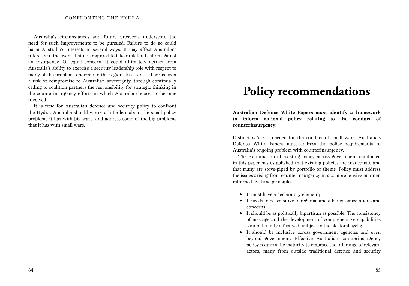Australia's circumstances and future prospects underscore the need for such improvements to be pursued. Failure to do so could harm Australia's interests in several ways. It may affect Australia's interests in the event that it is required to take unilateral action against an insurgency. Of equal concern, it could ultimately detract from Australia's ability to exercise a security leadership role with respect to many of the problems endemic to the region. In a sense, there is even a risk of compromise to Australian sovereignty, through continually ceding to coalition partners the responsibility for strategic thinking in the counterinsurgency efforts in which Australia chooses to become involved.

It is time for Australian defence and security policy to confront the Hydra. Australia should worry a little less about the small policy problems it has with big wars, and address some of the big problems that it has with small wars.

## **Policy recommendations**

**Australian Defence White Papers must identify a framework to inform national policy relating to the conduct of counterinsurgency.**

Distinct *policy* is needed for the conduct of small wars. Australia's Defence White Papers must address the policy requirements of Australia's ongoing problem with counterinsurgency.

The examination of existing policy across government conducted in this paper has established that existing policies are inadequate and that many are stove-piped by portfolio or theme. Policy must address the issues arising from counterinsurgency in a comprehensive manner, informed by these principles:

- It must have a declaratory element;
- It needs to be sensitive to regional and alliance expectations and concerns;
- It should be as politically bipartisan as possible. The consistency of message and the development of comprehensive capabilities cannot be fully effective if subject to the electoral cycle;
- It should be inclusive across government agencies and even beyond government. Effective Australian counterinsurgency policy requires the maturity to embrace the full range of relevant actors, many from outside traditional defence and security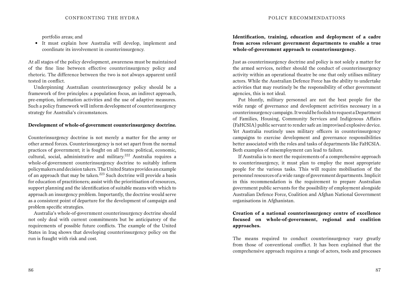portfolio areas; and

• It must explain how Australia will develop, implement and coordinate its involvement in counterinsurgency.

At all stages of the policy development, awareness must be maintained of the fine line between effective counterinsurgency policy and rhetoric. The difference between the two is not always apparent until tested in conflict.

Underpinning Australian counterinsurgency policy should be a framework of five principles: a population focus, an indirect approach, pre-emption, information activities and the use of adaptive measures. Such a policy framework will inform development of counterinsurgency strategy for Australia's circumstances.

#### **Development of whole-of-government counterinsurgency doctrine.**

Counterinsurgency doctrine is not merely a matter for the army or other armed forces. Counterinsurgency is not set apart from the normal practices of government; it is fought on all fronts: political, economic, cultural, social, administrative and military.222 Australia requires a whole-of-government counterinsurgency doctrine to suitably inform policymakers and decision takers. The United States provides an example of an approach that may be taken.223 Such doctrine will provide a basis for education of practitioners; assist with the prioritisation of resources, support planning and the identification of suitable means with which to approach an insurgency problem. Importantly, the doctrine would serve as a consistent point of departure for the development of campaign and problem specific strategies.

Australia's whole-of-government counterinsurgency doctrine should not only deal with current commitments but be anticipatory of the requirements of possible future conflicts. The example of the United States in Iraq shows that developing counterinsurgency policy on the run is fraught with risk and cost.

**Identification, training, education and deployment of a cadre from across relevant government departments to enable a true whole-of-government approach to counterinsurgency***.* 

Just as counterinsurgency doctrine and policy is not solely a matter for the armed services, neither should the conduct of counterinsurgency activity within an operational theatre be one that only utilises military actors. While the Australian Defence Force has the ability to undertake activities that may routinely be the responsibility of other government agencies, this is not ideal.

Put bluntly, military personnel are not the best people for the wide range of governance and development activities necessary in a counterinsurgency campaign. It would be foolish to request a Department of Families, Housing, Community Services and Indigenous Affairs (FaHCSIA) public servant to render safe an improvised explosive device. Yet Australia routinely uses military officers in counterinsurgency campaigns to exercise development and governance responsibilities better associated with the roles and tasks of departments like FaHCSIA. Both examples of misemployment can lead to failure.

If Australia is to meet the requirements of a comprehensive approach to counterinsurgency, it must plan to employ the most appropriate people for the various tasks. This will require mobilisation of the personnel resources of a wide range of government departments. Implicit in this recommendation is the requirement to prepare Australian government public servants for the possibility of employment alongside Australian Defence Force, Coalition and Afghan National Government organisations in Afghanistan.

#### **Creation of a national counterinsurgency centre of excellence focused on whole-of-government, regional and coalition approaches.**

The means required to conduct counterinsurgency vary greatly from those of conventional conflict. It has been explained that the comprehensive approach requires a range of actors, tools and processes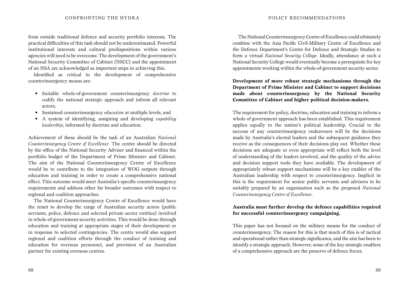from outside traditional defence and security portfolio interests. The practical difficulties of this task should not be underestimated. Powerful institutional interests and cultural predispositions within various agencies will need to be overcome. The development of the government's National Security Committee of Cabinet (NSCC) and the appointment of an NSA are acknowledged as important steps in achieving this.

Identified as critical to the development of comprehensive counterinsurgency means are:

- Suitable whole-of-government counterinsurgency *doctrine* to codify the national strategic approach and inform all relevant actors;
- Sustained counterinsurgency *education* at multiple levels; and
- A system of identifying, assigning and developing *capability leadership*, informed by doctrine and education.

Achievement of these should be the task of an Australian *National Counterinsurgency Centre of Excellence*. The centre should be directed by the office of the National Security Adviser and financed within the portfolio budget of the Department of Prime Minister and Cabinet. The aim of the National Counterinsurgency Centre of Excellence would be to contribute to the integration of WOG outputs through education and training in order to create a comprehensive national effect. This outcome would meet Australia's specific counterinsurgency requirements and address other far broader outcomes with respect to regional and coalition approaches.

The National Counterinsurgency Centre of Excellence would have the remit to develop the range of Australian security actors (public servants, police, defence and selected private sector entities) involved in whole-of-government security activities. This would be done through education and training at appropriate stages of their development or in response to selected contingencies. The centre would also support regional and coalition efforts through the conduct of training and education for overseas personnel, and provision of an Australian partner for existing overseas centres.

The National Counterinsurgency Centre of Excellence could ultimately combine with the Asia Pacific Civil-Military Centre of Excellence and the Defence Department's Centre for Defence and Strategic Studies to form a virtual *National Security College*. Ideally, attendance at such a National Security College would eventually become a prerequisite for key appointments working within the whole-of-government security sector.

#### **Development of more robust strategic mechanisms through the Department of Prime Minister and Cabinet to support decisions made about counterinsurgency by the National Security Committee of Cabinet and higher political decision-makers***.*

The requirement for policy, doctrine, education and training to inform a whole of government approach has been established. This requirement applies equally to the nation's political leadership. Crucial to the success of any counterinsurgency endeavours will be the decisions made by Australia's elected leaders and the subsequent guidance they receive as the consequences of their decisions play out. Whether these decisions are adequate or even appropriate will reflect both the level of understanding of the leaders involved, and the quality of the advice and decision support tools they have available. The development of appropriately robust support mechanisms will be a key enabler of the Australian leadership with respect to counterinsurgency. Implicit in this is the requirement for senior public servants and advisors to be suitably prepared by an organisation such as the proposed *National Counterinsurgency Centre of Excellence*.

#### **Australia must further develop the defence capabilities required for successful counterinsurgency campaigning.**

This paper has not focused on the military means for the conduct of counterinsurgency. The reason for this is that much of this is of tactical and operational rather than strategic significance, and the aim has been to identify a strategic approach. However, some of the key strategic enablers of a comprehensive approach are the preserve of defence forces.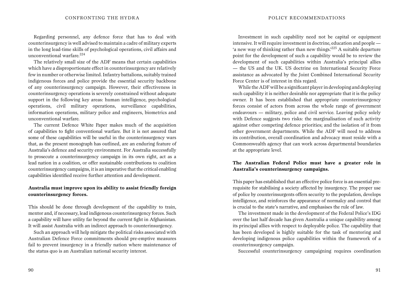Regarding personnel, any defence force that has to deal with counterinsurgency is well advised to maintain a cadre of military experts in the long lead-time skills of psychological operations, civil affairs and unconventional warfare.224

The relatively small size of the ADF means that certain capabilities which have a disproportionate effect in counterinsurgency are relatively few in number or otherwise limited. Infantry battalions, suitably trained indigenous forces and police provide the essential security backbone of any counterinsurgency campaign. However, their effectiveness in counterinsurgency operations is severely constrained without adequate support in the following key areas: human intelligence, psychological operations, civil military operations, surveillance capabilities, information operations, military police and engineers, biometrics and unconventional warfare.

The current Defence White Paper makes much of the acquisition of capabilities to fight conventional warfare. But it is not assured that some of these capabilities will be useful in the counterinsurgency wars that, as the present monograph has outlined, are an enduring feature of Australia's defence and security environment. For Australia successfully to prosecute a counterinsurgency campaign in its own right, act as a lead nation in a coalition, or offer sustainable contributions to coalition counterinsurgency campaigns, it is an imperative that the critical enabling capabilities identified receive further attention and development.

#### **Australia must improve upon its ability to assist friendly foreign counterinsurgency forces.**

This should be done through development of the capability to train, mentor and, if necessary, lead indigenous counterinsurgency forces. Such a capability will have utility far beyond the current fight in Afghanistan. It will assist Australia with an indirect approach to counterinsurgency.

Such an approach will help mitigate the political risks associated with Australian Defence Force commitments should pre-emptive measures fail to prevent insurgency in a friendly nation where maintenance of the status quo is an Australian national security interest.

Investment in such capability need not be capital or equipment intensive. It will require investment in doctrine, education and people — 'a new way of thinking rather than new things.'225 A suitable departure point for the development of such a capability would be to review the development of such capabilities within Australia's principal allies — the US and the UK. US doctrine on International Security Force assistance as advocated by the Joint Combined International Security Force Center is of interest in this regard.

While the ADF will be a significant player in developing and deploying such capability it is neither desirable nor appropriate that it is the policy owner. It has been established that appropriate counterinsurgency forces consist of actors from across the whole range of government endeavours — military, police and civil service. Leaving policy solely with Defence suggests two risks: the marginalisation of such activity against other competing defence priorities; and the isolation of it from other government departments. While the ADF will need to address its contribution, overall coordination and advocacy must reside with a Commonwealth agency that can work across departmental boundaries at the appropriate level.

#### **The Australian Federal Police must have a greater role in Australia's counterinsurgency campaigns.**

This paper has established that an effective police force is an essential prerequisite for stabilising a society affected by insurgency. The proper use of police by counterinsurgents offers security to the population, develops intelligence, and reinforces the appearance of normalcy and control that is crucial to the state's narrative, and emphasises the rule of law.

The investment made in the development of the Federal Police's IDG over the last half decade has given Australia a unique capability among its principal allies with respect to deployable police. The capability that has been developed is highly suitable for the task of mentoring and developing indigenous police capabilities within the framework of a counterinsurgency campaign.

Successful counterinsurgency campaigning requires coordination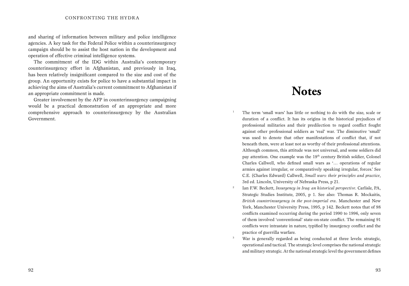and sharing of information between military and police intelligence agencies. A key task for the Federal Police within a counterinsurgency campaign should be to assist the host nation in the development and operation of effective criminal intelligence systems.

The commitment of the IDG within Australia's contemporary counterinsurgency effort in Afghanistan, and previously in Iraq, has been relatively insignificant compared to the size and cost of the group. An opportunity exists for police to have a substantial impact in achieving the aims of Australia's current commitment to Afghanistan if an appropriate commitment is made.

Greater involvement by the AFP in counterinsurgency campaigning would be a practical demonstration of an appropriate and more comprehensive approach to counterinsurgency by the Australian Government.

## **Notes**

1

- The term 'small wars' has little or nothing to do with the size, scale or duration of a conflict. It has its origins in the historical prejudices of professional militaries and their predilection to regard conflict fought against other professional soldiers as 'real' war. The diminutive 'small' was used to denote that other manifestations of conflict that, if not beneath them, were at least not as worthy of their professional attentions. Although common, this attitude was not universal, and some soldiers did pay attention. One example was the 19<sup>th</sup> century British soldier, Colonel Charles Callwell, who defined small wars as '… operations of regular armies against irregular, or comparatively speaking irregular, forces.' See C.E. (Charles Edward) Callwell, *Small wars: their principles and practice*, 3rd ed. Lincoln, University of Nebraska Press, p 21.
- 2 Ian F.W. Beckett, *Insurgency in Iraq: an historical perspective*. Carlisle, PA, Strategic Studies Institute, 2005, p 1. See also: Thomas R. Mockaitis, *British counterinsurgency in the post-imperial era*. Manchester and New York, Manchester University Press, 1995, p 142. Beckett notes that of 98 conflicts examined occurring during the period 1990 to 1996, only seven of them involved 'conventional' state-on-state conflict. The remaining 91 conflicts were intrastate in nature, typified by insurgency conflict and the practice of guerrilla warfare.
- 3 War is generally regarded as being conducted at three levels: strategic, operational and tactical. The strategic level comprises the national strategic and military strategic. At the national strategic level the government defines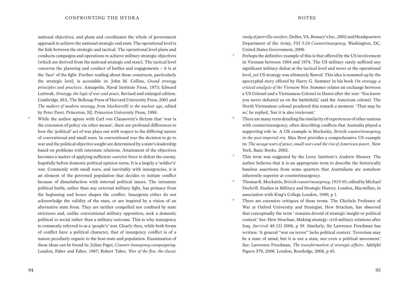national objectives, and plans and coordinates the whole of government approach to achieve the national strategic end state. The operational level is the link between the strategic and tactical. The operational level plans and conducts campaigns and operations to achieve military strategic objectives (which are derived from the national strategic end state). The tactical level concerns the planning and conduct of battles and engagements – it is at the 'face' of the fight. Further reading about these constructs, particularly the strategic level, is accessible in: John M. Collins, *Grand strategy principles and practices*. Annapolis, Naval Institute Press, 1973; Edward Luttwak, *Strategy: the logic of war and peace*, Revised and enlarged edition. Cambridge, MA, The Belknap Press of Harvard University Press, 2001 and *The makers of modern strategy, from Machiavelli to the nuclear age*, edited by Peter Paret. Princeton, NJ, Princeton University Press, 1986.

 While the author agrees with Carl von Clausewitz's dictum that 'war is the extension of policy via other means', there are profound differences to how the 'political' act of war plays out with respect to the differing nature of conventional and small wars. In conventional war the decision to go to war and the political objective sought are determined by a state's leadership based on problems with interstate relations. Attainment of the objectives becomes a matter of applying sufficient coercive force to defeat the enemy, hopefully before domestic political opinion turns. It is a largely a 'soldier's' war. Commonly with small wars, and inevitably with insurgencies, it is an element of the governed population that decides to initiate conflict because of dissatisfaction with internal political issues. The intrastate political battle, rather than any external military fight, has primacy from the beginning and hence shapes the conflict. Insurgents either do not acknowledge the validity of the state, or are inspired by a vision of an alternative state form. They are neither compelled nor confined by state strictures and, unlike conventional military opposition, seek a domestic political or social rather than a military outcome. This is why insurgency is commonly referred to as a 'people's' war. Clearly then, while both forms of conflict have a political character, that of insurgency conflict is of a nature peculiarly organic to the host state and population. Examination of these ideas can be found in: Julian Paget, *Counter-insurgency campaigning.* London, Faber and Faber, 1967; Robert Taber, *War of the flea: the classic*  *study of guerrilla warfare*, Dulles, VA, Brassey's Inc., 2002 and Headquarters Department of the Army, *FM 3-24 Counterinsurgency.* Washington, DC, United States Government, 2006.

NOTES

5

- Perhaps the definitive example of this is that offered by the US involvement in Vietnam between 1964 and 1974. The US military rarely suffered any significant military defeat at the tactical level and never at the operational level, yet US strategy was ultimately flawed. This idea is summed up by the apocryphal story offered by Harry G. Summer in his book *On strategy: a critical analysis of the Vietnam War.* Summer relates an exchange between a US Colonel and a Vietnamese Colonel in Hanoi after the war: 'You know you never defeated us on the battlefield,' said the American colonel. The North Vietnamese colonel pondered this remark a moment. 'That may be so,' he replied, 'but it is also irrelevant.'
- 6 There are many texts detailing the similarity of experiences of other nations with counterinsurgency, often describing conflicts that Australia played a supporting role in. A UK example is Mockaitis, *British counterinsurgency in the post-imperial era*. Max Boot provides a comprehensive US example in: *The savage wars of peace, small wars and the rise of American power,* New York, Basic Books, 2002.
- 7 This term was suggested by the Lowy Institute's Andrew Shearer. The author believes that it is an appropriate term to describe the historically baseless assertions from some quarters that Australians are somehow inherently superior at counterinsurgency.
- 8 Thomas R. Mockaitis, *British counterinsurgency, 1919-60*, edited by Michael Dockrill. Studies in Military and Strategic History. London, Macmillan, in association with King's College London, 1990, p 1.
- 9 There are extensive critiques of these terms. The Chichele Professor of War at Oxford University and Strategist, Hew Strachan, has observed that conceptually the term ' remains devoid of strategic insight or political context.' See: Hew Strachan, Making strategy: civil-military relations after Iraq. *Survival* 48 (3) 2006, p 59. Similarly, Sir Lawrence Freedman has written: 'A general "war on terror" lacks political context. Terrorism may be a state of mind, but it is not a state, nor even a political movement.' See: Lawrence Freedman, *The transformation of strategic affairs*. Adelphi Papers 379, 2006. London, Routledge, 2006, p 45.

4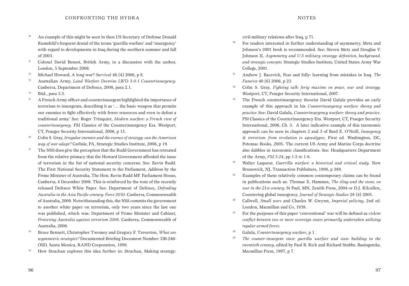- <sup>10</sup> An example of this might be seen in then US Secretary of Defense Donald Rumsfeld's frequent denial of the terms 'guerilla warfare' and 'insurgency' with regard to developments in Iraq during the northern summer and fall of 2003.
- <sup>11</sup> Colonel David Benest, British Army, in a discussion with the author, London, 5 September 2006.
- 12 Michael Howard, A long war? *Survival* 48 (4) 2006, p 8.
- 13 Australian Army, *Land Warfare Doctrine LWD 3-0-1 Counterinsurgency.*  Canberra, Department of Defence, 2008, para 2.1.
- 14 Ibid., para 3.3.
- <sup>15</sup> A French Army officer and counterinsurgent highlighted the importance of terrorism to insurgents, describing it as '… the basic weapon that permits our enemies to fight effectively with fewer resources and even to defeat a traditional army.' See: Roger Trinquier, *Modern warfare: a French view of counterinsurgency*. PSI Classics of the Counterinsurgency Era. Westport, CT, Praeger Security International, 2006, p 15.
- 16 Colin S. Gray, *Irregular enemies and the essence of strategy: can the American way of war adapt?* Carlisle, PA, Strategic Studies Institute, 2006, p 19.
- <sup>17</sup> The NSS does give the perception that the Rudd Government has retreated from the relative primacy that the Howard Government afforded the issue of terrorism in the list of national security concerns. See: Kevin Rudd. The First National Security Statement to the Parliament, Address by the Prime Minister of Australia, The Hon. Kevin Rudd MP. Parliament House, Canberra, 4 December 2008. This is reinforced by the tone of the recently released Defence White Paper. See: Department of Defence, *Defending Australia in the Asia Pacific century: Force 2030*. Canberra, Commonwealth of Australia, 2009. Notwithstanding this, the NSS commits the government to another white paper on terrorism, only two years since the last one was published, which was: Department of Prime Minister and Cabinet, *Protecting Australia against terrorism 2006*. Canberra, Commonwealth of Australia, 2006.
- 18 Bruce Bennett, Christopher Twomey and Gregory F. Treverton, *What are asymmetric strategies?* Documented Briefing Document Number: DB-246- OSD. Santa Monica, RAND Corporation, 1999.
- <sup>19</sup> Hew Strachan explores this idea further in: Strachan, Making strategy:

civil-military relations after Iraq, p 71.

- <sup>20</sup> For readers interested in further understanding of asymmetry, Metz and Johnson's 2001 book is recommended. See: Steven Metz and Douglas V. Johnson II, *Asymmetry and U.S military strategy: definition, background, and strategic concepts.* Strategic Studies Institute, United States Army War College, 2001.
- 21 Andrew J. Bacevich, Fear and folly: learning from mistakes in Iraq. *The Futurist* 40 (6) 2006, p 23.
- 22 Colin S. Gray, *Fighting talk: forty maxims on peace, war and strategy.*  Westport, CT, Praeger Security International, 2007.
- The French counterinsurgency theorist David Galula provides an early example of this approach in his *Counterinsurgency warfare: theory and practice.* See: David Galula, *Counterinsurgency warfare: theory and practice*. PSI Classics of the Counterinsurgency Era. Westport, CT, Praeger Security International, 2006, Ch. 3. A later indicative example of this taxonomic approach can be seen in chapters 2 and 3 of Bard E. O'Neill, *Insurgency & terrorism: from revolution to apocalypse*, First ed. Washington, DC, Potomac Books, 2005. The current US Army and Marine Corps doctrine also dabbles in taxonomic classifications. See: Headquarters Department of the Army, *FM 3-24*, pp 1-5 to 1-8.
- 24 Walter Laqueur, *Guerrilla warfare: a historical and critical study.* New Brunswick, NJ, Transaction Publishers, 1998, p 389.
- <sup>25</sup> Examples of these relatively common contemporary claims can be found in publications such as: Thomas X. Hammes, *The sling and the stone, on war in the 21st century.* St Paul, MN, Zenith Press, 2004 or D.J. Kilcullen, Countering global insurgency. *Journal of Strategic Studies* 28 (4) 2005.
- 26 Callwell, *Small wars* and Charles W. Gwynn, *Imperial policing*, 2nd ed. London, Macmillan and Co, 1939.
- 27 For the purposes of this paper 'conventional' war will be defined as *violent conflict between two or more sovereign states primarily undertaken utilising regular armed forces.*
- 28 Galula, *Counterinsurgency warfare*, p 1.
- <sup>29</sup> *The counter-insurgent state: guerilla warfare and state building in the twentieth century,* edited by Paul B. Rich and Richard Stubbs. Basingstoke, Macmillan Press, 1997, p 7.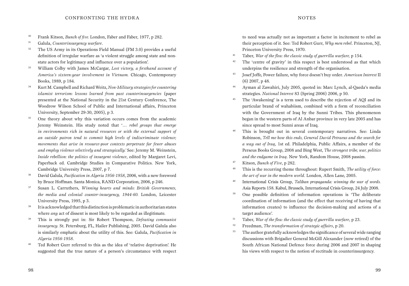- 30 Frank Kitson, *Bunch of five.* London, Faber and Faber, 1977, p 282.
- 31 Galula, *Counterinsurgency warfare*.
- <sup>32</sup> The US Army in its Operations Field Manual (FM 3.0) provides a useful definition of irregular warfare as 'a violent struggle among state and nonstate actors for legitimacy and influence over a population'.
- 33 William Colby with James McCargar, *Lost victory, a firsthand account of America's sixteen-year involvement in Vietnam.* Chicago, Contemporary Books, 1989, p 184.
- 34 Kurt M. Campbell and Richard Weitz, *Non-Military strategies for countering islamist terrorism: lessons learned from past counterinsurgencies* (paper presented at the National Security in the 21st Century Conference, The Woodrow Wilson School of Public and International affairs, Princeton University, September 29-30, 2005), p 3.
- <sup>35</sup> One theory about why this variation occurs comes from the academic Jeremy Weinstein. His study noted that '… *rebel groups that emerge in environments rich in natural resources or with the external support of an outside patron tend to commit high levels of indiscriminate violence; movements that arise in resource-poor contexts perpetrate far fewer abuses and employ violence selectively and strategically.'* See: Jeremy M. Weinstein, *Inside rebellion: the politics of insurgent violence*, edited by Margaret Levi, Paperback ed. Cambridge Studies in Comparative Politics. New York, Cambridge University Press, 2007, p 7.
- 36 David Galula, *Pacification in Algeria 1956-1958*, 2006, with a new foreword by Bruce Hoffman. Santa Monica, RAND Corporation, 2006, p 246.
- 37 Susan L. Carruthers, *Winning hearts and minds: British Governments, the media and colonial counter-insurgency, 1944-60.* London, Leicester University Press, 1995, p 3.
- 38 It is acknowledged that this distinction is problematic in authoritarian states where *any* act of dissent is most likely to be regarded as illegitimate.
- 39 This is strongly put in: Sir Robert Thompson, *Defeating communist insurgency.* St. Petersburg, FL, Hailer Publishing, 2005. David Galula also is similarly emphatic about the utility of this. See: Galula, *Pacification in Algeria 1956-1958*.
- 40 Ted Robert Gurr referred to this as the idea of 'relative deprivation'. He suggested that the true nature of a person's circumstance with respect

to need was actually not as important a factor in incitement to rebel as their perception of it. See: Ted Robert Gurr, *Why men rebel*. Princeton, NJ, Princeton University Press, 1970.

- 41 Taber, *War of the flea: the classic study of guerrilla warfare,* p 154.
- <sup>42</sup> The 'centre of gravity' in this respect is best understood as that which underpins the resilience and strength of the organisation.
- 43 Josef Joffe, Power failure, why force doesn't buy order. *American Interest* II (6) 2007, p 48.
- 44 Ayman al Zawahiri, July 2005, quoted in: Marc Lynch, al-Qaeda's media strategies. *National Interest* 83 (Spring 2006) 2006, p 50.
- The 'Awakening' is a term used to describe the rejection of AQI and its particular brand of wahabiism, combined with a form of reconciliation with the Government of Iraq by the Sunni Tribes. This phenomenon began in the western parts of Al Anbar province in very late 2005 and has since spread to most Sunni areas of Iraq.
- This is brought out in several contemporary narratives. See: Linda Robinson, *Tell me how this ends, General David Petraeus and the search for a way out of Iraq*, 1st ed. Philadelphia, Public Affairs, a member of the Perseus Books Group, 2008 and Bing West, *The strongest tribe, war, politics and the endgame in Iraq*. New York, Random House, 2008 passim.
- 47 Kitson, *Bunch of Five*, p 282.
- 48 This is the recurring theme throughout: Rupert Smith, *The utility of force: the art of war in the modern world*. London, Allen Lane, 2005.
- 49 International Crisis Group, *Taliban propaganda: winning the war of words.* Asia Reports 158. Kabul, Brussels, International Crisis Group, 24 July 2008.
- 50 One possible definition of information operations is 'The deliberate coordination of information (and the effect that receiving of having that information creates) to influence the decision-making and actions of a target audience'.
- 51 Taber, *War of the flea: the classic study of guerrilla warfare*, p 23.
- 52 Freedman, *The transformation of strategic affairs*, p 20.
- The author gratefully acknowledges the significance of several wide ranging discussions with Brigadier General McGill Alexander (now retired) of the South African National Defence force during 2006 and 2007 in shaping his views with respect to the notion of rectitude in counterinsurgency.

#### NOTES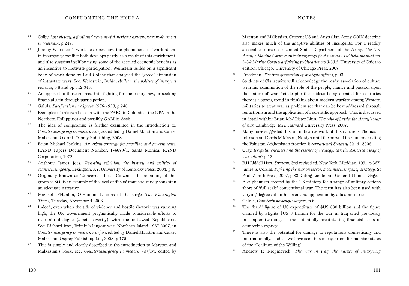- 54 Colby, *Lost victory, a firsthand account of America's sixteen-year involvement in Vietnam*, p 249.
- <sup>55</sup> Ieremy Weinstein's work describes how the phenomena of 'warlordism' in insurgency conflict both develops partly as a result of this enrichment, and also sustains itself by using some of the accrued economic benefits as an incentive to motivate participation. Weinstein builds on a significant body of work done by Paul Collier that analysed the 'greed' dimension of intrastate wars. See: Weinstein, *Inside rebellion: the politics of insurgent violence*, p 8 and pp 342-343.
- <sup>56</sup> As opposed to those coerced into fighting for the insurgency, or seeking financial gain through participation.
- 57 Galula, *Pacification in Algeria 1956-1958*, p 246.
- 58 Examples of this can be seen with the FARC in Colombia, the NPA in the Northern Philippines and possibly GAM in Aceh.
- <sup>59</sup> The idea of compromise is further examined in the introduction to: *Counterinsurgency in modern warfare,* edited by Daniel Marston and Carter Malkasian. Oxford, Osprey Publishing, 2008.
- 60 Brian Michael Jenkins, *An urban strategy for guerillas and governments*. RAND Papers Document Number: P-4670/1. Santa Monica, RAND Corporation, 1972.
- 61 Anthony James Joes, *Resisting rebellion: the history and politics of counterinsurgency.* Lexington, KY, University of Kentucky Press, 2004, p 8.
- $62$  Originally known as 'Concerned Local Citizens', the renaming of this group as SOI is an example of the level of 'focus' that is routinely sought in an adequate narrative.
- 63 Michael O'Hanlon, O'Hanlon: Lessons of the surge. *The Washington Times,* Tuesday, November 4 2008.
- $64$  Indeed, even when the tide of violence and hostile rhetoric was running high, the UK Government pragmatically made considerable efforts to maintain dialogue (albeit covertly) with the outlawed Republicans. See: Richard Iron, Britain's longest war: Northern Island 1967-2007, in *Counterinsurgency in modern warfare,* edited by Daniel Marston and Carter Malkasian. Osprey Publishing Ltd, 2008, p 175.
- <sup>65</sup> This is simply and clearly described in the introduction to Marston and Malkasian's book, see: *Counterinsurgency in modern warfare,* edited by

Marston and Malkasian. Current US and Australian Army COIN doctrine also makes much of the adaptive abilities of insurgents. For a readily accessible source see: United States Department of the Army, *The U.S. Army / Marine Corps counterinsurgency field manual: US field manual no. 3-24: Marine Corps warfighting publication no.3-33.5*, University of Chicago edition. Chicago, University of Chicago Press, 2007.

- 66 Freedman, *The transformation of strategic affairs*, p 93.
- Students of Clausewitz will acknowledge the ready association of culture with his examination of the role of the people, chance and passion upon the nature of war. Yet despite these ideas being debated for centuries there is a strong trend in thinking about modern warfare among Western militaries to treat war as problem set that can be best addressed through reductionism and the application of a scientific approach. This is discussed in detail within: Brian McAllister Linn, *The echo of battle: the Army's way of war.* Cambridge, MA, Harvard University Press, 2007.
- Many have suggested this, an indicative work of this nature is Thomas H Johnson and Chris M Mason, No sign until the burst of fire: understanding the Pakistan-Afghanistan frontier. *International Security* 32 (4) 2008.
- 69 Gray, *Irregular enemies and the essence of strategy: can the American way of war adapt?* p 12.
- 70 B.H Liddell Hart, *Strategy*, 2nd revised ed. New York, Meridian, 1991, p 367.
- 71 James S. Corum, *Fighting the war on terror: a counterinsurgency strategy.* St Paul, Zenith Press, 2007, p 83. Citing Lieutenant General Thomas Gage.
- $72$  A euphemism created by the US military for a range of military actions short of 'full scale' conventional war. The term has also been used with varying degrees of enthusiasm and application by allied militaries.
- 73 Galula, *Counterinsurgency warfare*, p 6.
- 74 The 'hard' figure of US expenditure of \$US 830 billion and the figure claimed by Stiglitz \$US 3 trillion for the war in Iraq cited previously in chapter two suggest the potentially breathtaking financial costs of counterinsurgency.
- <sup>75</sup> There is also the potential for damage to reputations domestically and internationally, such as we have seen in some quarters for member states of the 'Coalition of the Willing'.
- 76 Andrew F. Krepinevich. *The war in Iraq: the nature of insurgency*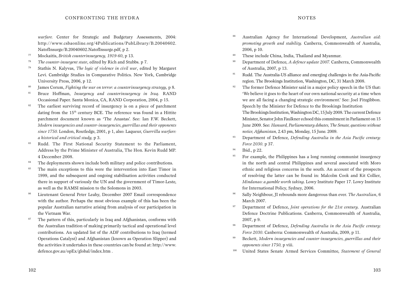*warfare.* Center for Strategic and Budgetary Assessments, 2004: http://www.csbaonline.org/4Publications/PubLibrary/B.20040602. NatofInsurge/B.20040602.NatofInsurge.pdf, p 2.

- 77 Mockaitis, *British counterinsurgency, 1919-60*, p 13.
- <sup>78</sup> *The counter-insurgent state*, edited by Rich and Stubbs. p 7.
- 79 Stathis N. Kalyvas, *The logic of violence in civil war*, edited by Margaret Levi. Cambridge Studies in Comparative Politics. New York, Cambridge University Press, 2006, p 12.
- 80 James Corum, *Fighting the war on terror: a counterinsurgency strategy*, p 8.
- 81 Bruce Hoffman, *Insurgency and counterinsurgency in Iraq*. RAND Occasional Paper. Santa Monica, CA, RAND Corporation, 2004, p 15.
- <sup>82</sup> The earliest surviving record of insurgency is on a piece of parchment dating from the  $15<sup>th</sup>$  century BCE. The reference was found in a Hittite parchment document known as 'The Anastas'. See: Ian F.W. Beckett, *Modern insurgencies and counter-insurgencies, guerrillas and their opponents since 1750.* London, Routledge, 2001, p 1, also: Laqueur, *Guerrilla warfare: a historical and critical study,* p 3.
- 83 Rudd. The First National Security Statement to the Parliament, Address by the Prime Minister of Australia, The Hon. Kevin Rudd MP. 4 December 2008.
- <sup>84</sup> The deployments shown include both military and police contributions.
- <sup>85</sup> The main exceptions to this were the intervention into East Timor in 1999, and the subsequent and ongoing stabilisation activities conducted there in support of variously the UN and the government of Timor-Leste, as well as the RAMSI mission to the Solomons in 2003.
- 86 Lieutenant General Peter Leahy, December 2007 Email correspondence with the author. Perhaps the most obvious example of this has been the popular Australian narrative arising from analysis of our participation in the Vietnam War.
- $87$  The pattern of this, particularly in Iraq and Afghanistan, conforms with the Australian tradition of making primarily tactical and operational level contributions. An updated list of the ADF contributions to Iraq (termed Operations Catalyst) and Afghanistan (known as Operation Slipper) and the activities it undertakes in these countries can be found at: http://www. defence.gov.au/opEx/global/index.htm .
- 88 Australian Agency for International Development, *Australian aid: promoting growth and stability.* Canberra, Commonwealth of Australia, 2006, p 10.
- 89 These include China, India, Thailand and Myanmar.
- 90 Department of Defence, *A defence update 2007.* Canberra, Commonwealth of Australia, 2007, p 13.
- 91 Rudd. The Australia-US alliance and emerging challenges in the Asia-Pacific region. The Brookings Institution, Washington, DC, 31 March 2008.
- <sup>92</sup> The former Defence Minister said in a major policy speech in the US that: 'We believe it goes to the heart of our own national security at a time when we are all facing a changing strategic environment.' See: Joel Fitzgibbon. Speech by the Minister for Defence to the Brookings Institution The Brookings Institution, Washington DC, 15 July 2008. The current Defence Minister, Senator John Faulkner echoed this commitment in Parliament on 15 June 2009. See: *Hansard, Parliamentary debates, The Senate, questions without notice, Afghanistan,* 2.43 pm, Monday, 15 June. 2009.
- 93 Department of Defence, *Defending Australia in the Asia Pacific century: Force 2030*. p 37.
- 94 Ibid., p 22.
- <sup>95</sup> For example, the Philippines has a long running communist insurgency in the north and central Philippines and several associated with Moro ethnic and religious concerns in the south. An account of the prospects of resolving the latter can be found in: Malcolm Cook and Kit Collier, *Mindanao: a gamble worth taking*. Lowy Institute Paper 17. Lowy Institute for International Policy, Sydney, 2006.
- 96 Sally Neighbour, JI rebounds more dangerous than ever. *The Australian*, 6 March 2007.
- 97 Department of Defence, *Joint operations for the 21st century*. Australian Defence Doctrine Publications. Canberra, Commonwealth of Australia, 2007, p 9.
- 98 Department of Defence, *Defending Australia in the Asia Pacific century: Force 2030*. Canberra: Commonwealth of Australia, 2009, p 11.
- 99 Beckett, *Modern insurgencies and counter-insurgencies, guerrillas and their opponents since 1750,* p viii.
- 100 United States Senate Armed Services Committee, *Statement of General*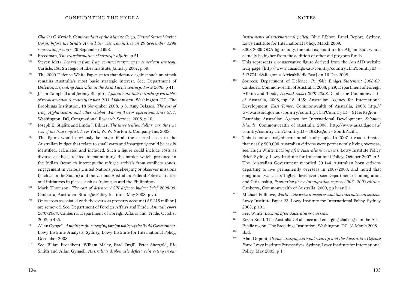*Charles C. Krulak, Commandant of the Marine Corps, United States Marine Corps, before the Senate Armed Services Committee on 29 September 1998 concerning posture*, 29 September 1998.

- 101 Freedman, *The transformation of strategic affairs*, p 51.
- 102 Steven Metz, *Learning from Iraq: counterinsurgency in American strategy*. Carlisle, PA, Strategic Studies Institute, January 2007, p 59.
- $103$  The 2009 Defence White Paper states that defence against such an attack remains Australia's most basic strategic interest. See: Department of Defence, *Defending Australia in the Asia Pacific century*: *Force 2030*. p 41.
- 104 Jason Campbell and Jeremy Shapiro, *Afghanistan index: tracking variables of reconstruction & security in post-9/11 Afghanistan*. Washington, DC, The Brookings Institution, 18 November 2008, p 8. Amy Belasco, *The cost of Iraq, Afghanistan, and other Global War on Terror operations since 9/11*. Washington, DC, Congressional Research Service, 2008, p 10.
- 105 Joseph E. Stiglitz and Linda J. Bilmes, *The three trillion dollar war: the true cost of the Iraq conflict.* New York, W. W. Norton & Company Inc, 2008.
- <sup>106</sup> The figure would obviously be larger if all the accrual costs to the Australian budget that relate to small wars and insurgency could be easily identified, calculated and included. Such a figure could include costs as diverse as those related to maintaining the border watch presence in the Indian Ocean to intercept the refugee arrivals from conflicts zones, engagement in various United Nations peacekeeping or observer missions (such as in the Sudan) and the various Australian Federal Police activities and initiatives in places such as Indonesia and the Philippines.
- 107 Mark Thomson, *The cost of defence: ASPI defence budget brief 2008-09*. Canberra, Australian Strategic Policy Institute, May 2008, p vii.
- <sup>108</sup> Once costs associated with the overseas property account  $(A$ 215 million)$ are removed. See: Department of Foreign Affairs and Trade, *Annual report 2007-2008*. Canberra, Department of Foreign Affairs and Trade, October 2008, p 425.
- 109 Allan Gyngell, *Ambition: the emerging foreign policy of the Rudd Government*. Lowy Institute Analysis. Sydney, Lowy Institute for International Policy, December 2008.
- 110 See: Jillian Broadbent, Wiliam Maley, Brad Orgill, Peter Shergold, Ric Smith and Allan Gyngell, *Australia's diplomatic deficit, reinvesting in our*

*instruments of international policy*. Blue Ribbon Panel Report. Sydney, Lowy Institute for International Policy, March 2009.

- 2008-2009 ODA figure only, the total expenditure for Afghanistan would actually be higher from the addition of other aid program funds.
- $112$  This represents a conservative figure derived from the AusAID website Iraq page (http://www.ausaid.gov.au/country/country.cfm?CountryID= 54777444&Region=AfricaMiddleEast) on 16 Dec 2008.
- 113 Sources: Department of Defence, *Portfolio Budget Statement 2008-09*. Canberra: Commonwealth of Australia, 2008, p 29; Department of Foreign Affairs and Trade, *Annual report 2007-2008*. Canberra: Commonwealth of Australia, 2008, pp 18, 425; Australian Agency for International Development. *East Timor*. Commonwealth of Australia, 2008: http:// www.ausaid.gov.au/country/country.cfm?CountryID=911&Region= EastAsia; Australian Agency for International Development. *Solomon Islands.* Commonwealth of Australia 2008: http://www.ausaid.gov.au/ country/country.cfm?CountryID=16&Region=SouthPacific.
- $114$  This is not an insignificant number of people. In 2007 it was estimated that nearly 900,000 Australian citizens were permanently living overseas, see: Hugh White, *Looking after Australians overseas*. Lowy Institute Policy Brief. Sydney, Lowy Institute for International Policy, October 2007, p 5. The Australian Government recorded 39,144 Australian born citizens departing to live permanently overseas in 2007/2008, and noted that emigration was at its 'highest level ever', see: Department of Immigration and Citizenship, *Population flows: Immigration aspects 2007 - 2008 edition.*  Canberra, Commonwealth of Australia, 2009, pp iv and 1.
- 115 Michael Fullilove, *World wide webs: diasporas and the international system*. Lowy Institute Paper 22. Lowy Institute for International Policy, Sydney 2008, p 101.
- 116 See: White, *Looking after Australians overseas*.
- $117$  Kevin Rudd. The Australia-US alliance and emerging challenges in the Asia-Pacific region. The Brookings Institution, Washington, DC, 31 March 2008.
- 118 Ibid.
- 119 Alan Dupont, *Grand strategy, national security and the Australian Defence Force.* Lowy Institute Perspectives. Sydney, Lowy Institute for International Policy, May 2005, p 1.

#### NOTES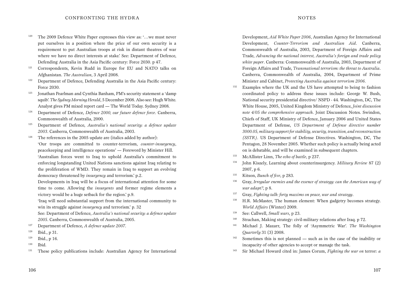- <sup>120</sup> The 2009 Defence White Paper expresses this view as: '...we must never put ourselves in a position where the price of our own security is a requirement to put Australian troops at risk in distant theatres of war where we have no direct interests at stake.' See: Department of Defence, Defending Australia in the Asia Pacific century: Force 2030. p 47.
- <sup>121</sup> Correspondents, Kevin Rudd in Europe for EU and NATO talks on Afghanistan. *The Australian*, 3 April 2008.
- <sup>122</sup> Department of Defence, Defending Australia in the Asia Pacific century: Force 2030.
- <sup>123</sup> Jonathan Pearlman and Cynthia Banham, PM's security statement a 'damp' squib'. *The Sydney Morning Herald*, 5 December 2008. Also see: Hugh White. Analyst gives PM mixed report card — The World Today. Sydney 2008.
- 124 Department of Defence, *Defence 2000, our future defence force*. Canberra, Commonwealth of Australia, 2000.
- 125 Department of Defence, *Australia's national security: a defence update 2003*. Canberra, Commonwealth of Australia, 2003.
- <sup>126</sup> The references in the 2005 update are (italics added by author): 'Our troops are committed to counter-terrorism, *counter-insurgency*, peacekeeping and intelligence operations' — Foreword by Minister Hill. 'Australian forces went to Iraq to uphold Australia's commitment to enforcing longstanding United Nations sanctions against Iraq relating to the proliferation of WMD. They remain in Iraq to support an evolving democracy threatened by *insurgency* and terrorism.' p.2.

 Developments in Iraq will be a focus of international attention for some time to come. Allowing the *insurgents* and former regime elements a victory would be a huge setback for the region.' p.9.

 'Iraq will need substantial support from the international community to win its struggle against *insurgency* and terrorism.' p. 32

 See: Department of Defence, *Australia's national security: a defence update 2005*. Canberra, Commonwealth of Australia, 2005.

- 127 Department of Defence, *A defence update 2007*.
- 128 Ibid., p 31.
- 129 Ibid., p 16.
- 130 Ibid.
- <sup>131</sup> These policy publications include: Australian Agency for International

Development, *Aid White Paper 2006*, Australian Agency for International Development, *Counter-Terrorism and Australian Aid*. Canberra, Commonwealth of Australia, 2003, Department of Foreign Affairs and Trade, *Advancing the national interest, Australia's foreign and trade policy white paper*. Canberra: Commonwealth of Australia, 2003, Department of Foreign Affairs and Trade, *Transnational terrorism: the threat to Australia*. Canberra, Commonwealth of Australia, 2004, Department of Prime Minister and Cabinet, *Protecting Australia against terrorism 2006*.

- <sup>132</sup> Examples where the UK and the US have attempted to being to fashion coordinated policy to address these issues include: George W. Bush, National security presidential directive/ NSPD - 44. Washington, DC, The White House, 2005, United Kingdom Ministry of Defence, *Joint discussion note 4/05 the comprehensive approach*. Joint Discussion Notes. Swindon, Chiefs of Staff, UK Ministry of Defence, January 2006 and United States Department of Defense, *US Department of Defense directive number 3000.05, military support for stability, security, transition, and reconstruction (SSTR)*. US Department of Defense Directives. Washington, DC, The Pentagon, 28 November 2005. Whether such policy is actually being acted on is debatable, and will be examined in subsequent chapters.
- 133 McAllister Linn, *The echo of battle*, p 237.
- 134 John Kiszely, Learning about counterinsurgency. *Military Review* 87 (2) 2007, p 6.
- 135 Kitson, *Bunch of five*, p 283.
- 136 Gray, *Irregular enemies and the essence of strategy: can the American way of war adapt?*, p 8.
- 137 Gray, *Fighting talk: forty maxims on peace, war and strategy*.
- <sup>138</sup> H.R. McMaster, The human element: When gadgetry becomes strategy. *World Affairs* (Winter) 2009.
- 139 See: Callwell, *Small wars*, p 23.
- <sup>140</sup> Strachan, Making strategy: civil-military relations after Iraq. p 72.
- 141 Michael J. Mazarr, The folly of 'Asymmetric War'. *The Washington Quarterly* 31 (3) 2008.
- <sup>142</sup> Sometimes this is not planned such as in the case of the inability or incapacity of other agencies to accept or manage the task.
- 143 Sir Michael Howard cited in: James Corum, *Fighting the war on* terror: *a*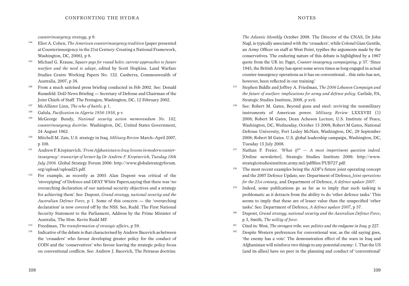NOTES

*counterinsurgency strategy*, p 9.

- 144 Eliot A. Cohen, *The American counterinsurgency tradition* (paper presented at Counterinsurgency in the 21st Century: Creating a National Framework, Washington, DC, 2006), p 8.
- 145 Michael G. Krause, *Square pegs for round holes: current approaches to future warfare and the need to adapt*, edited by Scott Hopkins. Land Warfare Studies Centre Working Papers No. 132. Canberra, Commonwealth of Australia, 2007, p 38.
- <sup>146</sup> From a much satirised press briefing conducted in Feb 2002. See: Donald Rumsfeld. DoD News Briefing — Secretary of Defense and Chairman of the Joint Chiefs of Staff. The Pentagon, Washington, DC, 12 February 2002.
- 147 McAllister Linn, *The echo of battle*, p 1.
- 148 Galula, *Pacification in Algeria 1956-1958*, p v.
- <sup>149</sup> McGeorge Bundy, *National security action memorandum No.* 182, *counterinsurgency doctrine*. Washington, DC, United States Government, 24 August 1962.
- 150 Mitchell M. Zais, U.S. strategy in Iraq. *Military Review* March–April 2007, p 108.
- 151 Andrew F. Krepinevich. *'From Afghanistan to Iraq: lessons in modern counterinsurgency': transcript of lecture by Dr Andrew F. Krepinevich, Tuesday 18th July 2006.* Global Strategy Forum 2006: http://www.globalstrategyforum. org/upload/upload25.pdf.
- <sup>152</sup> For example, as recently as 2005 Alan Dupont was critical of the 'stovepiping' of Defence and DFAT White Papers,saying that there was 'no overarching declaration of our national security objectives and a strategy for achieving them'. See: Dupont, *Grand strategy, national security and the Australian Defence Force*, p 1. Some of this concern — the 'overarching declaration' is now covered off by the NSS. See, Rudd. The First National Security Statement to the Parliament, Address by the Prime Minister of Australia, The Hon. Kevin Rudd MP.
- 153 Freedman, *The transformation of strategic affairs*, p 59.
- <sup>154</sup> Indicative of the debate is that characterised by Andrew Bacevich as between the 'crusaders' who favour developing greater policy for the conduct of COIN and the 'conservatives' who favour leaving the strategic policy focus on conventional conflicts. See: Andrew J. Bacevich, The Petraeus doctrine.

*The Atlantic Monthly* October 2008. The Director of the CNAS, Dr John Nagl, is typically associated with the 'crusaders', while Colonel Gian Gentile, an Army Officer on staff at West Point, typifies the arguments made by the conservatives. The enduring nature of this debate is highlighted by a 1967 quote from the UK in: Paget, *Counter-insurgency campaigning*, p 37. 'Since 1945, the British Army has spent some seven times as long engaged in actual counter-insurgency operations as it has on conventional…this ratio has not, however, been reflected in our training.'

- 155 Stephen Biddle and Jeffrey A. Friedman, *The 2006 Lebanon Campaign and the future of warfare: implications for army and defense policy.* Carlisle, PA, Strategic Studies Institute, 2008, p xvii.
- 156 See: Robert M. Gates, Beyond guns and steel: reviving the nonmilitary instruments of American power. *Military Review* LXXXVIII (1) 2008; Robert M Gates, Dean Acheson Lecture, U.S. Institute of Peace, Washington, DC, Wednesday, October 15 2008; Robert M Gates, National Defense University, Fort Lesley McNair, Washington, DC, 29 September 2008; Robert M Gates. U.S. global leadership campaign, Washington, DC, Tuesday 15 July 2008.
- 157 Nathan P. Freier. *'What if?' A most impertinent question indeed.*  [Online newsletter]. Strategic Studies Institute 2006: http://www. strategicstudiesinstitute.army.mil/pdffiles/PUB727.pdf.
- <sup>158</sup> The most recent examples being the ADF's future joint operating concept and the 2007 Defence Update, see: Department of Defence, *Joint operations for the 21st century*, and Department of Defence, *A defence update 2007*.
- <sup>159</sup> Indeed, some publications go as far as to imply that such tasking is problematic as it detracts from the ability to do 'other defence tasks.' This seems to imply that these are of lesser value than the unspecified 'other tasks'. See: Department of Defence, *A defence update 2007*, p 37.
- 160 Dupont, *Grand strategy, national security and the Australian Defence Force*, p 3, Smith, *The utility of force*.
- 161 Cited in: West, *The strongest tribe, war, politics and the endgame in Iraq,* p 227.
- Despite Western preferences for conventional war, as the old saying goes, 'the enemy has a vote'. The demonstration effect of the wars in Iraq and Afghanistan will reinforce two things to any potential enemy: 1. That the US (and its allies) have no peer in the planning and conduct of 'conventional'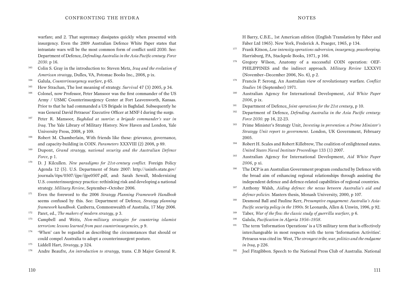warfare; and 2. That supremacy dissipates quickly when presented with insurgency. Even the 2009 Australian Defence White Paper states that intrastate wars will be the most common form of conflict until 2030. See: Department of Defence, *Defending Australia in the Asia Pacific century: Force 2030*. p 16.

- 163 Colin S. Gray in the introduction to: Steven Metz, *Iraq and the evolution of American strategy*, Dulles, VA, Potomac Books Inc., 2008, p ix.
- 164 Galula, *Counterinsurgency warfare*, p 65.
- 165 Hew Strachan, The lost meaning of strategy. *Survival* 47 (3) 2005, p 34.
- <sup>166</sup> Colonel, now Professor, Peter Mansoor was the first commander of the US Army / USMC Counterinsurgency Center at Fort Leavenworth, Kansas. Prior to that he had commanded a US Brigade in Baghdad. Subsequently he was General David Petraeus' Executive Officer at MNF-I during the surge.
- 167 Peter R. Mansoor, *Baghdad at sunrise: a brigade commander's war in Iraq*. The Yale Library of Military History. New Haven and London, Yale University Press, 2008, p 109.
- 168 Robert M. Chamberlain, With friends like these: grievance, governance, and capacity-building in COIN. *Parameters* XXXVIII (2) 2008, p 89.
- 169 Dupont, *Grand strategy, national security and the Australian Defence Force*, p 1.
- 170 D. J Kilcullen. *New paradigms for 21st-century conflict.* Foreign Policy Agenda 12 (5). U.S. Department of State 2007: http://usinfo.state.gov/ journals/itps/0507/ijpe/ijpe0507.pdf, and: Sarah Sewall, Modernizing U.S. counterinsurgency practice: rethinking risk and developing a national strategy. *Military Review*, September–October 2006.
- 171 Even the foreword to the 2006 *Strategy Planning Framework Handbook* seems confused by this. See: Department of Defence, *Strategy planning framework handbook*. Canberra, Commonwealth of Australia, 17 May 2006.
- 172 Paret, ed., *The makers of modern strategy*, p 3.
- 173 Campbell and Weitz, *Non-military strategies for countering islamist terrorism: lessons learned from past counterinsurgencies*, p 9.
- <sup>174</sup> 'When' can be regarded as describing the circumstances that should or could compel Australia to adopt a counterinsurgent posture.
- 175 Liddell Hart, *Strategy*, p 324.
- 176 Andre Beaufre, *An introduction to strategy*, trans. C.B Major General R.

H Barry, C.B.E., 1st American edition (English Translation by Faber and Faber Ltd 1965). New York, Frederick A. Praeger, 1965, p 134.

- 177 Frank Kitson, *Low intensity operations subversion, insurgency, peacekeeping.* Harrisburg, PA, Stackpole Books, 1971, p 166.
- <sup>178</sup> Gregory Wilson, Anatomy of a successful COIN operation: OEF-PHILIPPINES and the indirect approach. *Military Review* LXXXVI (November–December 2006, No. 6), p 2.
- 179 Francis P. Serong, An Australian view of revolutionary warfare. *Conflict Studies* 16 (September) 1971.
- 180 Australian Agency for International Development, *Aid White Paper 2006*, p ix.
- 181 Department of Defence, *Joint operations for the 21st century*, p 10.
- 182 Department of Defence, *Defending Australia in the Asia Pacific century: Force 2030*. pp 16, 22-23.
- 183 Prime Minister's Strategy Unit, *Investing in prevention: a Prime Minister's Strategy Unit report to government*. London, UK Government, February 2005.
- 184 Robert H. Scales and Robert Killebrew, The coalition of enlightened states. *United States Naval Institute Proceedings* 133 (1) 2007.
- 185 Australian Agency for International Development, *Aid White Paper 2006*, p xi.
- <sup>186</sup> The DCP is an Australian Government program conducted by Defence with the broad aim of enhancing regional relationships through assisting the independent defence and defence-related capabilities of regional countries.
- 187 Anthony Walsh, *Aiding defence: the nexus between Australia's aid and defence policies.* Masters thesis, Monash University, 2000, p 107.
- 188 Desmond Ball and Pauline Kerr, *Presumptive engagement: Australia's Asia-Pacific security policy in the 1990s.* St Leonards, Allen & Unwin, 1996, p 92.
- 189 Taber, *War of the flea: the classic study of guerrilla warfare*, p 6.
- 190 Galula, *Pacification in Algeria 1956*–*1958*.
- <sup>191</sup> The term 'Information Operations' is a US military term that is effectively interchangeable in most respects with the term 'Information Activities'. Petraeus was cited in: West, *The strongest tribe, war, politics and the endgame in Iraq*, p 226.
- 192 Joel Fitzgibbon. Speech to the National Press Club of Australia. National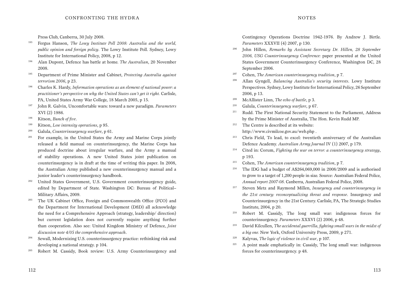Press Club, Canberra, 30 July 2008.

- 193 Fergus Hanson, *The Lowy Institute Poll 2008: Australia and the world, public opinion and foreign policy*. The Lowy Institute Poll. Sydney, Lowy Institute for International Policy, 2008, p 12.
- 194 Alan Dupont, Defence has battle at home. *The Australian*, 20 November 2008.
- 195 Department of Prime Minister and Cabinet, *Protecting Australia against terrorism 2006*, p 23.
- 196 Charles K. Hardy, *Information operations as an element of national power: a practitioner's perspective on why the United States can't get it right.* Carlisle, PA, United States Army War College, 18 March 2005, p 15.
- 197 John R. Galvin, Uncomfortable wars: toward a new paradigm. *Parameters* XVI (2) 1986.
- 198 Kitson, *Bunch of five*.
- 199 Kitson, *Low intensity operations*, p 95.
- 200 Galula, *Counterinsurgency warfare*, p 61.
- $201$  For example, in the United States the Army and Marine Corps jointly released a field manual on counterinsurgency, the Marine Corps has produced doctrine about irregular warfare, and the Army a manual of stability operations. A new United States joint publication on counterinsurgency is in draft at the time of writing this paper. In 2008, the Australian Army published a new counterinsurgency manual and a junior leader's counterinsurgency handbook.
- 202 United States Government, U.S. Government counterinsurgency guide, edited by Department of State. Washington DC: Bureau of Political– Military Affairs, 2009.
- <sup>203</sup> The UK Cabinet Office, Foreign and Commonwealth Office (FCO) and the Department for International Development (DfiD) all acknowledge the need for a Comprehensive Approach (strategy, leadership/ direction) but current legislation does not currently require anything further than cooperation. Also see: United Kingdom Ministry of Defence, *Joint discussion note 4/05 the comprehensive approach*.
- <sup>204</sup> Sewall, Modernizing U.S. counterinsurgency practice: rethinking risk and developing a national strategy. p 104.
- 205 Robert M. Cassidy, Book review: U.S. Army Counterinsurgency and

Contingency Operations Doctrine 1942-1976. By Andrew J. Birtle. *Parameters* XXXVII (4) 2007, p 130.

- 206 John Hillen, *Remarks by Assistant Secretary Dr. Hillen, 28 September 2006, USG Counterinsurgency Conference:* paper presented at the United States Government Counterinsurgency Conference, Washington DC, 28 September 2006.
- 207 Cohen, *The American counterinsurgency tradition*, p 7.
- 208 Allan Gyngell, *Balancing Australia's security interests*. Lowy Institute Perspectives. Sydney, Lowy Institute for International Policy, 26 September 2006, p 13.
- 209 McAllister Linn, *The echo of battle*, p 3.
- 210 Galula, *Counterinsurgency warfare*, p 67.
- <sup>211</sup> Rudd. The First National Security Statement to the Parliament, Address by the Prime Minister of Australia, The Hon. Kevin Rudd MP.
- $212$  The Centre is described at its website: http://www.civmilcoe.gov.au/web.php .
- <sup>213</sup> Chris Field, To lead, to excel: twentieth anniversary of the Australian Defence Academy. *Australian Army Journal* IV (1) 2007, p 179.
- 214 Cited in: Corum, *Fighting the war on terror: a counterinsurgency strategy*, p 193.
- 215 Cohen, *The American counterinsurgency tradition*, p 7.
- <sup>216</sup> The IDG had a budget of A\$264,069,000 in 2008/2009 and is authorised to grow to a target of 1,200 people in size. Source: Australian Federal Police, *Annual report 2007-08*. Canberra, Australian Federal Police, 2008.
- 217 Steven Metz and Raymond Millen, *Insurgency and counterinsurgency in the 21st century: reconceptualizing threat and response*. Insurgency and Counterinsurgency in the 21st Century. Carlisle, PA, The Strategic Studies Institute, 2004, p 20.
- 218 Robert M. Cassidy, The long small war: indigenous forces for counterinsurgency. *Parameters* XXXVI (2) 2006, p 48.
- 219 David Kilcullen, *The accidental guerrilla, fighting small wars in the midst of a big one.* New York, Oxford University Press, 2009, p 271.
- 220 Kalyvas, *The logic of violence in civil war*, p 107.
- <sup>221</sup> A point made emphatically in: Cassidy, The long small war: indigenous forces for counterinsurgency. p 48.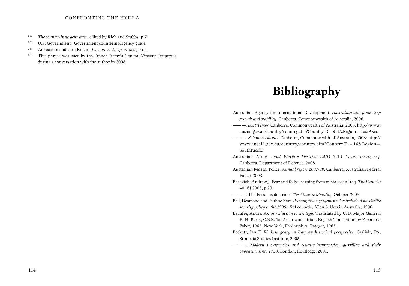#### CONFRONTING THE HYDRA

- <sup>222</sup> *The counter-insurgent state*, edited by Rich and Stubbs. p 7.
- 223 U.S. Government, Government counterinsurgency guide.
- 224 As recommended in Kitson, *Low intensity operations*, p ix.
- <sup>225</sup> This phrase was used by the French Army's General Vincent Desportes during a conversation with the author in 2008.

# **Bibliography**

- Australian Agency for International Development. *Australian aid: promoting growth and stability*. Canberra, Commonwealth of Australia, 2006.
- ———. *East Timor.* Canberra, Commonwealth of Australia, 2008: http://www. ausaid.gov.au/country/country.cfm?CountryID=911&Region=EastAsia.
- ———. *Solomon Islands.* Canberra, Commonwealth of Australia, 2008: http:// www.ausaid.gov.au/country/country.cfm?CountryID=16&Region= SouthPacific.
- Australian Army. *Land Warfare Doctrine LWD 3-0-1 Counterinsurgency*. Canberra, Department of Defence, 2008.
- Australian Federal Police. *Annual report 2007-08*. Canberra, Australian Federal Police, 2008.
- Bacevich, Andrew J. Fear and folly: learning from mistakes in Iraq. *The Futurist* 40 (6) 2006, p 23.
- ———. The Petraeus doctrine. *The Atlantic Monthly.* October 2008.
- Ball, Desmond and Pauline Kerr. *Presumptive engagement: Australia's Asia-Pacific security policy in the 1990s*. St Leonards, Allen & Unwin Australia, 1996.
- Beaufre, Andre. *An introduction to strategy*. Translated by C. B. Major General
	- R. H. Barry, C.B.E. 1st American edition. English Translation by Faber and Faber, 1965. New York, Frederick A. Praeger, 1965.
- Beckett, Ian F. W. *Insurgency in Iraq: an historical perspective*. Carlisle, PA, Strategic Studies Institute, 2005.
- ———. *Modern insurgencies and counter-insurgencies, guerrillas and their opponents since 1750*. London, Routledge, 2001.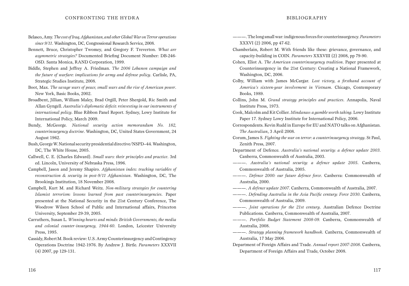- Belasco, Amy. *The cost of Iraq, Afghanistan, and other Global War on Terror operations since 9/11*. Washington, DC, Congressional Research Service, 2008.
- Bennett, Bruce, Christopher Twomey, and Gregory F. Treverton. *What are asymmetric strategies?* Documented Briefing Document Number: DB-246- OSD. Santa Monica, RAND Corporation, 1999.
- Biddle, Stephen and Jeffrey A. Friedman. *The 2006 Lebanon campaign and the future of warfare: implications for army and defense policy*. Carlisle, PA, Strategic Studies Institute, 2008.
- Boot, Max. *The savage wars of peace, small wars and the rise of American power*. New York, Basic Books, 2002.
- Broadbent, Jillian, William Maley, Brad Orgill, Peter Shergold, Ric Smith and Allan Gyngell. *Australia's diplomatic deficit: reinvesting in our instruments of international policy*. Blue Ribbon Panel Report. Sydney, Lowy Institute for International Policy, March 2009.
- Bundy, McGeorge. *National security action memorandum No. 182, counterinsurgency doctrine*. Washington, DC, United States Government, 24 August 1962.
- Bush, George W. National security presidential directive/NSPD–44. Washington, DC, The White House, 2005.
- Callwell, C. E. (Charles Edward). *Small wars: their principles and practice*. 3rd ed. Lincoln, University of Nebraska Press, 1996.
- Campbell, Jason and Jeremy Shapiro. *Afghanistan index: tracking variables of reconstruction & security in post-9/11 Afghanistan*. Washington, DC, The Brookings Institution, 18 November 2008.
- Campbell, Kurt M. and Richard Weitz. *Non-military strategies for countering Islamist terrorism: lessons learned from past counterinsurgencies*. Paper presented at the National Security in the 21st Century Conference, The Woodrow Wilson School of Public and International affairs, Princeton University, September 29-39, 2005.
- Carruthers, Susan L. *Winning hearts and minds: British Governments, the media and colonial counter-insurgency, 1944-60*. London, Leicester University Press, 1995.
- Cassidy, Robert M. Book review: U.S. Army Counterinsurgency and Contingency Operations Doctrine 1942-1976. By Andrew J. Birtle. *Parameters* XXXVII (4) 2007, pp 129-131.
- ———. The long small war: indigenous forces for counterinsurgency. *Parameters* XXXVI (2) 2006, pp 47-62.
- Chamberlain, Robert M. With friends like these: grievance, governance, and capacity-building in COIN. *Parameters* XXXVIII (2) 2008, pp 79-90.
- Cohen, Eliot A. *The American counterinsurgency tradition*. Paper presented at Counterinsurgency in the 21st Century: Creating a National Framework, Washington, DC, 2006.
- Colby, William with James McCargar. *Lost victory, a firsthand account of America's sixteen-year involvement in Vietnam*. Chicago, Contemporary Books, 1989.
- Collins, John M. *Grand strategy principles and practices*. Annapolis, Naval Institute Press, 1973.
- Cook, Malcolm and Kit Collier. *Mindanao: a gamble worth taking*. Lowy Institute Paper 17. Sydney Lowy Institute for International Policy, 2006.
- Correspondents. Kevin Rudd in Europe for EU and NATO talks on Afghanistan. *The Australian*, 3 April 2008.
- Corum, James S. *Fighting the war on terror: a counterinsurgency strategy*. St Paul, Zenith Press, 2007.
- Department of Defence. *Australia's national security: a defence update 2003*. Canberra, Commonwealth of Australia, 2003.
- ———. *Australia's national security: a defence update 2005*. Canberra, Commonwealth of Australia, 2005.
- ———. *Defence 2000: our future defence force*. Canberra: Commonwealth of Australia, 2000.
- ———. *A defence update 2007*. Canberra, Commonwealth of Australia, 2007.
- ———. *Defending Australia in the Asia Pacific century: Force 2030*. Canberra, Commonwealth of Australia, 2009.
- ———. *Joint operations for the 21st century*. Australian Defence Doctrine Publications. Canberra, Commonwealth of Australia, 2007.
- ———. *Portfolio Budget Statement 2008-09.* Canberra, Commonwealth of Australia, 2008.
- ———. *Strategy planning framework handbook*. Canberra, Commonwealth of Australia, 17 May 2006.
- Department of Foreign Affairs and Trade. *Annual report 2007-2008*. Canberra, Department of Foreign Affairs and Trade, October 2008.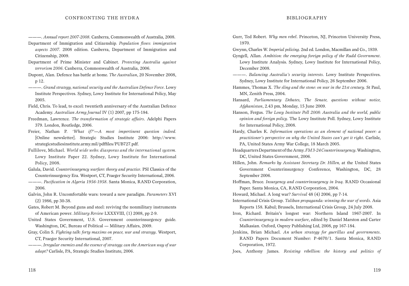- ———. *Annual report 2007-2008*. Canberra, Commonwealth of Australia, 2008.
- Department of Immigration and Citizenship*. Population flows: immigration aspects 2007*. 2008 edition. Canberra, Department of Immigration and Citizenship, 2009.
- Department of Prime Minister and Cabinet. *Protecting Australia against terrorism 2006*. Canberra, Commonwealth of Australia, 2006.
- Dupont, Alan. Defence has battle at home. *The Australian*, 20 November 2008, p 12.
- ———. *Grand strategy, national security and the Australian Defence Force*. Lowy Institute Perspectives. Sydney, Lowy Institute for International Policy, May 2005.
- Field, Chris. To lead, to excel: twentieth anniversary of the Australian Defence Academy. *Australian Army Journal* IV (1) 2007, pp 175-184.
- Freedman, Lawrence. *The transformation of strategic affairs*. Adelphi Papers 379. London, Routledge, 2006.
- Freier, Nathan P. *'What if?'*—*A most impertinent question indeed.*  [Online newsletter]. Strategic Studies Institute 2006: http://www. strategicstudiesinstitute.army.mil/pdffiles/PUB727.pdf.
- Fullilove, Michael. *World wide webs: diasporas and the international system.*  Lowy Institute Paper 22. Sydney, Lowy Institute for International Policy, 2008.
- Galula, David. *Counterinsurgency warfare: theory and practice*. PSI Classics of the Counterinsurgency Era. Westport, CT, Praeger Security International, 2006.
- ———. *Pacification in Algeria 1956-1958*. Santa Monica, RAND Corporation, 2006.
- Galvin, John R. Uncomfortable wars: toward a new paradigm. *Parameters* XVI (2) 1986, pp 30-38.
- Gates, Robert M. Beyond guns and steel: reviving the nonmilitary instruments of American power. *Military Review* LXXXVIII, (1) 2008, pp 2-9.
- United States Government, U.S. Government counterinsurgency guide. Washington, DC, Bureau of Political — Military Affairs, 2009.
- Gray, Colin S. *Fighting talk: forty maxims on peace, war and strategy*. Westport, CT, Praeger Security International, 2007.
- ———. *Irregular enemies and the essence of strategy: can the American way of war adapt?* Carlisle, PA, Strategic Studies Institute, 2006.
- Gurr, Ted Robert. *Why men rebel*. Princeton, NJ, Princeton University Press, 1970.
- Gwynn, Charles W. *Imperial policing*. 2nd ed. London, Macmillan and Co., 1939.
- Gyngell, Allan. *Ambition: the emerging foreign policy of the Rudd Government*. Lowy Institute Analysis. Sydney, Lowy Institute for International Policy, December 2008.
- ———. *Balancing Australia's security interests*. Lowy Institute Perspectives. Sydney, Lowy Institute for International Policy, 26 September 2006.
- Hammes, Thomas X. *The sling and the stone: on war in the 21st century*. St Paul, MN, Zenith Press, 2004.
- Hansard, *Parliamentary Debates, The Senate, questions without notice, Afghanistan*, 2.43 pm, Monday, 15 June 2009.
- Hanson, Fergus. *The Lowy Institute Poll 2008: Australia and the world, public opinion and foreign policy*. The Lowy Institute Poll. Sydney, Lowy Institute for International Policy, 2008.
- Hardy, Charles K. *Information operations as an element of national power: a practitioner's perspective on why the United States can't get it right*. Carlisle, PA, United States Army War College, 18 March 2005.
- Headquarters Department of the Army. *FM 3-24 Counterinsurgency*. Washington, DC, United States Government, 2006.
- Hillen, John. *Remarks by Assistant Secretary Dr. Hillen,* at the United States Government Counterinsurgency Conference, Washington, DC, 28 September 2006.
- Hoffman, Bruce. *Insurgency and counterinsurgency in Iraq*. RAND Occasional Paper. Santa Monica, CA, RAND Corporation, 2004.
- Howard, Michael. A long war? *Survival* 48 (4) 2006, pp 7-14.
- International Crisis Group. *Taliban propaganda: winning the war of words*. Asia Reports 158. Kabul; Brussels, International Crisis Group, 24 July 2008.
- Iron, Richard. Britain's longest war: Northern Island 1967-2007. In *Counterinsurgency in modern warfare*, edited by Daniel Marston and Carter Malkasian. Oxford, Osprey Publishing Ltd, 2008, pp 167-184.
- Jenkins, Brian Michael. *An urban strategy for guerillas and governments*. RAND Papers Document Number: P-4670/1. Santa Monica, RAND Corporation, 1972.
- Joes, Anthony James. *Resisting rebellion: the history and politics of*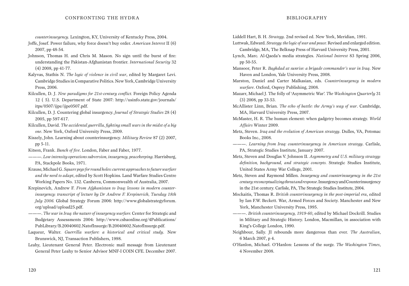*counterinsurgency*. Lexington, KY, University of Kentucky Press, 2004.

- Joffe, Josef. Power failure, why force doesn't buy order. *American Interest* II (6) 2007, pp 48-54.
- Johnson, Thomas H. and Chris M. Mason. No sign until the burst of fire: understanding the Pakistan-Afghanistan frontier. *International Security* 32 (4) 2008, pp 41-77.
- Kalyvas, Stathis N. *The logic of violence in civil war*, edited by Margaret Levi. Cambridge Studies in Comparative Politics. New York, Cambridge University Press, 2006.
- Kilcullen, D. J. *New paradigms for 21st-century conflict.* Foreign Policy Agenda 12 ( 5). U.S. Department of State 2007: http://usinfo.state.gov/journals/ itps/0507/ijpe/ijpe0507.pdf.
- Kilcullen, D. J. Countering global insurgency. *Journal of Strategic Studies* 28 (4) 2005, pp 597-617.
- Kilcullen, David. *The accidental guerrilla, fighting small wars in the midst of a big one*. New York, Oxford University Press, 2009.
- Kiszely, John. Learning about counterinsurgency. *Military Review* 87 (2) 2007, pp 5-11.
- Kitson, Frank. *Bunch of five*. London, Faber and Faber, 1977.

- Krause, Michael G. *Square pegs for round holes: current approaches to future warfare and the need to adapt*, edited by Scott Hopkins. Land Warfare Studies Centre Working Papers No. 132. Canberra, Commonwealth of Australia, 2007.
- Krepinevich, Andrew F. *From Afghanistan to Iraq: lessons in modern counterinsurgency: transcript of lecture by Dr Andrew F. Krepinevich, Tuesday 18th July 2006.* Global Strategy Forum 2006: http://www.globalstrategyforum. org/upload/upload25.pdf.
- ———. *The war in Iraq: the nature of insurgency warfare.* Center for Strategic and Budgetary Assessments 2004: http://www.csbaonline.org/4Publications/ PubLibrary/B.20040602.NatofInsurge/B.20040602.NatofInsurge.pdf.
- Laqueur, Walter. *Guerrilla warfare: a historical and critical study*. New Brunswick, NJ, Transaction Publishers, 1998.
- Leahy, Lieutenant General Peter. Electronic mail message from Lieutenant General Peter Leahy to Senior Advisor MNF-I COIN CFE. December 2007.

Liddell Hart, B. H. *Strategy*. 2nd revised ed. New York, Meridian, 1991.

- Luttwak, Edward. *Strategy: the logic of war and peace.* Revised and enlarged edition. Cambridge, MA, The Belknap Press of Harvard University Press, 2001.
- Lynch, Marc. Al-Qaeda's media strategies. *National Interest* 83 Spring 2006, pp 50-55.
- Mansoor, Peter R. *Baghdad at sunrise: a brigade commander's war in Iraq*. New Haven and London, Yale University Press, 2008.
- Marston, Daniel and Carter Malkasian, eds. *Counterinsurgency in modern warfare*. Oxford, Osprey Publishing, 2008.
- Mazarr, Michael J. The folly of 'Asymmetric War'. *The Washington Quarterly* 31 (3) 2008, pp 33-53.
- McAllister Linn, Brian. *The echo of battle: the Army's way of war*. Cambridge, MA, Harvard University Press, 2007.
- McMaster, H. R. The human element: when gadgetry becomes strategy. *World Affairs* Winter 2009.
- Metz, Steven. *Iraq and the evolution of American strategy*. Dulles, VA, Potomac Books Inc., 2008.
- ———. *Learning from Iraq: counterinsurgency in American strategy*. Carlisle, PA, Strategic Studies Institute, January 2007.
- Metz, Steven and Douglas V. Johnson II. *Asymmetry and U.S. military strategy: definition, background, and strategic concepts.* Strategic Studies Institute, United States Army War College, 2001.
- Metz, Steven and Raymond Millen. *Insurgency and counterinsurgency in the 21st century: reconceptualizing threat and response*. Insurgency and Counterinsurgency in the 21st century. Carlisle, PA, The Strategic Studies Institute, 2004.
- Mockaitis, Thomas R. *British counterinsurgency in the post-imperial era*, edited by Ian F.W. Beckett. War, Armed Forces and Society. Manchester and New York, Manchester University Press, 1995.
- ———. *British counterinsurgency, 1919-60*, edited by Michael Dockrill. Studies in Military and Strategic History. London, Macmillan, in association with King's College London, 1990.
- Neighbour, Sally. JI rebounds more dangerous than ever. *The Australian*, 6 March 2007, p 4.
- O'Hanlon, Michael. O'Hanlon: Lessons of the surge. *The Washington Times*, 4 November 2008.

<sup>———.</sup> *Low intensity operations subversion, insurgency, peacekeeping*. Harrisburg, PA, Stackpole Books, 1971.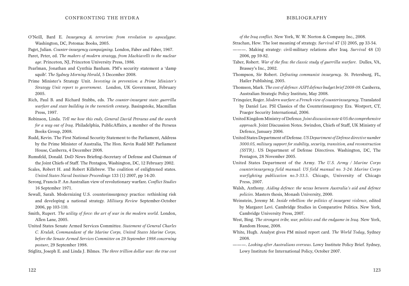#### BIBLIOGRAPHY

O'Neill, Bard E. *Insurgency & terrorism: from revolution to apocalypse*. Washington, DC, Potomac Books, 2005.

Paget, Julian. *Counter-insurgency campaigning*. London, Faber and Faber, 1967.

- Paret, Peter, ed. *The makers of modern strategy, from Machiavelli to the nuclear age*. Princeton, NJ, Princeton University Press, 1986.
- Pearlman, Jonathan and Cynthia Banham. PM's security statement a 'damp squib'. *The Sydney Morning Herald*, 5 December 2008.
- Prime Minister's Strategy Unit. *Investing in prevention: a Prime Minister's Strategy Unit report to government*. London, UK Government, February 2005.
- Rich, Paul B. and Richard Stubbs, eds. *The counter-insurgent state: guerrilla warfare and state building in the twentieth century*. Basingstoke, Macmillan Press, 1997.
- Robinson, Linda. *Tell me how this ends, General David Petraeus and the search for a way out of Iraq*. Philadelphia, PublicAffairs, a member of the Perseus Books Group, 2008.
- Rudd, Kevin. The First National Security Statement to the Parliament, Address by the Prime Minister of Australia, The Hon. Kevin Rudd MP. Parliament House, Canberra, 4 December 2008.
- Rumsfeld, Donald. DoD News Briefing–Secretary of Defense and Chairman of the Joint Chiefs of Staff. The Pentagon, Washington, DC, 12 February 2002.
- Scales, Robert H. and Robert Killebrew. The coalition of enlightened states. *United States Naval Institute Proceedings* 133 (1) 2007, pp 14-20.
- Serong, Francis P. An Australian view of revolutionary warfare. *Conflict Studies* 16 September 1971.
- Sewall, Sarah. Modernizing U.S. counterinsurgency practice: rethinking risk and developing a national strategy. *Military Review* September-October 2006, pp 103-110.
- Smith, Rupert. *The utility of force: the art of war in the modern world*. London, Allen Lane, 2005.
- United States Senate Armed Services Committee. *Statement of General Charles C. Krulak, Commandant of the Marine Corps, United States Marine Corps, before the Senate Armed Services Committee on 29 September 1998 concerning posture*, 29 September 1998.

Stiglitz, Joseph E. and Linda J. Bilmes. *The three trillion dollar war: the true cost* 

*of the Iraq conflict*. New York, W. W. Norton & Company Inc., 2008.

Strachan, Hew. The lost meaning of strategy. *Survival* 47 (3) 2005, pp 33-54.

- ———. Making strategy: civil-military relations after Iraq. *Survival* 48 (3) 2006, pp 59-82.
- Taber, Robert. *War of the flea: the classic study of guerrilla warfare*. Dulles, VA, Brassey's Inc., 2002.
- Thompson, Sir Robert. *Defeating communist insurgency*. St. Petersburg, FL, Hailer Publishing, 2005.
- Thomson, Mark. *The cost of defence: ASPI defence budget brief 2008-09*. Canberra, Australian Strategic Policy Institute, May 2008.
- Trinquier, Roger. *Modern warfare: a French view of counterinsurgency*. Translated by Daniel Lee. PSI Classics of the Counterinsurgency Era. Westport, CT, Praeger Security International, 2006.
- United Kingdom Ministry of Defence. *Joint discussion note 4/05 the comprehensive approach*. Joint Discussion Notes. Swindon, Chiefs of Staff, UK Ministry of Defence, January 2006.
- United States Department of Defense. *US Department of Defense directive number 3000.05, military support for stability, security, transition, and reconstruction (SSTR)*. US Department of Defense Directives. Washington, DC, The Pentagon, 28 November 2005.
- United States Department of the Army. *The U.S. Army / Marine Corps counterinsurgency field manual: US field manual no. 3-24: Marine Corps warfighting publication no.3-33.5*. Chicago, University of Chicago Press, 2007.
- Walsh, Anthony. *Aiding defence: the nexus between Australia's aid and defence policies*. Masters thesis, Monash University, 2000.
- Weinstein, Jeremy M. *Inside rebellion: the politics of insurgent violence*, edited by Margaret Levi. Cambridge Studies in Comparative Politics. New York, Cambridge University Press, 2007.
- West, Bing. *The strongest tribe, war, politics and the endgame in Iraq*. New York, Random House, 2008.
- White, Hugh. Analyst gives PM mixed report card. *The World Today*, Sydney 2008.
- ———. *Looking after Australians overseas*. Lowy Institute Policy Brief. Sydney, Lowy Institute for International Policy, October 2007.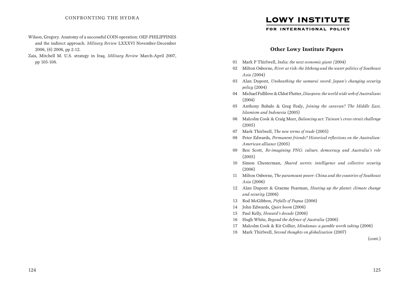- Wilson, Gregory. Anatomy of a successful COIN operation: OEF-PHILIPPINES and the indirect approach. *Military Review* LXXXVI November-December 2006, (6) 2006, pp 2-12.
- Zais, Mitchell M. U.S. strategy in Iraq. *Military Review* March-April 2007, pp 105-108.

### **LOWY INSTITUTE**

FOR INTERNATIONAL POLICY

#### **Other Lowy Institute Papers**

- 01 Mark P Thirlwell, *India: the next economic giant (*2004)
- 02 Milton Osborne, *River at risk: the Mekong and the water politics of Southeast Asia (*2004)
- 03 Alan Dupont, *Unsheathing the samurai sword: Japan's changing security policy* (2004)
- 04 Michael Fullilove & Chloë Flutter, *Diaspora: the world wide web of Australians*  (2004)
- 05 Anthony Bubalo & Greg Fealy, *Joining the caravan? The Middle East, Islamism and Indonesia* (2005)
- 06 Malcolm Cook & Craig Meer, *Balancing act: Taiwan's cross-strait challenge* (2005)
- 07 Mark Thirlwell, *The new terms of trade* (2005)
- 08 Peter Edwards, *Permanent friends? Historical reflections on the Australian-American alliance* (2005)
- 09 Ben Scott, *Re-imagining PNG: culture, democracy and Australia's role*  (2005)
- 10 Simon Chesterman, *Shared secrets: intelligence and collective security*  (2006)
- 11 Milton Osborne, *The paramount power: China and the countries of Southeast Asia* (2006)
- 12 Alan Dupont & Graeme Pearman, *Heating up the planet: climate change and security* (2006)
- 13 Rod McGibbon, *Pitfalls of Papua* (2006)
- 14 John Edwards, *Quiet boom* (2006)
- 15 Paul Kelly, *Howard's decade* (2006)
- 16 Hugh White, *Beyond the defence of Australia* (2006)
- 17 Malcolm Cook & Kit Collier, *Mindanao: a gamble worth taking* (2006)
- 18 Mark Thirlwell, *Second thoughts on globalisation* (2007)

(cont.)